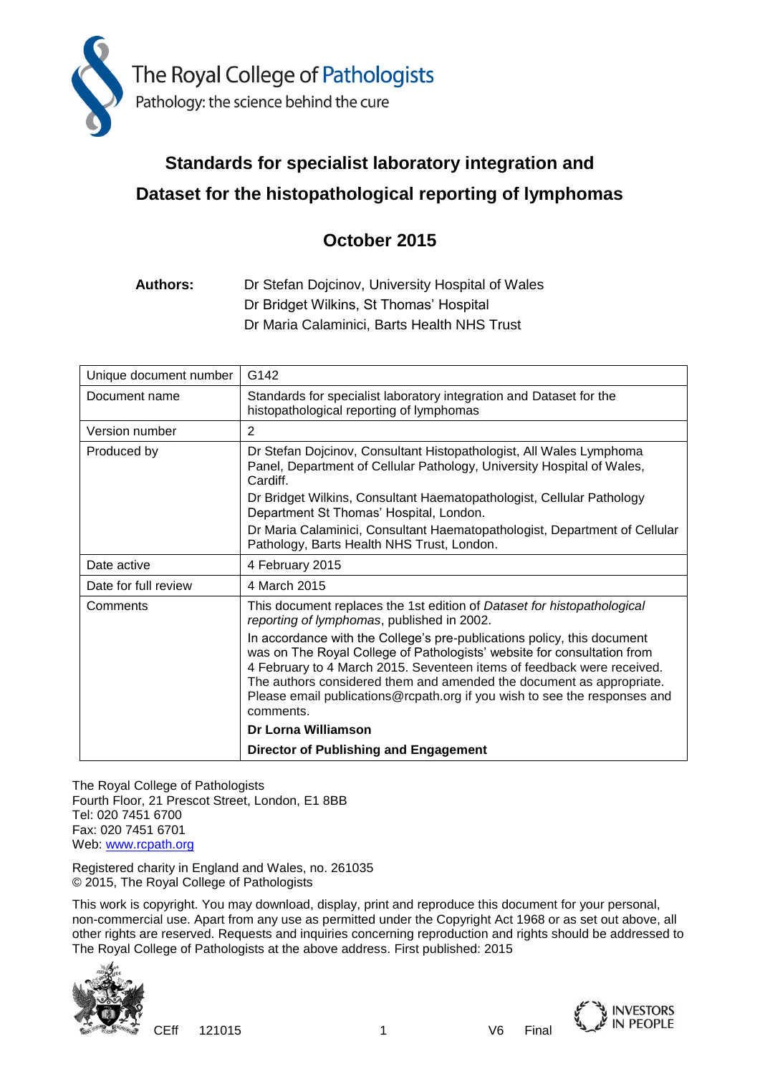

# **Standards for specialist laboratory integration and Dataset for the histopathological reporting of lymphomas**

# **October 2015**

**Authors:** Dr Stefan Dojcinov, University Hospital of Wales Dr Bridget Wilkins, St Thomas' Hospital Dr Maria Calaminici, Barts Health NHS Trust

| Unique document number | G142                                                                                                                                                                                                                                                                                                                                                                                           |
|------------------------|------------------------------------------------------------------------------------------------------------------------------------------------------------------------------------------------------------------------------------------------------------------------------------------------------------------------------------------------------------------------------------------------|
| Document name          | Standards for specialist laboratory integration and Dataset for the<br>histopathological reporting of lymphomas                                                                                                                                                                                                                                                                                |
| Version number         | 2                                                                                                                                                                                                                                                                                                                                                                                              |
| Produced by            | Dr Stefan Dojcinov, Consultant Histopathologist, All Wales Lymphoma<br>Panel, Department of Cellular Pathology, University Hospital of Wales,<br>Cardiff.                                                                                                                                                                                                                                      |
|                        | Dr Bridget Wilkins, Consultant Haematopathologist, Cellular Pathology<br>Department St Thomas' Hospital, London.                                                                                                                                                                                                                                                                               |
|                        | Dr Maria Calaminici, Consultant Haematopathologist, Department of Cellular<br>Pathology, Barts Health NHS Trust, London.                                                                                                                                                                                                                                                                       |
| Date active            | 4 February 2015                                                                                                                                                                                                                                                                                                                                                                                |
| Date for full review   | 4 March 2015                                                                                                                                                                                                                                                                                                                                                                                   |
| Comments               | This document replaces the 1st edition of Dataset for histopathological<br>reporting of lymphomas, published in 2002.                                                                                                                                                                                                                                                                          |
|                        | In accordance with the College's pre-publications policy, this document<br>was on The Royal College of Pathologists' website for consultation from<br>4 February to 4 March 2015. Seventeen items of feedback were received.<br>The authors considered them and amended the document as appropriate.<br>Please email publications@rcpath.org if you wish to see the responses and<br>comments. |
|                        | Dr Lorna Williamson                                                                                                                                                                                                                                                                                                                                                                            |
|                        | Director of Publishing and Engagement                                                                                                                                                                                                                                                                                                                                                          |

The Royal College of Pathologists Fourth Floor, 21 Prescot Street, London, E1 8BB Tel: 020 7451 6700 Fax: 020 7451 6701 Web: [www.rcpath.org](http://www.rcpath.org/)

Registered charity in England and Wales, no. 261035 © 2015, The Royal College of Pathologists

This work is copyright. You may download, display, print and reproduce this document for your personal, non-commercial use. Apart from any use as permitted under the Copyright Act 1968 or as set out above, all other rights are reserved. Requests and inquiries concerning reproduction and rights should be addressed to The Royal College of Pathologists at the above address. First published: 2015



CEff 121015 1 V6 Final

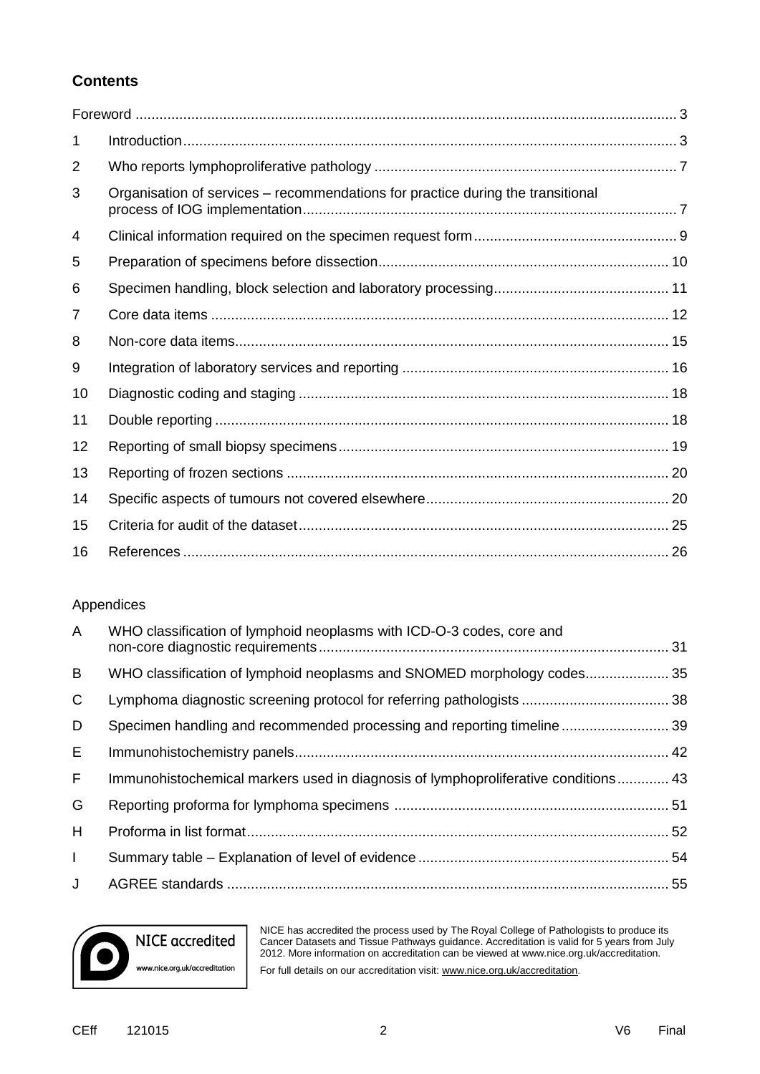## **Contents**

| 1  |                                                                                 |
|----|---------------------------------------------------------------------------------|
| 2  |                                                                                 |
| 3  | Organisation of services – recommendations for practice during the transitional |
| 4  |                                                                                 |
| 5  |                                                                                 |
| 6  |                                                                                 |
| 7  |                                                                                 |
| 8  |                                                                                 |
| 9  |                                                                                 |
| 10 |                                                                                 |
| 11 |                                                                                 |
| 12 |                                                                                 |
| 13 |                                                                                 |
| 14 |                                                                                 |
| 15 |                                                                                 |
| 16 |                                                                                 |

## Appendices

| A            | WHO classification of lymphoid neoplasms with ICD-O-3 codes, core and              |  |
|--------------|------------------------------------------------------------------------------------|--|
| B            | WHO classification of lymphoid neoplasms and SNOMED morphology codes35             |  |
| C            |                                                                                    |  |
| D            | Specimen handling and recommended processing and reporting timeline39              |  |
| E.           |                                                                                    |  |
| F.           | Immunohistochemical markers used in diagnosis of lymphoproliferative conditions 43 |  |
| G            |                                                                                    |  |
| H            |                                                                                    |  |
| $\mathbf{L}$ |                                                                                    |  |
| J            |                                                                                    |  |



NICE has accredited the process used by The Royal College of Pathologists to produce its Cancer Datasets and Tissue Pathways guidance. Accreditation is valid for 5 years from July 2012. More information on accreditation can be viewed at www.nice.org.uk/accreditation. For full details on our accreditation visit[: www.nice.org.uk/accreditation](http://www.nice.org.uk/accreditation).

CEff 121015 2 V6 Final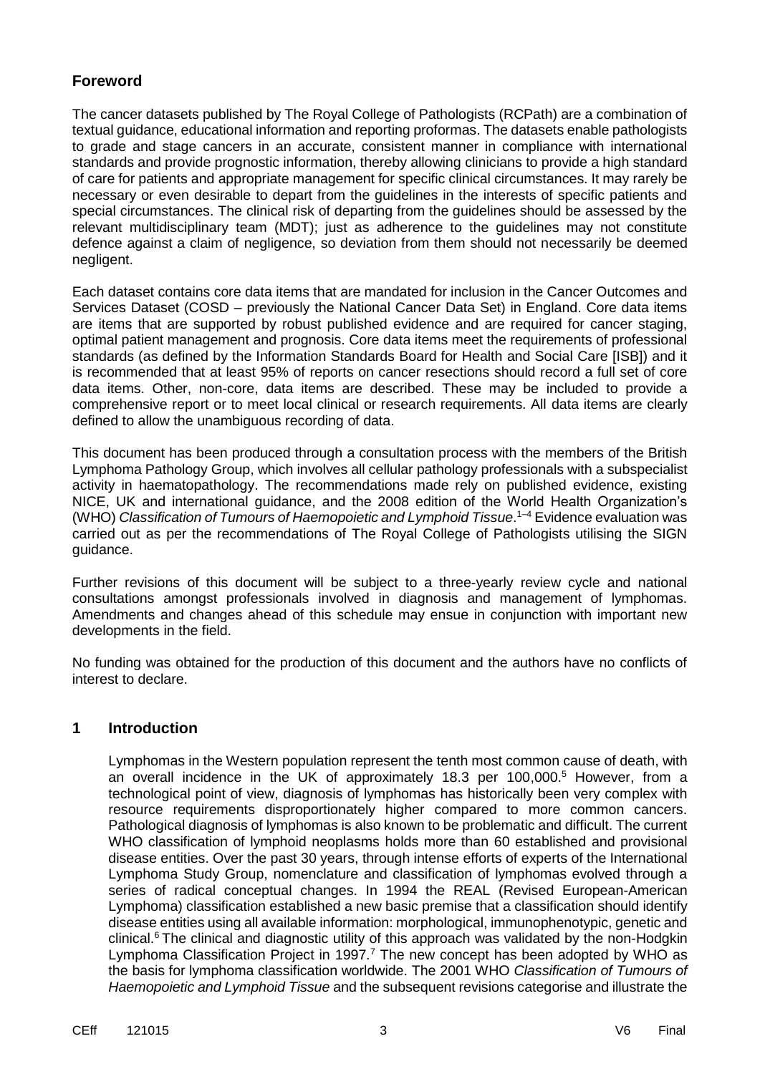## **Foreword**

The cancer datasets published by The Royal College of Pathologists (RCPath) are a combination of textual guidance, educational information and reporting proformas. The datasets enable pathologists to grade and stage cancers in an accurate, consistent manner in compliance with international standards and provide prognostic information, thereby allowing clinicians to provide a high standard of care for patients and appropriate management for specific clinical circumstances. It may rarely be necessary or even desirable to depart from the guidelines in the interests of specific patients and special circumstances. The clinical risk of departing from the guidelines should be assessed by the relevant multidisciplinary team (MDT); just as adherence to the guidelines may not constitute defence against a claim of negligence, so deviation from them should not necessarily be deemed negligent.

Each dataset contains core data items that are mandated for inclusion in the Cancer Outcomes and Services Dataset (COSD – previously the National Cancer Data Set) in England. Core data items are items that are supported by robust published evidence and are required for cancer staging, optimal patient management and prognosis. Core data items meet the requirements of professional standards (as defined by the Information Standards Board for Health and Social Care [ISB]) and it is recommended that at least 95% of reports on cancer resections should record a full set of core data items. Other, non-core, data items are described. These may be included to provide a comprehensive report or to meet local clinical or research requirements. All data items are clearly defined to allow the unambiguous recording of data.

This document has been produced through a consultation process with the members of the British Lymphoma Pathology Group, which involves all cellular pathology professionals with a subspecialist activity in haematopathology. The recommendations made rely on published evidence, existing NICE, UK and international guidance, and the 2008 edition of the World Health Organization's (WHO) *Classification of Tumours of Haemopoietic and Lymphoid Tissue*. 1–4 Evidence evaluation was carried out as per the recommendations of The Royal College of Pathologists utilising the SIGN guidance.

Further revisions of this document will be subject to a three-yearly review cycle and national consultations amongst professionals involved in diagnosis and management of lymphomas. Amendments and changes ahead of this schedule may ensue in conjunction with important new developments in the field.

No funding was obtained for the production of this document and the authors have no conflicts of interest to declare.

## **1 Introduction**

Lymphomas in the Western population represent the tenth most common cause of death, with an overall incidence in the UK of approximately 18.3 per 100,000.<sup>5</sup> However, from a technological point of view, diagnosis of lymphomas has historically been very complex with resource requirements disproportionately higher compared to more common cancers. Pathological diagnosis of lymphomas is also known to be problematic and difficult. The current WHO classification of lymphoid neoplasms holds more than 60 established and provisional disease entities. Over the past 30 years, through intense efforts of experts of the International Lymphoma Study Group, nomenclature and classification of lymphomas evolved through a series of radical conceptual changes. In 1994 the REAL (Revised European-American Lymphoma) classification established a new basic premise that a classification should identify disease entities using all available information: morphological, immunophenotypic, genetic and clinical.<sup>6</sup> The clinical and diagnostic utility of this approach was validated by the non-Hodgkin Lymphoma Classification Project in 1997.<sup>7</sup> The new concept has been adopted by WHO as the basis for lymphoma classification worldwide. The 2001 WHO *Classification of Tumours of Haemopoietic and Lymphoid Tissue* and the subsequent revisions categorise and illustrate the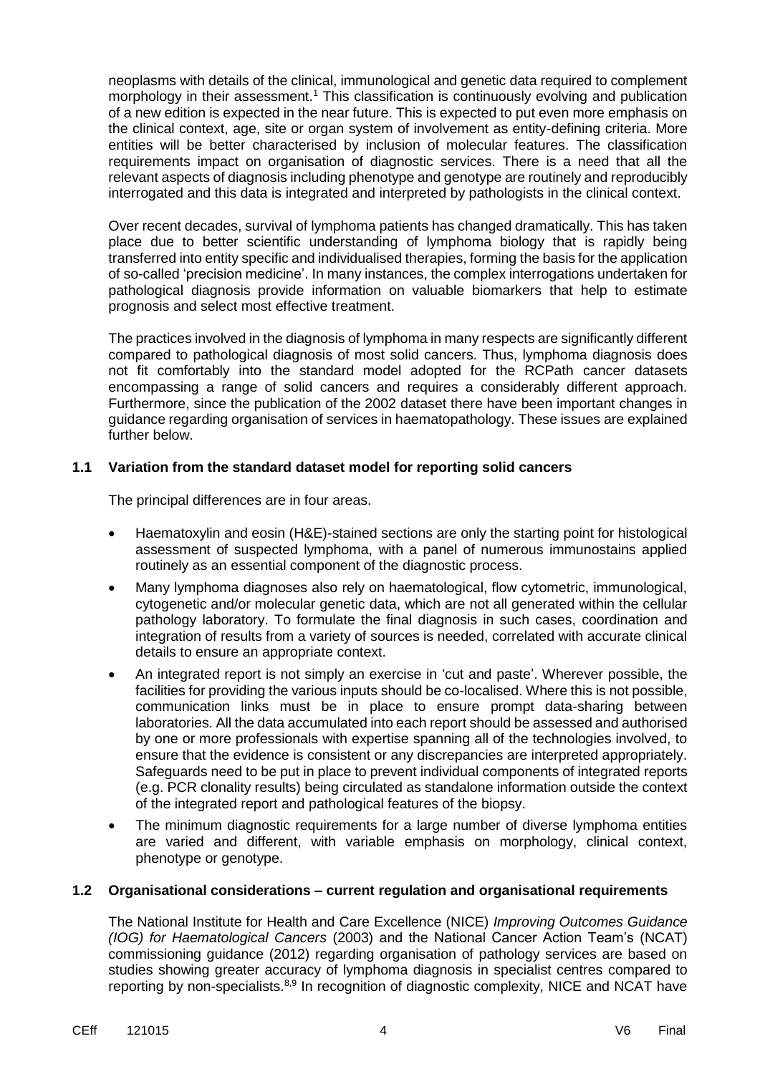neoplasms with details of the clinical, immunological and genetic data required to complement morphology in their assessment.<sup>1</sup> This classification is continuously evolving and publication of a new edition is expected in the near future. This is expected to put even more emphasis on the clinical context, age, site or organ system of involvement as entity-defining criteria. More entities will be better characterised by inclusion of molecular features. The classification requirements impact on organisation of diagnostic services. There is a need that all the relevant aspects of diagnosis including phenotype and genotype are routinely and reproducibly interrogated and this data is integrated and interpreted by pathologists in the clinical context.

Over recent decades, survival of lymphoma patients has changed dramatically. This has taken place due to better scientific understanding of lymphoma biology that is rapidly being transferred into entity specific and individualised therapies, forming the basis for the application of so-called 'precision medicine'. In many instances, the complex interrogations undertaken for pathological diagnosis provide information on valuable biomarkers that help to estimate prognosis and select most effective treatment.

The practices involved in the diagnosis of lymphoma in many respects are significantly different compared to pathological diagnosis of most solid cancers. Thus, lymphoma diagnosis does not fit comfortably into the standard model adopted for the RCPath cancer datasets encompassing a range of solid cancers and requires a considerably different approach. Furthermore, since the publication of the 2002 dataset there have been important changes in guidance regarding organisation of services in haematopathology. These issues are explained further below.

#### **1.1 Variation from the standard dataset model for reporting solid cancers**

The principal differences are in four areas.

- Haematoxylin and eosin (H&E)-stained sections are only the starting point for histological assessment of suspected lymphoma, with a panel of numerous immunostains applied routinely as an essential component of the diagnostic process.
- Many lymphoma diagnoses also rely on haematological, flow cytometric, immunological, cytogenetic and/or molecular genetic data, which are not all generated within the cellular pathology laboratory. To formulate the final diagnosis in such cases, coordination and integration of results from a variety of sources is needed, correlated with accurate clinical details to ensure an appropriate context.
- An integrated report is not simply an exercise in 'cut and paste'. Wherever possible, the facilities for providing the various inputs should be co-localised. Where this is not possible, communication links must be in place to ensure prompt data-sharing between laboratories. All the data accumulated into each report should be assessed and authorised by one or more professionals with expertise spanning all of the technologies involved, to ensure that the evidence is consistent or any discrepancies are interpreted appropriately. Safeguards need to be put in place to prevent individual components of integrated reports (e.g. PCR clonality results) being circulated as standalone information outside the context of the integrated report and pathological features of the biopsy.
- The minimum diagnostic requirements for a large number of diverse lymphoma entities are varied and different, with variable emphasis on morphology, clinical context, phenotype or genotype.

#### **1.2 Organisational considerations – current regulation and organisational requirements**

The National Institute for Health and Care Excellence (NICE) *Improving Outcomes Guidance (IOG) for Haematological Cancers* (2003) and the National Cancer Action Team's (NCAT) commissioning guidance (2012) regarding organisation of pathology services are based on studies showing greater accuracy of lymphoma diagnosis in specialist centres compared to reporting by non-specialists.<sup>8,9</sup> In recognition of diagnostic complexity, NICE and NCAT have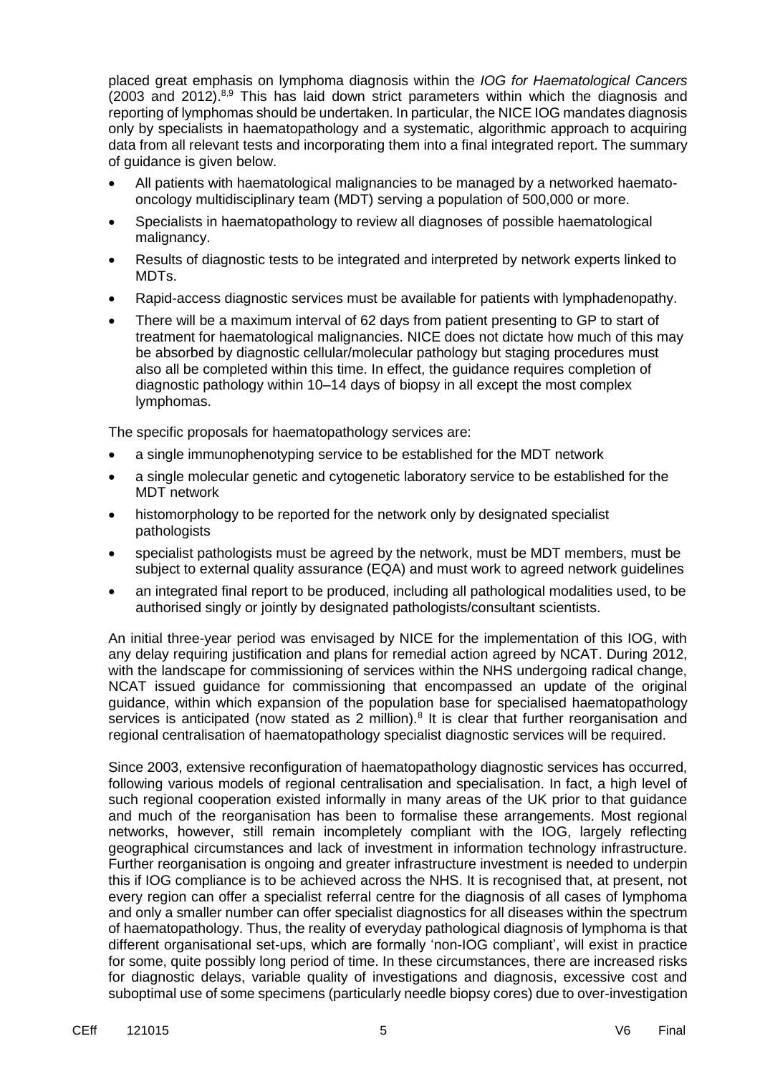placed great emphasis on lymphoma diagnosis within the *IOG for Haematological Cancers*  $(2003 \text{ and } 2012)^{8,9}$  This has laid down strict parameters within which the diagnosis and reporting of lymphomas should be undertaken. In particular, the NICE IOG mandates diagnosis only by specialists in haematopathology and a systematic, algorithmic approach to acquiring data from all relevant tests and incorporating them into a final integrated report. The summary of guidance is given below.

- All patients with haematological malignancies to be managed by a networked haematooncology multidisciplinary team (MDT) serving a population of 500,000 or more.
- Specialists in haematopathology to review all diagnoses of possible haematological malignancy.
- Results of diagnostic tests to be integrated and interpreted by network experts linked to MDTs.
- Rapid-access diagnostic services must be available for patients with lymphadenopathy.
- There will be a maximum interval of 62 days from patient presenting to GP to start of treatment for haematological malignancies. NICE does not dictate how much of this may be absorbed by diagnostic cellular/molecular pathology but staging procedures must also all be completed within this time. In effect, the guidance requires completion of diagnostic pathology within 10–14 days of biopsy in all except the most complex lymphomas.

The specific proposals for haematopathology services are:

- a single immunophenotyping service to be established for the MDT network
- a single molecular genetic and cytogenetic laboratory service to be established for the MDT network
- histomorphology to be reported for the network only by designated specialist pathologists
- specialist pathologists must be agreed by the network, must be MDT members, must be subject to external quality assurance (EQA) and must work to agreed network guidelines
- an integrated final report to be produced, including all pathological modalities used, to be authorised singly or jointly by designated pathologists/consultant scientists.

An initial three-year period was envisaged by NICE for the implementation of this IOG, with any delay requiring justification and plans for remedial action agreed by NCAT. During 2012, with the landscape for commissioning of services within the NHS undergoing radical change, NCAT issued guidance for commissioning that encompassed an update of the original guidance, within which expansion of the population base for specialised haematopathology services is anticipated (now stated as 2 million). $8$  It is clear that further reorganisation and regional centralisation of haematopathology specialist diagnostic services will be required.

Since 2003, extensive reconfiguration of haematopathology diagnostic services has occurred, following various models of regional centralisation and specialisation. In fact, a high level of such regional cooperation existed informally in many areas of the UK prior to that guidance and much of the reorganisation has been to formalise these arrangements. Most regional networks, however, still remain incompletely compliant with the IOG, largely reflecting geographical circumstances and lack of investment in information technology infrastructure. Further reorganisation is ongoing and greater infrastructure investment is needed to underpin this if IOG compliance is to be achieved across the NHS. It is recognised that, at present, not every region can offer a specialist referral centre for the diagnosis of all cases of lymphoma and only a smaller number can offer specialist diagnostics for all diseases within the spectrum of haematopathology. Thus, the reality of everyday pathological diagnosis of lymphoma is that different organisational set-ups, which are formally 'non-IOG compliant', will exist in practice for some, quite possibly long period of time. In these circumstances, there are increased risks for diagnostic delays, variable quality of investigations and diagnosis, excessive cost and suboptimal use of some specimens (particularly needle biopsy cores) due to over-investigation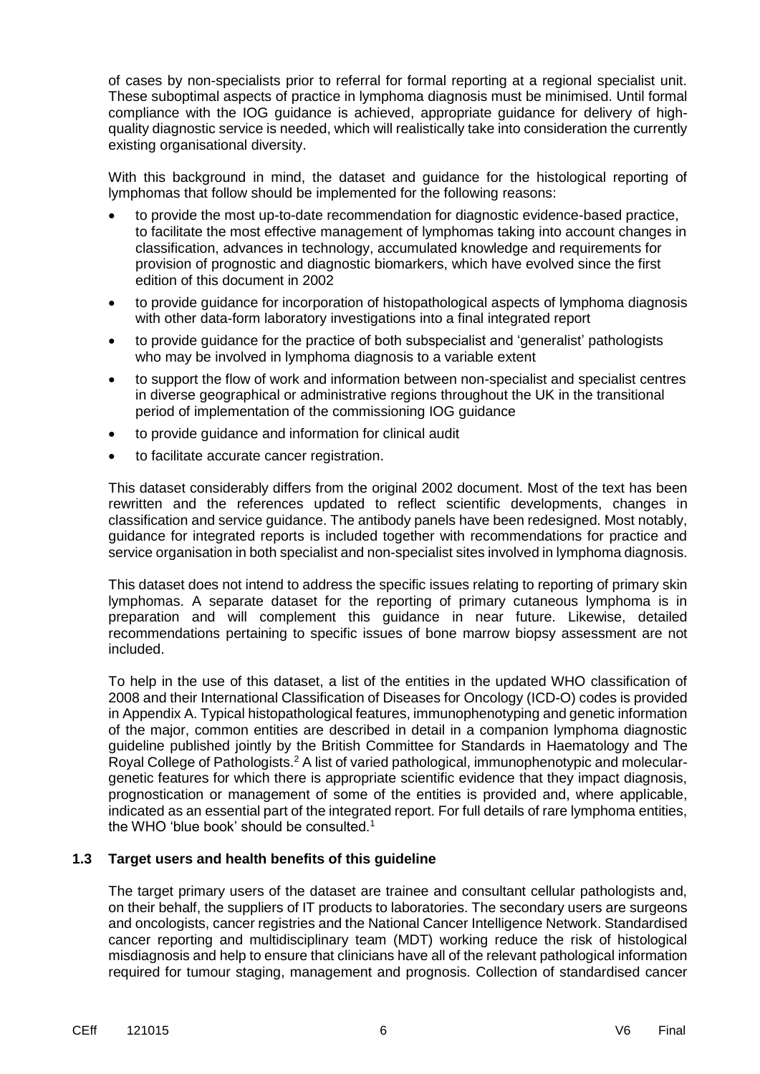of cases by non-specialists prior to referral for formal reporting at a regional specialist unit. These suboptimal aspects of practice in lymphoma diagnosis must be minimised. Until formal compliance with the IOG guidance is achieved, appropriate guidance for delivery of highquality diagnostic service is needed, which will realistically take into consideration the currently existing organisational diversity.

With this background in mind, the dataset and guidance for the histological reporting of lymphomas that follow should be implemented for the following reasons:

- to provide the most up-to-date recommendation for diagnostic evidence-based practice, to facilitate the most effective management of lymphomas taking into account changes in classification, advances in technology, accumulated knowledge and requirements for provision of prognostic and diagnostic biomarkers, which have evolved since the first edition of this document in 2002
- to provide guidance for incorporation of histopathological aspects of lymphoma diagnosis with other data-form laboratory investigations into a final integrated report
- to provide guidance for the practice of both subspecialist and 'generalist' pathologists who may be involved in lymphoma diagnosis to a variable extent
- to support the flow of work and information between non-specialist and specialist centres in diverse geographical or administrative regions throughout the UK in the transitional period of implementation of the commissioning IOG guidance
- to provide guidance and information for clinical audit
- to facilitate accurate cancer registration.

This dataset considerably differs from the original 2002 document. Most of the text has been rewritten and the references updated to reflect scientific developments, changes in classification and service guidance. The antibody panels have been redesigned. Most notably, guidance for integrated reports is included together with recommendations for practice and service organisation in both specialist and non-specialist sites involved in lymphoma diagnosis.

This dataset does not intend to address the specific issues relating to reporting of primary skin lymphomas. A separate dataset for the reporting of primary cutaneous lymphoma is in preparation and will complement this guidance in near future. Likewise, detailed recommendations pertaining to specific issues of bone marrow biopsy assessment are not included.

To help in the use of this dataset, a list of the entities in the updated WHO classification of 2008 and their International Classification of Diseases for Oncology (ICD-O) codes is provided in Appendix A. Typical histopathological features, immunophenotyping and genetic information of the major, common entities are described in detail in a companion lymphoma diagnostic guideline published jointly by the British Committee for Standards in Haematology and The Royal College of Pathologists.<sup>2</sup> A list of varied pathological, immunophenotypic and moleculargenetic features for which there is appropriate scientific evidence that they impact diagnosis, prognostication or management of some of the entities is provided and, where applicable, indicated as an essential part of the integrated report. For full details of rare lymphoma entities, the WHO 'blue book' should be consulted.<sup>1</sup>

#### **1.3 Target users and health benefits of this guideline**

The target primary users of the dataset are trainee and consultant cellular pathologists and, on their behalf, the suppliers of IT products to laboratories. The secondary users are surgeons and oncologists, cancer registries and the National Cancer Intelligence Network. Standardised cancer reporting and multidisciplinary team (MDT) working reduce the risk of histological misdiagnosis and help to ensure that clinicians have all of the relevant pathological information required for tumour staging, management and prognosis. Collection of standardised cancer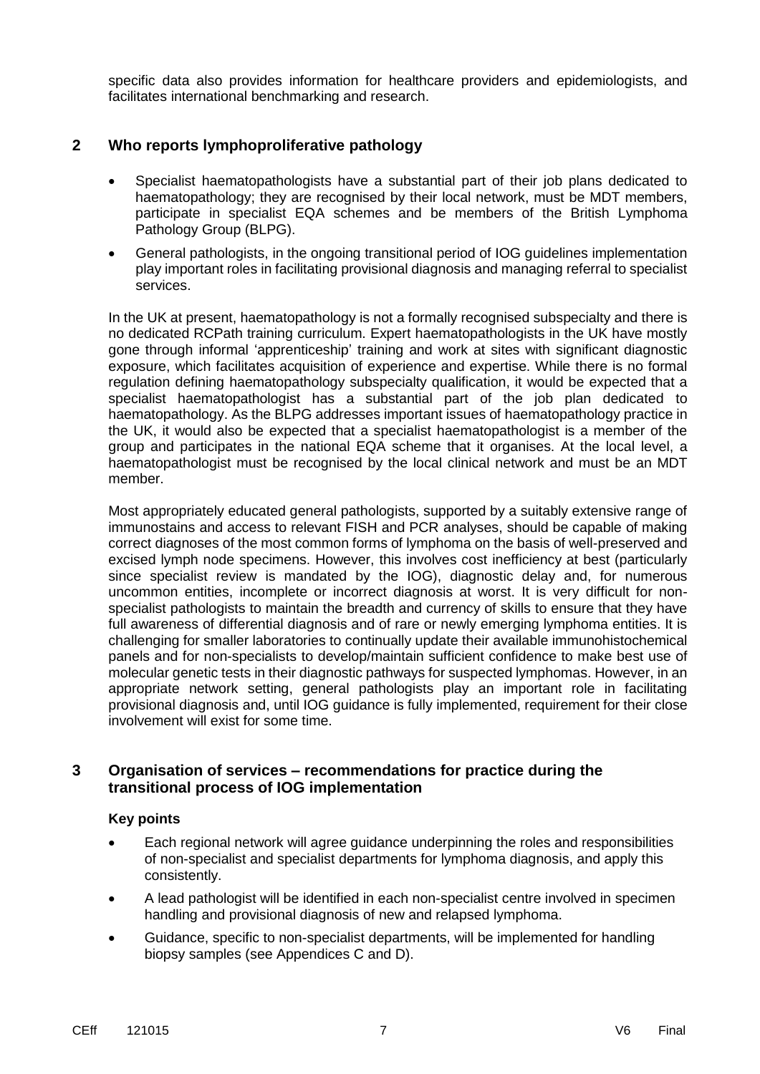specific data also provides information for healthcare providers and epidemiologists, and facilitates international benchmarking and research.

### **2 Who reports lymphoproliferative pathology**

- Specialist haematopathologists have a substantial part of their job plans dedicated to haematopathology; they are recognised by their local network, must be MDT members, participate in specialist EQA schemes and be members of the British Lymphoma Pathology Group (BLPG).
- General pathologists, in the ongoing transitional period of IOG guidelines implementation play important roles in facilitating provisional diagnosis and managing referral to specialist services.

In the UK at present, haematopathology is not a formally recognised subspecialty and there is no dedicated RCPath training curriculum. Expert haematopathologists in the UK have mostly gone through informal 'apprenticeship' training and work at sites with significant diagnostic exposure, which facilitates acquisition of experience and expertise. While there is no formal regulation defining haematopathology subspecialty qualification, it would be expected that a specialist haematopathologist has a substantial part of the job plan dedicated to haematopathology. As the BLPG addresses important issues of haematopathology practice in the UK, it would also be expected that a specialist haematopathologist is a member of the group and participates in the national EQA scheme that it organises. At the local level, a haematopathologist must be recognised by the local clinical network and must be an MDT member.

Most appropriately educated general pathologists, supported by a suitably extensive range of immunostains and access to relevant FISH and PCR analyses, should be capable of making correct diagnoses of the most common forms of lymphoma on the basis of well-preserved and excised lymph node specimens. However, this involves cost inefficiency at best (particularly since specialist review is mandated by the IOG), diagnostic delay and, for numerous uncommon entities, incomplete or incorrect diagnosis at worst. It is very difficult for nonspecialist pathologists to maintain the breadth and currency of skills to ensure that they have full awareness of differential diagnosis and of rare or newly emerging lymphoma entities. It is challenging for smaller laboratories to continually update their available immunohistochemical panels and for non-specialists to develop/maintain sufficient confidence to make best use of molecular genetic tests in their diagnostic pathways for suspected lymphomas. However, in an appropriate network setting, general pathologists play an important role in facilitating provisional diagnosis and, until IOG guidance is fully implemented, requirement for their close involvement will exist for some time.

#### **3 Organisation of services – recommendations for practice during the transitional process of IOG implementation**

#### **Key points**

- Each regional network will agree guidance underpinning the roles and responsibilities of non-specialist and specialist departments for lymphoma diagnosis, and apply this consistently.
- A lead pathologist will be identified in each non-specialist centre involved in specimen handling and provisional diagnosis of new and relapsed lymphoma.
- Guidance, specific to non-specialist departments, will be implemented for handling biopsy samples (see Appendices C and D).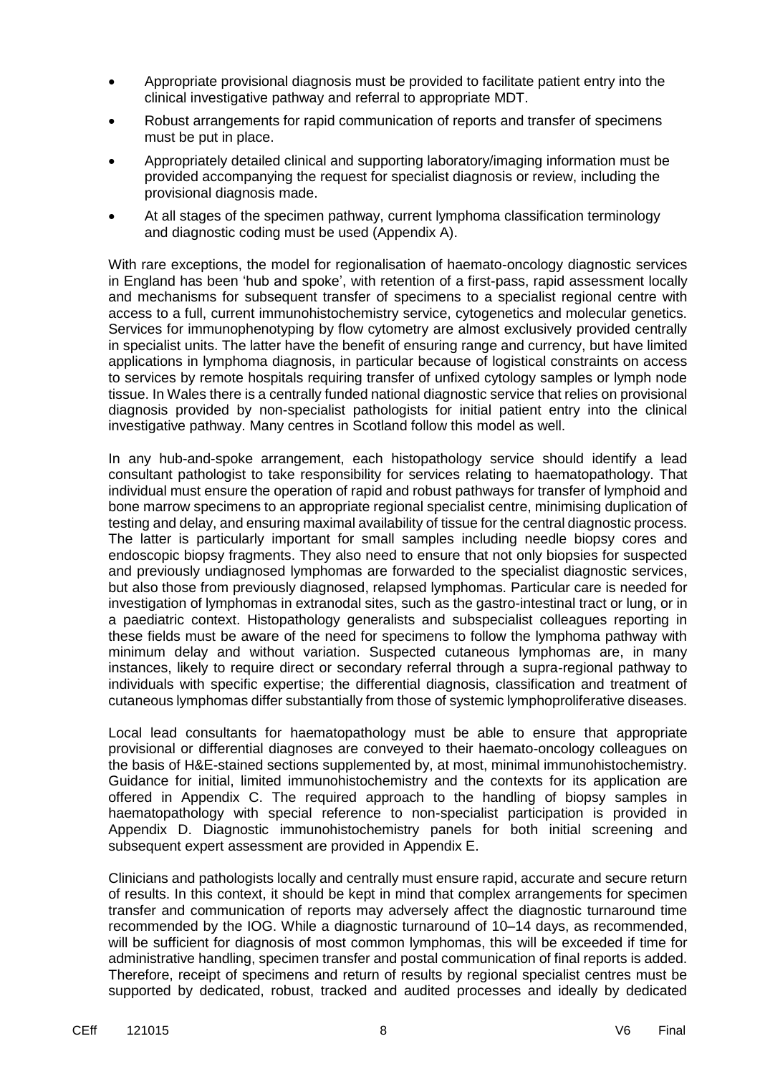- Appropriate provisional diagnosis must be provided to facilitate patient entry into the clinical investigative pathway and referral to appropriate MDT.
- Robust arrangements for rapid communication of reports and transfer of specimens must be put in place.
- Appropriately detailed clinical and supporting laboratory/imaging information must be provided accompanying the request for specialist diagnosis or review, including the provisional diagnosis made.
- At all stages of the specimen pathway, current lymphoma classification terminology and diagnostic coding must be used (Appendix A).

With rare exceptions, the model for regionalisation of haemato-oncology diagnostic services in England has been 'hub and spoke', with retention of a first-pass, rapid assessment locally and mechanisms for subsequent transfer of specimens to a specialist regional centre with access to a full, current immunohistochemistry service, cytogenetics and molecular genetics. Services for immunophenotyping by flow cytometry are almost exclusively provided centrally in specialist units. The latter have the benefit of ensuring range and currency, but have limited applications in lymphoma diagnosis, in particular because of logistical constraints on access to services by remote hospitals requiring transfer of unfixed cytology samples or lymph node tissue. In Wales there is a centrally funded national diagnostic service that relies on provisional diagnosis provided by non-specialist pathologists for initial patient entry into the clinical investigative pathway. Many centres in Scotland follow this model as well.

In any hub-and-spoke arrangement, each histopathology service should identify a lead consultant pathologist to take responsibility for services relating to haematopathology. That individual must ensure the operation of rapid and robust pathways for transfer of lymphoid and bone marrow specimens to an appropriate regional specialist centre, minimising duplication of testing and delay, and ensuring maximal availability of tissue for the central diagnostic process. The latter is particularly important for small samples including needle biopsy cores and endoscopic biopsy fragments. They also need to ensure that not only biopsies for suspected and previously undiagnosed lymphomas are forwarded to the specialist diagnostic services, but also those from previously diagnosed, relapsed lymphomas. Particular care is needed for investigation of lymphomas in extranodal sites, such as the gastro-intestinal tract or lung, or in a paediatric context. Histopathology generalists and subspecialist colleagues reporting in these fields must be aware of the need for specimens to follow the lymphoma pathway with minimum delay and without variation. Suspected cutaneous lymphomas are, in many instances, likely to require direct or secondary referral through a supra-regional pathway to individuals with specific expertise; the differential diagnosis, classification and treatment of cutaneous lymphomas differ substantially from those of systemic lymphoproliferative diseases.

Local lead consultants for haematopathology must be able to ensure that appropriate provisional or differential diagnoses are conveyed to their haemato-oncology colleagues on the basis of H&E-stained sections supplemented by, at most, minimal immunohistochemistry. Guidance for initial, limited immunohistochemistry and the contexts for its application are offered in Appendix C. The required approach to the handling of biopsy samples in haematopathology with special reference to non-specialist participation is provided in Appendix D. Diagnostic immunohistochemistry panels for both initial screening and subsequent expert assessment are provided in Appendix E.

Clinicians and pathologists locally and centrally must ensure rapid, accurate and secure return of results. In this context, it should be kept in mind that complex arrangements for specimen transfer and communication of reports may adversely affect the diagnostic turnaround time recommended by the IOG. While a diagnostic turnaround of 10–14 days, as recommended, will be sufficient for diagnosis of most common lymphomas, this will be exceeded if time for administrative handling, specimen transfer and postal communication of final reports is added. Therefore, receipt of specimens and return of results by regional specialist centres must be supported by dedicated, robust, tracked and audited processes and ideally by dedicated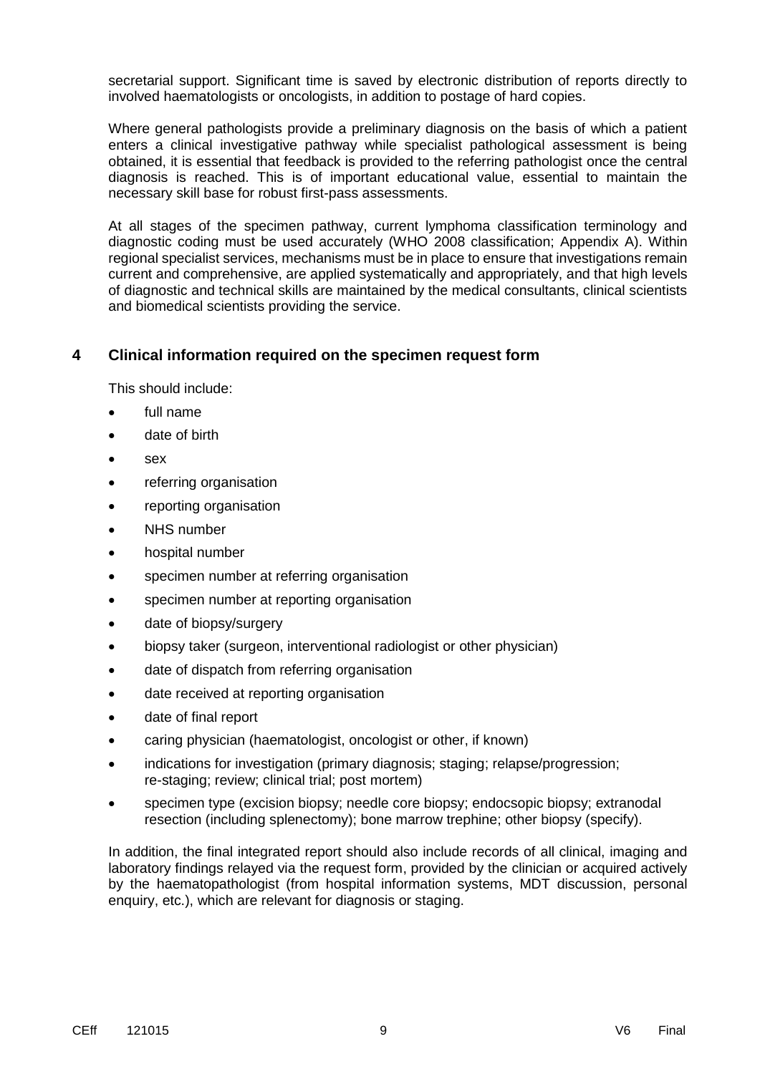secretarial support. Significant time is saved by electronic distribution of reports directly to involved haematologists or oncologists, in addition to postage of hard copies.

Where general pathologists provide a preliminary diagnosis on the basis of which a patient enters a clinical investigative pathway while specialist pathological assessment is being obtained, it is essential that feedback is provided to the referring pathologist once the central diagnosis is reached. This is of important educational value, essential to maintain the necessary skill base for robust first-pass assessments.

At all stages of the specimen pathway, current lymphoma classification terminology and diagnostic coding must be used accurately (WHO 2008 classification; Appendix A). Within regional specialist services, mechanisms must be in place to ensure that investigations remain current and comprehensive, are applied systematically and appropriately, and that high levels of diagnostic and technical skills are maintained by the medical consultants, clinical scientists and biomedical scientists providing the service.

## **4 Clinical information required on the specimen request form**

This should include:

- full name
- date of birth
- sex
- referring organisation
- reporting organisation
- NHS number
- hospital number
- specimen number at referring organisation
- specimen number at reporting organisation
- date of biopsy/surgery
- biopsy taker (surgeon, interventional radiologist or other physician)
- date of dispatch from referring organisation
- date received at reporting organisation
- date of final report
- caring physician (haematologist, oncologist or other, if known)
- indications for investigation (primary diagnosis; staging; relapse/progression; re-staging; review; clinical trial; post mortem)
- specimen type (excision biopsy; needle core biopsy; endocsopic biopsy; extranodal resection (including splenectomy); bone marrow trephine; other biopsy (specify).

In addition, the final integrated report should also include records of all clinical, imaging and laboratory findings relayed via the request form, provided by the clinician or acquired actively by the haematopathologist (from hospital information systems, MDT discussion, personal enquiry, etc.), which are relevant for diagnosis or staging.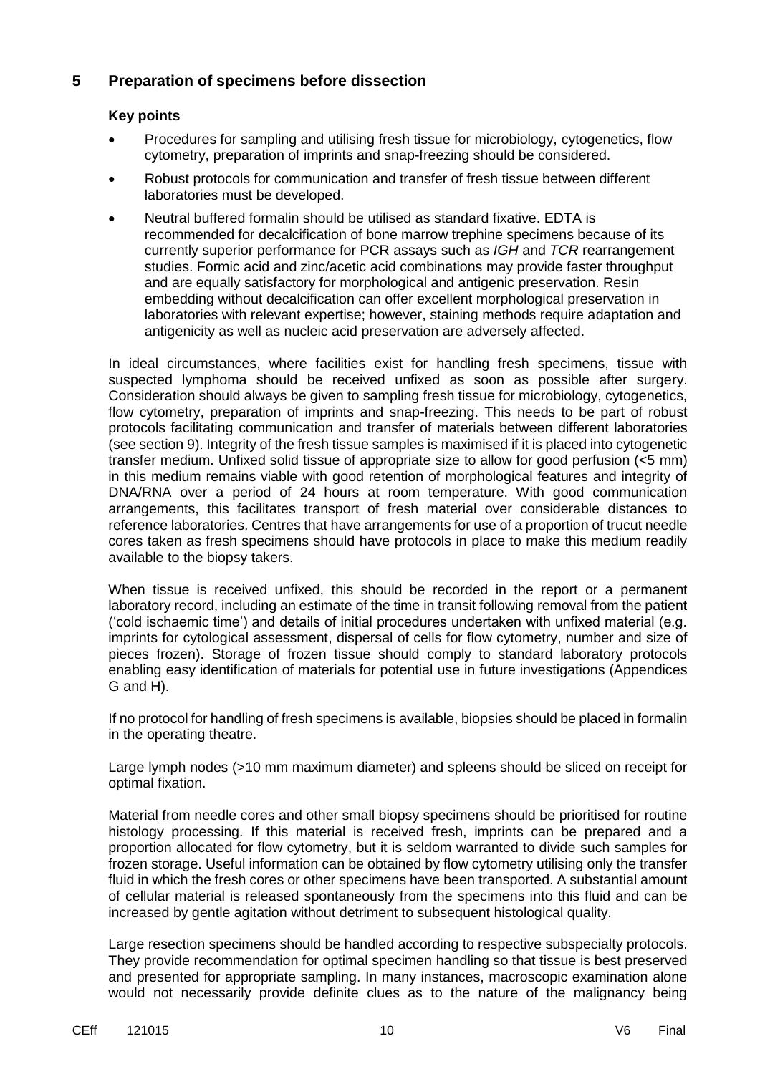## **5 Preparation of specimens before dissection**

#### **Key points**

- Procedures for sampling and utilising fresh tissue for microbiology, cytogenetics, flow cytometry, preparation of imprints and snap-freezing should be considered.
- Robust protocols for communication and transfer of fresh tissue between different laboratories must be developed.
- Neutral buffered formalin should be utilised as standard fixative. EDTA is recommended for decalcification of bone marrow trephine specimens because of its currently superior performance for PCR assays such as *IGH* and *TCR* rearrangement studies. Formic acid and zinc/acetic acid combinations may provide faster throughput and are equally satisfactory for morphological and antigenic preservation. Resin embedding without decalcification can offer excellent morphological preservation in laboratories with relevant expertise; however, staining methods require adaptation and antigenicity as well as nucleic acid preservation are adversely affected.

In ideal circumstances, where facilities exist for handling fresh specimens, tissue with suspected lymphoma should be received unfixed as soon as possible after surgery. Consideration should always be given to sampling fresh tissue for microbiology, cytogenetics, flow cytometry, preparation of imprints and snap-freezing. This needs to be part of robust protocols facilitating communication and transfer of materials between different laboratories (see section 9). Integrity of the fresh tissue samples is maximised if it is placed into cytogenetic transfer medium. Unfixed solid tissue of appropriate size to allow for good perfusion (<5 mm) in this medium remains viable with good retention of morphological features and integrity of DNA/RNA over a period of 24 hours at room temperature. With good communication arrangements, this facilitates transport of fresh material over considerable distances to reference laboratories. Centres that have arrangements for use of a proportion of trucut needle cores taken as fresh specimens should have protocols in place to make this medium readily available to the biopsy takers.

When tissue is received unfixed, this should be recorded in the report or a permanent laboratory record, including an estimate of the time in transit following removal from the patient ('cold ischaemic time') and details of initial procedures undertaken with unfixed material (e.g. imprints for cytological assessment, dispersal of cells for flow cytometry, number and size of pieces frozen). Storage of frozen tissue should comply to standard laboratory protocols enabling easy identification of materials for potential use in future investigations (Appendices G and H).

If no protocol for handling of fresh specimens is available, biopsies should be placed in formalin in the operating theatre.

Large lymph nodes (>10 mm maximum diameter) and spleens should be sliced on receipt for optimal fixation.

Material from needle cores and other small biopsy specimens should be prioritised for routine histology processing. If this material is received fresh, imprints can be prepared and a proportion allocated for flow cytometry, but it is seldom warranted to divide such samples for frozen storage. Useful information can be obtained by flow cytometry utilising only the transfer fluid in which the fresh cores or other specimens have been transported. A substantial amount of cellular material is released spontaneously from the specimens into this fluid and can be increased by gentle agitation without detriment to subsequent histological quality.

Large resection specimens should be handled according to respective subspecialty protocols. They provide recommendation for optimal specimen handling so that tissue is best preserved and presented for appropriate sampling. In many instances, macroscopic examination alone would not necessarily provide definite clues as to the nature of the malignancy being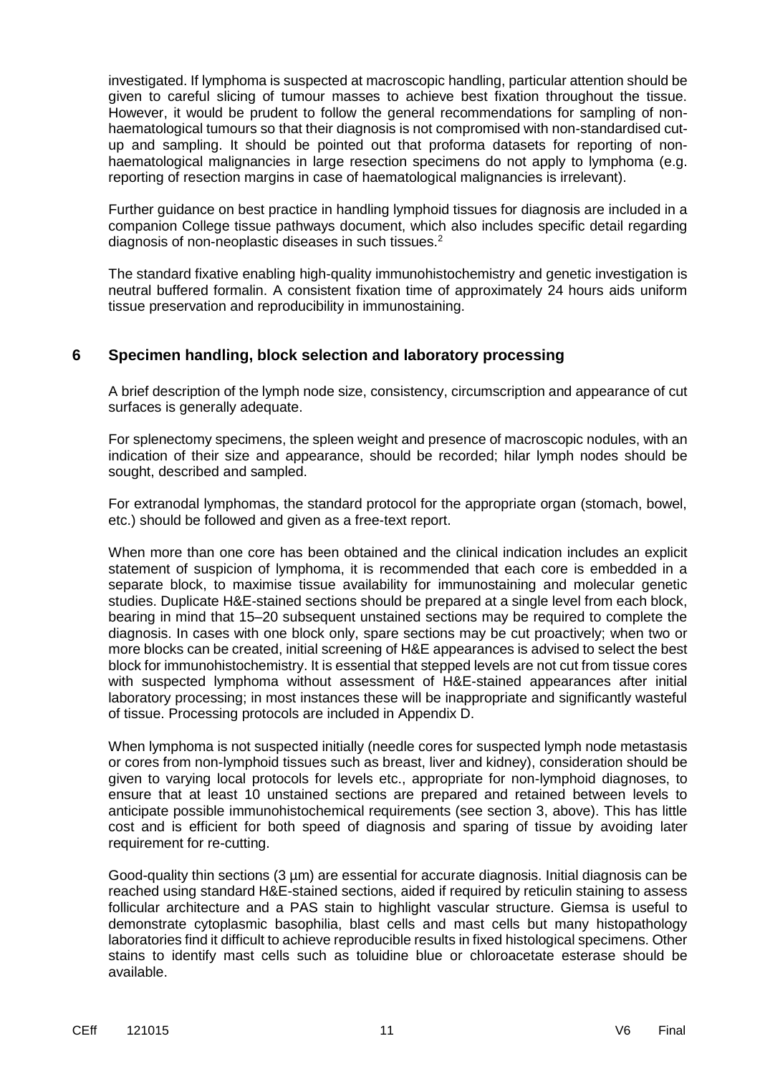investigated. If lymphoma is suspected at macroscopic handling, particular attention should be given to careful slicing of tumour masses to achieve best fixation throughout the tissue. However, it would be prudent to follow the general recommendations for sampling of nonhaematological tumours so that their diagnosis is not compromised with non-standardised cutup and sampling. It should be pointed out that proforma datasets for reporting of nonhaematological malignancies in large resection specimens do not apply to lymphoma (e.g. reporting of resection margins in case of haematological malignancies is irrelevant).

Further guidance on best practice in handling lymphoid tissues for diagnosis are included in a companion College tissue pathways document, which also includes specific detail regarding diagnosis of non-neoplastic diseases in such tissues.<sup>2</sup>

The standard fixative enabling high-quality immunohistochemistry and genetic investigation is neutral buffered formalin. A consistent fixation time of approximately 24 hours aids uniform tissue preservation and reproducibility in immunostaining.

## **6 Specimen handling, block selection and laboratory processing**

A brief description of the lymph node size, consistency, circumscription and appearance of cut surfaces is generally adequate.

For splenectomy specimens, the spleen weight and presence of macroscopic nodules, with an indication of their size and appearance, should be recorded; hilar lymph nodes should be sought, described and sampled.

For extranodal lymphomas, the standard protocol for the appropriate organ (stomach, bowel, etc.) should be followed and given as a free-text report.

When more than one core has been obtained and the clinical indication includes an explicit statement of suspicion of lymphoma, it is recommended that each core is embedded in a separate block, to maximise tissue availability for immunostaining and molecular genetic studies. Duplicate H&E-stained sections should be prepared at a single level from each block, bearing in mind that 15–20 subsequent unstained sections may be required to complete the diagnosis. In cases with one block only, spare sections may be cut proactively; when two or more blocks can be created, initial screening of H&E appearances is advised to select the best block for immunohistochemistry. It is essential that stepped levels are not cut from tissue cores with suspected lymphoma without assessment of H&E-stained appearances after initial laboratory processing; in most instances these will be inappropriate and significantly wasteful of tissue. Processing protocols are included in Appendix D.

When lymphoma is not suspected initially (needle cores for suspected lymph node metastasis or cores from non-lymphoid tissues such as breast, liver and kidney), consideration should be given to varying local protocols for levels etc., appropriate for non-lymphoid diagnoses, to ensure that at least 10 unstained sections are prepared and retained between levels to anticipate possible immunohistochemical requirements (see section 3, above). This has little cost and is efficient for both speed of diagnosis and sparing of tissue by avoiding later requirement for re-cutting.

Good-quality thin sections (3 µm) are essential for accurate diagnosis. Initial diagnosis can be reached using standard H&E-stained sections, aided if required by reticulin staining to assess follicular architecture and a PAS stain to highlight vascular structure. Giemsa is useful to demonstrate cytoplasmic basophilia, blast cells and mast cells but many histopathology laboratories find it difficult to achieve reproducible results in fixed histological specimens. Other stains to identify mast cells such as toluidine blue or chloroacetate esterase should be available.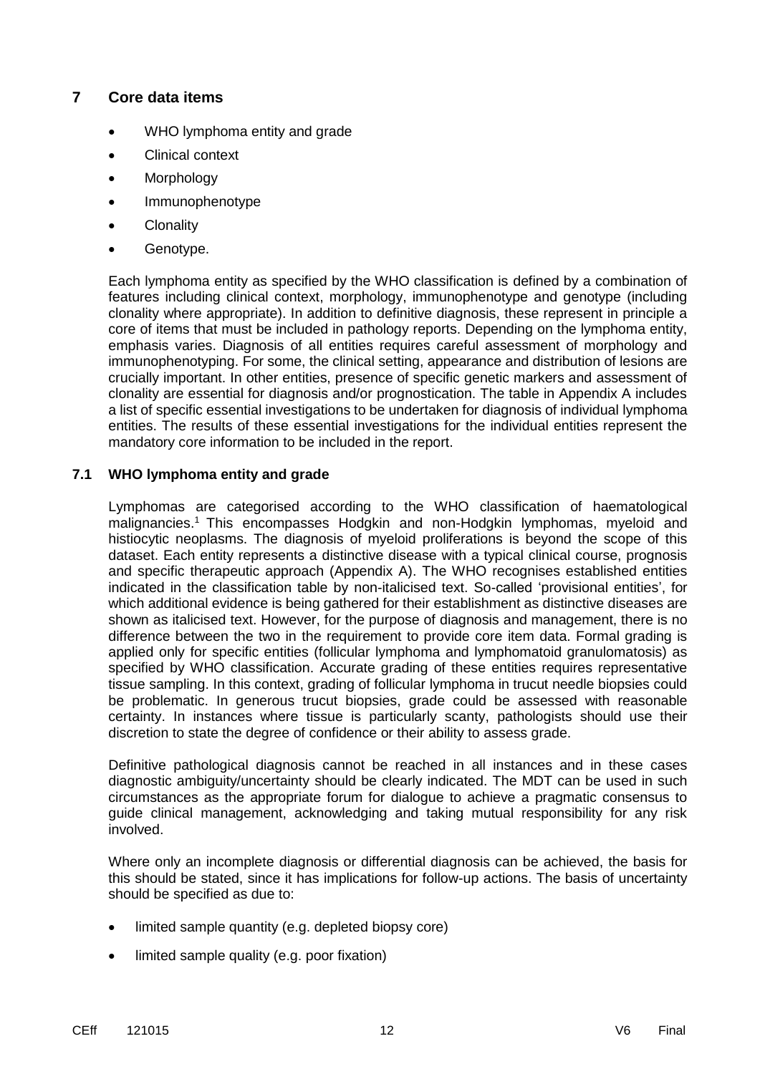## **7 Core data items**

- WHO lymphoma entity and grade
- Clinical context
- Morphology
- Immunophenotype
- Clonality
- Genotype.

Each lymphoma entity as specified by the WHO classification is defined by a combination of features including clinical context, morphology, immunophenotype and genotype (including clonality where appropriate). In addition to definitive diagnosis, these represent in principle a core of items that must be included in pathology reports. Depending on the lymphoma entity, emphasis varies. Diagnosis of all entities requires careful assessment of morphology and immunophenotyping. For some, the clinical setting, appearance and distribution of lesions are crucially important. In other entities, presence of specific genetic markers and assessment of clonality are essential for diagnosis and/or prognostication. The table in Appendix A includes a list of specific essential investigations to be undertaken for diagnosis of individual lymphoma entities. The results of these essential investigations for the individual entities represent the mandatory core information to be included in the report.

## **7.1 WHO lymphoma entity and grade**

Lymphomas are categorised according to the WHO classification of haematological malignancies.<sup>1</sup> This encompasses Hodgkin and non-Hodgkin lymphomas, myeloid and histiocytic neoplasms. The diagnosis of myeloid proliferations is beyond the scope of this dataset. Each entity represents a distinctive disease with a typical clinical course, prognosis and specific therapeutic approach (Appendix A). The WHO recognises established entities indicated in the classification table by non-italicised text. So-called 'provisional entities', for which additional evidence is being gathered for their establishment as distinctive diseases are shown as italicised text. However, for the purpose of diagnosis and management, there is no difference between the two in the requirement to provide core item data. Formal grading is applied only for specific entities (follicular lymphoma and lymphomatoid granulomatosis) as specified by WHO classification. Accurate grading of these entities requires representative tissue sampling. In this context, grading of follicular lymphoma in trucut needle biopsies could be problematic. In generous trucut biopsies, grade could be assessed with reasonable certainty. In instances where tissue is particularly scanty, pathologists should use their discretion to state the degree of confidence or their ability to assess grade.

Definitive pathological diagnosis cannot be reached in all instances and in these cases diagnostic ambiguity/uncertainty should be clearly indicated. The MDT can be used in such circumstances as the appropriate forum for dialogue to achieve a pragmatic consensus to guide clinical management, acknowledging and taking mutual responsibility for any risk involved.

Where only an incomplete diagnosis or differential diagnosis can be achieved, the basis for this should be stated, since it has implications for follow-up actions. The basis of uncertainty should be specified as due to:

- limited sample quantity (e.g. depleted biopsy core)
- limited sample quality (e.g. poor fixation)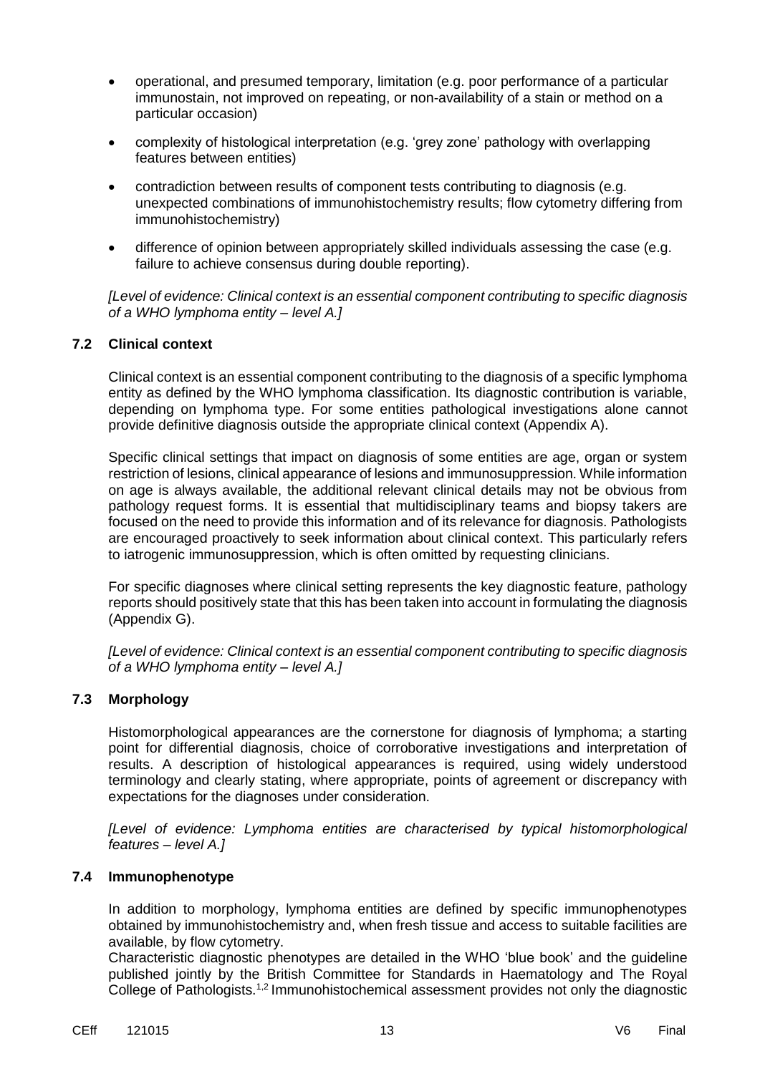- operational, and presumed temporary, limitation (e.g. poor performance of a particular immunostain, not improved on repeating, or non-availability of a stain or method on a particular occasion)
- complexity of histological interpretation (e.g. 'grey zone' pathology with overlapping features between entities)
- contradiction between results of component tests contributing to diagnosis (e.g. unexpected combinations of immunohistochemistry results; flow cytometry differing from immunohistochemistry)
- difference of opinion between appropriately skilled individuals assessing the case (e.g. failure to achieve consensus during double reporting).

*[Level of evidence: Clinical context is an essential component contributing to specific diagnosis of a WHO lymphoma entity – level A.]*

#### **7.2 Clinical context**

Clinical context is an essential component contributing to the diagnosis of a specific lymphoma entity as defined by the WHO lymphoma classification. Its diagnostic contribution is variable, depending on lymphoma type. For some entities pathological investigations alone cannot provide definitive diagnosis outside the appropriate clinical context (Appendix A).

Specific clinical settings that impact on diagnosis of some entities are age, organ or system restriction of lesions, clinical appearance of lesions and immunosuppression. While information on age is always available, the additional relevant clinical details may not be obvious from pathology request forms. It is essential that multidisciplinary teams and biopsy takers are focused on the need to provide this information and of its relevance for diagnosis. Pathologists are encouraged proactively to seek information about clinical context. This particularly refers to iatrogenic immunosuppression, which is often omitted by requesting clinicians.

For specific diagnoses where clinical setting represents the key diagnostic feature, pathology reports should positively state that this has been taken into account in formulating the diagnosis (Appendix G).

*[Level of evidence: Clinical context is an essential component contributing to specific diagnosis of a WHO lymphoma entity – level A.]*

#### **7.3 Morphology**

Histomorphological appearances are the cornerstone for diagnosis of lymphoma; a starting point for differential diagnosis, choice of corroborative investigations and interpretation of results. A description of histological appearances is required, using widely understood terminology and clearly stating, where appropriate, points of agreement or discrepancy with expectations for the diagnoses under consideration.

*[Level of evidence: Lymphoma entities are characterised by typical histomorphological features – level A.]*

#### **7.4 Immunophenotype**

In addition to morphology, lymphoma entities are defined by specific immunophenotypes obtained by immunohistochemistry and, when fresh tissue and access to suitable facilities are available, by flow cytometry.

Characteristic diagnostic phenotypes are detailed in the WHO 'blue book' and the guideline published jointly by the British Committee for Standards in Haematology and The Royal College of Pathologists.<sup>1,2</sup> Immunohistochemical assessment provides not only the diagnostic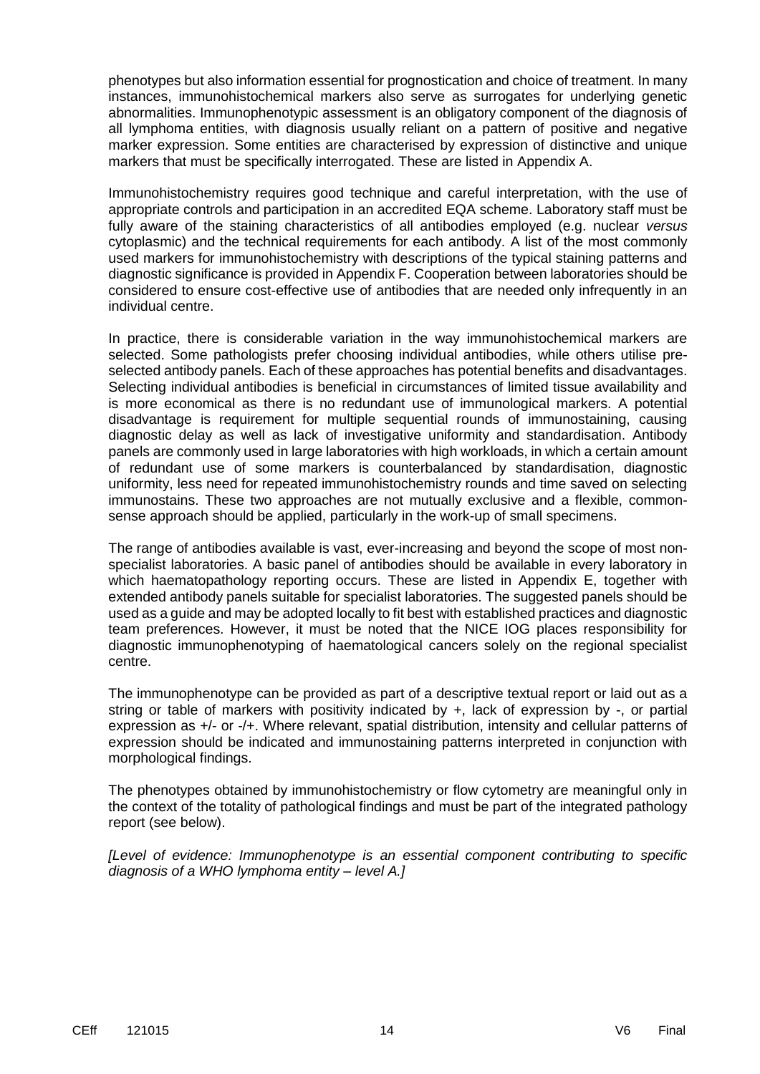phenotypes but also information essential for prognostication and choice of treatment. In many instances, immunohistochemical markers also serve as surrogates for underlying genetic abnormalities. Immunophenotypic assessment is an obligatory component of the diagnosis of all lymphoma entities, with diagnosis usually reliant on a pattern of positive and negative marker expression. Some entities are characterised by expression of distinctive and unique markers that must be specifically interrogated. These are listed in Appendix A.

Immunohistochemistry requires good technique and careful interpretation, with the use of appropriate controls and participation in an accredited EQA scheme. Laboratory staff must be fully aware of the staining characteristics of all antibodies employed (e.g. nuclear *versus* cytoplasmic) and the technical requirements for each antibody. A list of the most commonly used markers for immunohistochemistry with descriptions of the typical staining patterns and diagnostic significance is provided in Appendix F. Cooperation between laboratories should be considered to ensure cost-effective use of antibodies that are needed only infrequently in an individual centre.

In practice, there is considerable variation in the way immunohistochemical markers are selected. Some pathologists prefer choosing individual antibodies, while others utilise preselected antibody panels. Each of these approaches has potential benefits and disadvantages. Selecting individual antibodies is beneficial in circumstances of limited tissue availability and is more economical as there is no redundant use of immunological markers. A potential disadvantage is requirement for multiple sequential rounds of immunostaining, causing diagnostic delay as well as lack of investigative uniformity and standardisation. Antibody panels are commonly used in large laboratories with high workloads, in which a certain amount of redundant use of some markers is counterbalanced by standardisation, diagnostic uniformity, less need for repeated immunohistochemistry rounds and time saved on selecting immunostains. These two approaches are not mutually exclusive and a flexible, commonsense approach should be applied, particularly in the work-up of small specimens.

The range of antibodies available is vast, ever-increasing and beyond the scope of most nonspecialist laboratories. A basic panel of antibodies should be available in every laboratory in which haematopathology reporting occurs. These are listed in Appendix E, together with extended antibody panels suitable for specialist laboratories. The suggested panels should be used as a guide and may be adopted locally to fit best with established practices and diagnostic team preferences. However, it must be noted that the NICE IOG places responsibility for diagnostic immunophenotyping of haematological cancers solely on the regional specialist centre.

The immunophenotype can be provided as part of a descriptive textual report or laid out as a string or table of markers with positivity indicated by +, lack of expression by -, or partial expression as +/- or -/+. Where relevant, spatial distribution, intensity and cellular patterns of expression should be indicated and immunostaining patterns interpreted in conjunction with morphological findings.

The phenotypes obtained by immunohistochemistry or flow cytometry are meaningful only in the context of the totality of pathological findings and must be part of the integrated pathology report (see below).

*[Level of evidence: Immunophenotype is an essential component contributing to specific diagnosis of a WHO lymphoma entity – level A.]*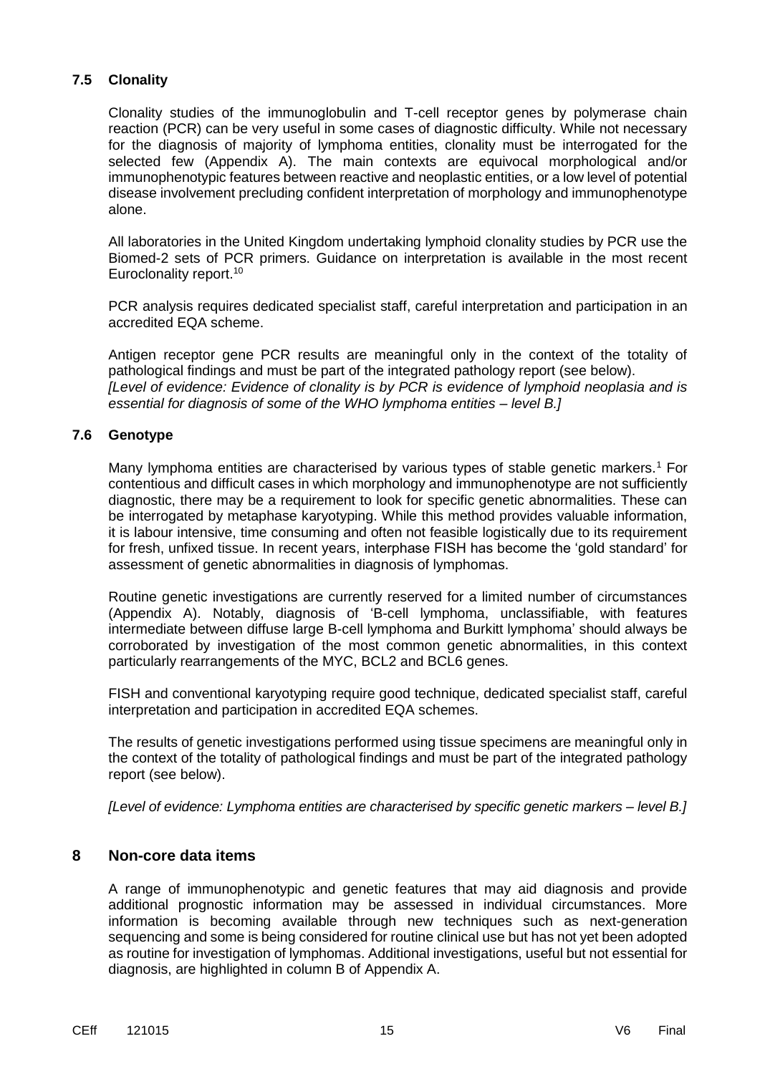## **7.5 Clonality**

Clonality studies of the immunoglobulin and T-cell receptor genes by polymerase chain reaction (PCR) can be very useful in some cases of diagnostic difficulty. While not necessary for the diagnosis of majority of lymphoma entities, clonality must be interrogated for the selected few (Appendix A). The main contexts are equivocal morphological and/or immunophenotypic features between reactive and neoplastic entities, or a low level of potential disease involvement precluding confident interpretation of morphology and immunophenotype alone.

All laboratories in the United Kingdom undertaking lymphoid clonality studies by PCR use the Biomed-2 sets of PCR primers. Guidance on interpretation is available in the most recent Euroclonality report.<sup>10</sup>

PCR analysis requires dedicated specialist staff, careful interpretation and participation in an accredited EQA scheme.

Antigen receptor gene PCR results are meaningful only in the context of the totality of pathological findings and must be part of the integrated pathology report (see below). *[Level of evidence: Evidence of clonality is by PCR is evidence of lymphoid neoplasia and is essential for diagnosis of some of the WHO lymphoma entities – level B.]*

## **7.6 Genotype**

Many lymphoma entities are characterised by various types of stable genetic markers.<sup>1</sup> For contentious and difficult cases in which morphology and immunophenotype are not sufficiently diagnostic, there may be a requirement to look for specific genetic abnormalities. These can be interrogated by metaphase karyotyping. While this method provides valuable information, it is labour intensive, time consuming and often not feasible logistically due to its requirement for fresh, unfixed tissue. In recent years, interphase FISH has become the 'gold standard' for assessment of genetic abnormalities in diagnosis of lymphomas.

Routine genetic investigations are currently reserved for a limited number of circumstances (Appendix A). Notably, diagnosis of 'B-cell lymphoma, unclassifiable, with features intermediate between diffuse large B-cell lymphoma and Burkitt lymphoma' should always be corroborated by investigation of the most common genetic abnormalities, in this context particularly rearrangements of the MYC, BCL2 and BCL6 genes.

FISH and conventional karyotyping require good technique, dedicated specialist staff, careful interpretation and participation in accredited EQA schemes.

The results of genetic investigations performed using tissue specimens are meaningful only in the context of the totality of pathological findings and must be part of the integrated pathology report (see below).

*[Level of evidence: Lymphoma entities are characterised by specific genetic markers – level B.]*

## **8 Non-core data items**

A range of immunophenotypic and genetic features that may aid diagnosis and provide additional prognostic information may be assessed in individual circumstances. More information is becoming available through new techniques such as next-generation sequencing and some is being considered for routine clinical use but has not yet been adopted as routine for investigation of lymphomas. Additional investigations, useful but not essential for diagnosis, are highlighted in column B of Appendix A.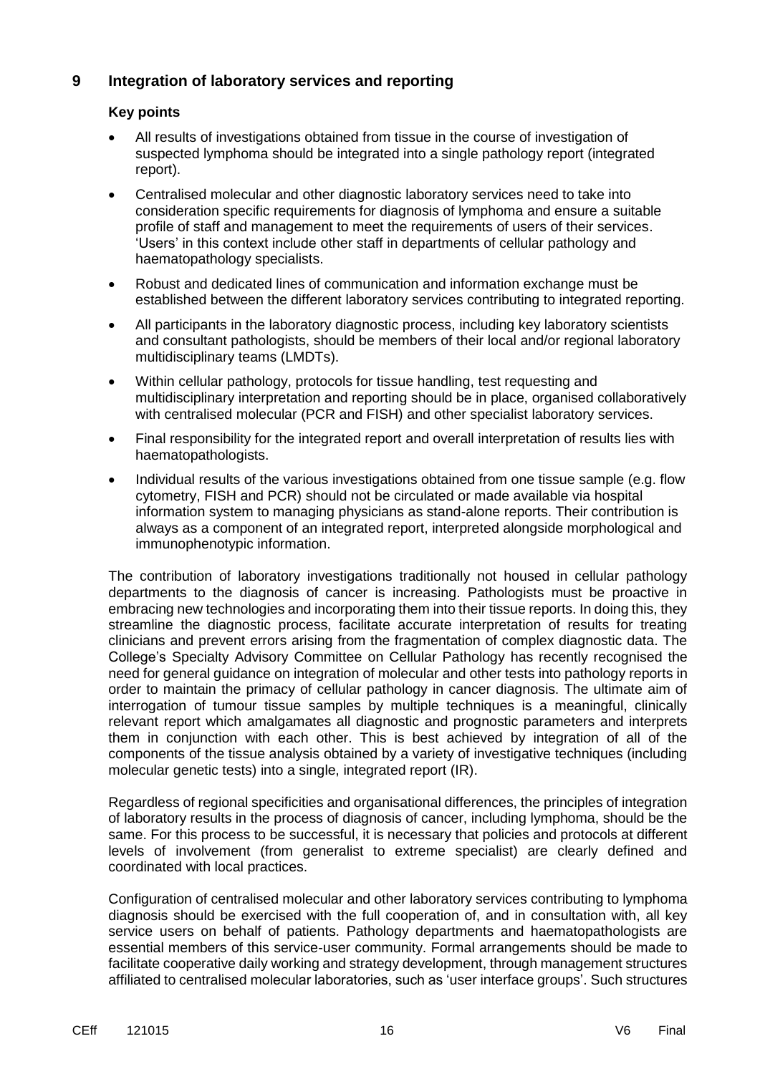## **9 Integration of laboratory services and reporting**

#### **Key points**

- All results of investigations obtained from tissue in the course of investigation of suspected lymphoma should be integrated into a single pathology report (integrated report).
- Centralised molecular and other diagnostic laboratory services need to take into consideration specific requirements for diagnosis of lymphoma and ensure a suitable profile of staff and management to meet the requirements of users of their services. 'Users' in this context include other staff in departments of cellular pathology and haematopathology specialists.
- Robust and dedicated lines of communication and information exchange must be established between the different laboratory services contributing to integrated reporting.
- All participants in the laboratory diagnostic process, including key laboratory scientists and consultant pathologists, should be members of their local and/or regional laboratory multidisciplinary teams (LMDTs).
- Within cellular pathology, protocols for tissue handling, test requesting and multidisciplinary interpretation and reporting should be in place, organised collaboratively with centralised molecular (PCR and FISH) and other specialist laboratory services.
- Final responsibility for the integrated report and overall interpretation of results lies with haematopathologists.
- Individual results of the various investigations obtained from one tissue sample (e.g. flow cytometry, FISH and PCR) should not be circulated or made available via hospital information system to managing physicians as stand-alone reports. Their contribution is always as a component of an integrated report, interpreted alongside morphological and immunophenotypic information.

The contribution of laboratory investigations traditionally not housed in cellular pathology departments to the diagnosis of cancer is increasing. Pathologists must be proactive in embracing new technologies and incorporating them into their tissue reports. In doing this, they streamline the diagnostic process, facilitate accurate interpretation of results for treating clinicians and prevent errors arising from the fragmentation of complex diagnostic data. The College's Specialty Advisory Committee on Cellular Pathology has recently recognised the need for general guidance on integration of molecular and other tests into pathology reports in order to maintain the primacy of cellular pathology in cancer diagnosis. The ultimate aim of interrogation of tumour tissue samples by multiple techniques is a meaningful, clinically relevant report which amalgamates all diagnostic and prognostic parameters and interprets them in conjunction with each other. This is best achieved by integration of all of the components of the tissue analysis obtained by a variety of investigative techniques (including molecular genetic tests) into a single, integrated report (IR).

Regardless of regional specificities and organisational differences, the principles of integration of laboratory results in the process of diagnosis of cancer, including lymphoma, should be the same. For this process to be successful, it is necessary that policies and protocols at different levels of involvement (from generalist to extreme specialist) are clearly defined and coordinated with local practices.

Configuration of centralised molecular and other laboratory services contributing to lymphoma diagnosis should be exercised with the full cooperation of, and in consultation with, all key service users on behalf of patients. Pathology departments and haematopathologists are essential members of this service-user community. Formal arrangements should be made to facilitate cooperative daily working and strategy development, through management structures affiliated to centralised molecular laboratories, such as 'user interface groups'. Such structures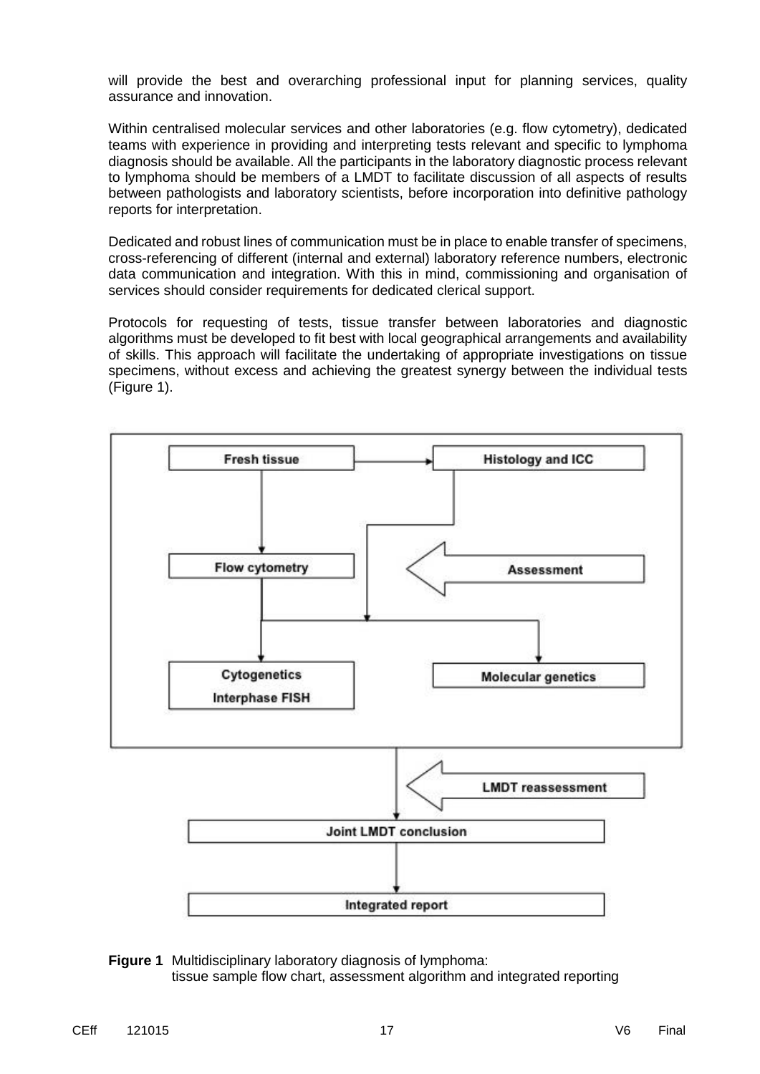will provide the best and overarching professional input for planning services, quality assurance and innovation.

Within centralised molecular services and other laboratories (e.g. flow cytometry), dedicated teams with experience in providing and interpreting tests relevant and specific to lymphoma diagnosis should be available. All the participants in the laboratory diagnostic process relevant to lymphoma should be members of a LMDT to facilitate discussion of all aspects of results between pathologists and laboratory scientists, before incorporation into definitive pathology reports for interpretation.

Dedicated and robust lines of communication must be in place to enable transfer of specimens, cross-referencing of different (internal and external) laboratory reference numbers, electronic data communication and integration. With this in mind, commissioning and organisation of services should consider requirements for dedicated clerical support.

Protocols for requesting of tests, tissue transfer between laboratories and diagnostic algorithms must be developed to fit best with local geographical arrangements and availability of skills. This approach will facilitate the undertaking of appropriate investigations on tissue specimens, without excess and achieving the greatest synergy between the individual tests (Figure 1).



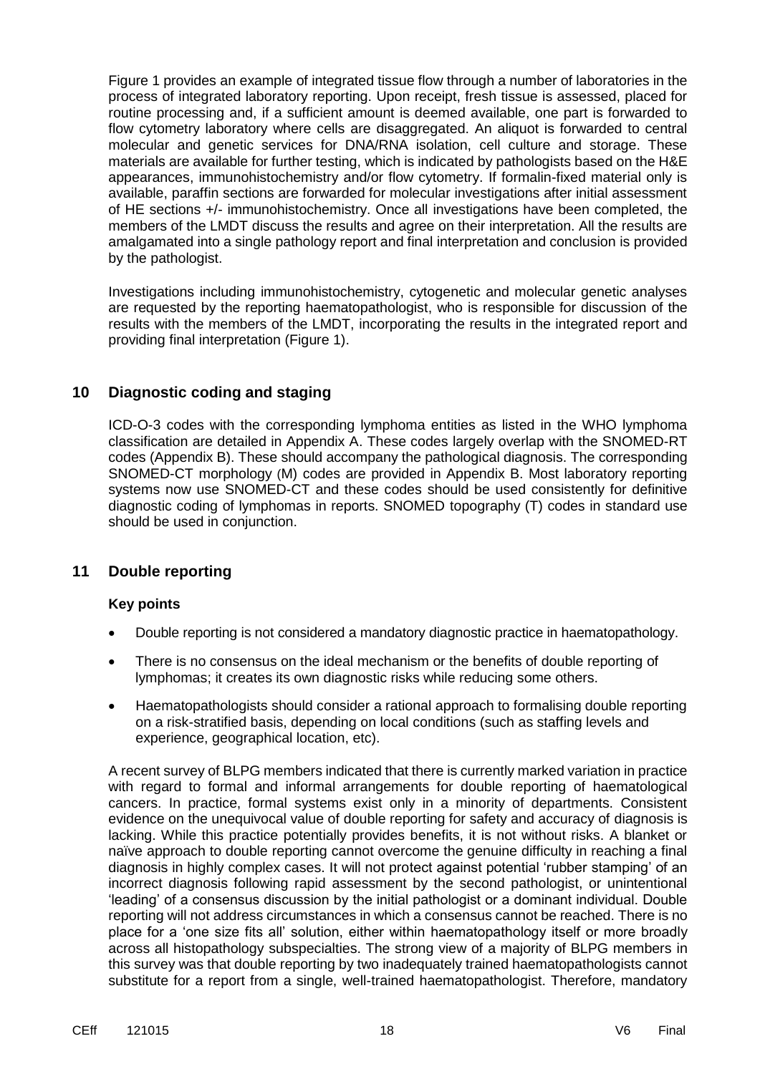Figure 1 provides an example of integrated tissue flow through a number of laboratories in the process of integrated laboratory reporting. Upon receipt, fresh tissue is assessed, placed for routine processing and, if a sufficient amount is deemed available, one part is forwarded to flow cytometry laboratory where cells are disaggregated. An aliquot is forwarded to central molecular and genetic services for DNA/RNA isolation, cell culture and storage. These materials are available for further testing, which is indicated by pathologists based on the H&E appearances, immunohistochemistry and/or flow cytometry. If formalin-fixed material only is available, paraffin sections are forwarded for molecular investigations after initial assessment of HE sections +/- immunohistochemistry. Once all investigations have been completed, the members of the LMDT discuss the results and agree on their interpretation. All the results are amalgamated into a single pathology report and final interpretation and conclusion is provided by the pathologist.

Investigations including immunohistochemistry, cytogenetic and molecular genetic analyses are requested by the reporting haematopathologist, who is responsible for discussion of the results with the members of the LMDT, incorporating the results in the integrated report and providing final interpretation (Figure 1).

## **10 Diagnostic coding and staging**

ICD-O-3 codes with the corresponding lymphoma entities as listed in the WHO lymphoma classification are detailed in Appendix A. These codes largely overlap with the SNOMED-RT codes (Appendix B). These should accompany the pathological diagnosis. The corresponding SNOMED-CT morphology (M) codes are provided in Appendix B. Most laboratory reporting systems now use SNOMED-CT and these codes should be used consistently for definitive diagnostic coding of lymphomas in reports. SNOMED topography (T) codes in standard use should be used in conjunction.

## **11 Double reporting**

#### **Key points**

- Double reporting is not considered a mandatory diagnostic practice in haematopathology.
- There is no consensus on the ideal mechanism or the benefits of double reporting of lymphomas; it creates its own diagnostic risks while reducing some others.
- Haematopathologists should consider a rational approach to formalising double reporting on a risk-stratified basis, depending on local conditions (such as staffing levels and experience, geographical location, etc).

A recent survey of BLPG members indicated that there is currently marked variation in practice with regard to formal and informal arrangements for double reporting of haematological cancers. In practice, formal systems exist only in a minority of departments. Consistent evidence on the unequivocal value of double reporting for safety and accuracy of diagnosis is lacking. While this practice potentially provides benefits, it is not without risks. A blanket or naïve approach to double reporting cannot overcome the genuine difficulty in reaching a final diagnosis in highly complex cases. It will not protect against potential 'rubber stamping' of an incorrect diagnosis following rapid assessment by the second pathologist, or unintentional 'leading' of a consensus discussion by the initial pathologist or a dominant individual. Double reporting will not address circumstances in which a consensus cannot be reached. There is no place for a 'one size fits all' solution, either within haematopathology itself or more broadly across all histopathology subspecialties. The strong view of a majority of BLPG members in this survey was that double reporting by two inadequately trained haematopathologists cannot substitute for a report from a single, well-trained haematopathologist. Therefore, mandatory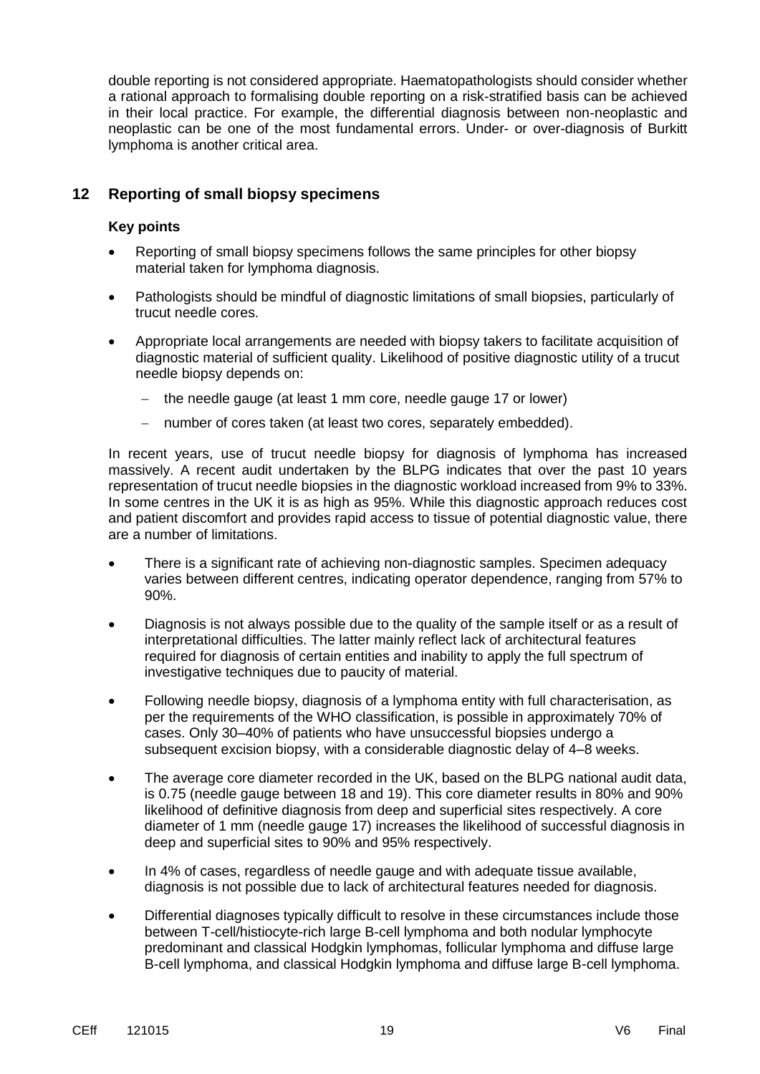double reporting is not considered appropriate. Haematopathologists should consider whether a rational approach to formalising double reporting on a risk-stratified basis can be achieved in their local practice. For example, the differential diagnosis between non-neoplastic and neoplastic can be one of the most fundamental errors. Under- or over-diagnosis of Burkitt lymphoma is another critical area.

## **12 Reporting of small biopsy specimens**

#### **Key points**

- Reporting of small biopsy specimens follows the same principles for other biopsy material taken for lymphoma diagnosis.
- Pathologists should be mindful of diagnostic limitations of small biopsies, particularly of trucut needle cores.
- Appropriate local arrangements are needed with biopsy takers to facilitate acquisition of diagnostic material of sufficient quality. Likelihood of positive diagnostic utility of a trucut needle biopsy depends on:
	- $-$  the needle gauge (at least 1 mm core, needle gauge 17 or lower)
	- number of cores taken (at least two cores, separately embedded).

In recent years, use of trucut needle biopsy for diagnosis of lymphoma has increased massively. A recent audit undertaken by the BLPG indicates that over the past 10 years representation of trucut needle biopsies in the diagnostic workload increased from 9% to 33%. In some centres in the UK it is as high as 95%. While this diagnostic approach reduces cost and patient discomfort and provides rapid access to tissue of potential diagnostic value, there are a number of limitations.

- There is a significant rate of achieving non-diagnostic samples. Specimen adequacy varies between different centres, indicating operator dependence, ranging from 57% to 90%.
- Diagnosis is not always possible due to the quality of the sample itself or as a result of interpretational difficulties. The latter mainly reflect lack of architectural features required for diagnosis of certain entities and inability to apply the full spectrum of investigative techniques due to paucity of material.
- Following needle biopsy, diagnosis of a lymphoma entity with full characterisation, as per the requirements of the WHO classification, is possible in approximately 70% of cases. Only 30–40% of patients who have unsuccessful biopsies undergo a subsequent excision biopsy, with a considerable diagnostic delay of 4–8 weeks.
- The average core diameter recorded in the UK, based on the BLPG national audit data, is 0.75 (needle gauge between 18 and 19). This core diameter results in 80% and 90% likelihood of definitive diagnosis from deep and superficial sites respectively. A core diameter of 1 mm (needle gauge 17) increases the likelihood of successful diagnosis in deep and superficial sites to 90% and 95% respectively.
- In 4% of cases, regardless of needle gauge and with adequate tissue available, diagnosis is not possible due to lack of architectural features needed for diagnosis.
- Differential diagnoses typically difficult to resolve in these circumstances include those between T-cell/histiocyte-rich large B-cell lymphoma and both nodular lymphocyte predominant and classical Hodgkin lymphomas, follicular lymphoma and diffuse large B-cell lymphoma, and classical Hodgkin lymphoma and diffuse large B-cell lymphoma.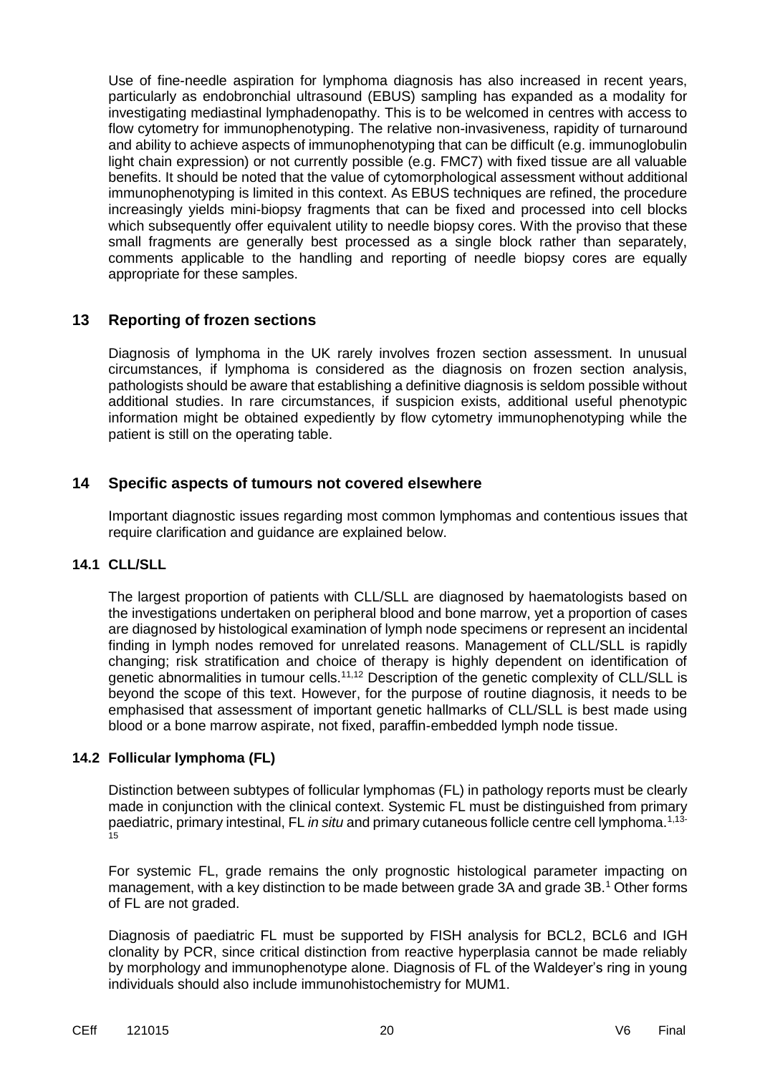Use of fine-needle aspiration for lymphoma diagnosis has also increased in recent years, particularly as endobronchial ultrasound (EBUS) sampling has expanded as a modality for investigating mediastinal lymphadenopathy. This is to be welcomed in centres with access to flow cytometry for immunophenotyping. The relative non-invasiveness, rapidity of turnaround and ability to achieve aspects of immunophenotyping that can be difficult (e.g. immunoglobulin light chain expression) or not currently possible (e.g. FMC7) with fixed tissue are all valuable benefits. It should be noted that the value of cytomorphological assessment without additional immunophenotyping is limited in this context. As EBUS techniques are refined, the procedure increasingly yields mini-biopsy fragments that can be fixed and processed into cell blocks which subsequently offer equivalent utility to needle biopsy cores. With the proviso that these small fragments are generally best processed as a single block rather than separately, comments applicable to the handling and reporting of needle biopsy cores are equally appropriate for these samples.

## **13 Reporting of frozen sections**

Diagnosis of lymphoma in the UK rarely involves frozen section assessment. In unusual circumstances, if lymphoma is considered as the diagnosis on frozen section analysis, pathologists should be aware that establishing a definitive diagnosis is seldom possible without additional studies. In rare circumstances, if suspicion exists, additional useful phenotypic information might be obtained expediently by flow cytometry immunophenotyping while the patient is still on the operating table.

## **14 Specific aspects of tumours not covered elsewhere**

Important diagnostic issues regarding most common lymphomas and contentious issues that require clarification and guidance are explained below.

#### **14.1 CLL/SLL**

The largest proportion of patients with CLL/SLL are diagnosed by haematologists based on the investigations undertaken on peripheral blood and bone marrow, yet a proportion of cases are diagnosed by histological examination of lymph node specimens or represent an incidental finding in lymph nodes removed for unrelated reasons. Management of CLL/SLL is rapidly changing; risk stratification and choice of therapy is highly dependent on identification of genetic abnormalities in tumour cells.<sup>11,12</sup> Description of the genetic complexity of CLL/SLL is beyond the scope of this text. However, for the purpose of routine diagnosis, it needs to be emphasised that assessment of important genetic hallmarks of CLL/SLL is best made using blood or a bone marrow aspirate, not fixed, paraffin-embedded lymph node tissue.

#### **14.2 Follicular lymphoma (FL)**

Distinction between subtypes of follicular lymphomas (FL) in pathology reports must be clearly made in conjunction with the clinical context. Systemic FL must be distinguished from primary paediatric, primary intestinal, FL *in situ* and primary cutaneous follicle centre cell lymphoma.<sup>1,13-</sup> .<br>15

For systemic FL, grade remains the only prognostic histological parameter impacting on management, with a key distinction to be made between grade 3A and grade 3B,<sup>1</sup> Other forms of FL are not graded.

Diagnosis of paediatric FL must be supported by FISH analysis for BCL2, BCL6 and IGH clonality by PCR, since critical distinction from reactive hyperplasia cannot be made reliably by morphology and immunophenotype alone. Diagnosis of FL of the Waldeyer's ring in young individuals should also include immunohistochemistry for MUM1.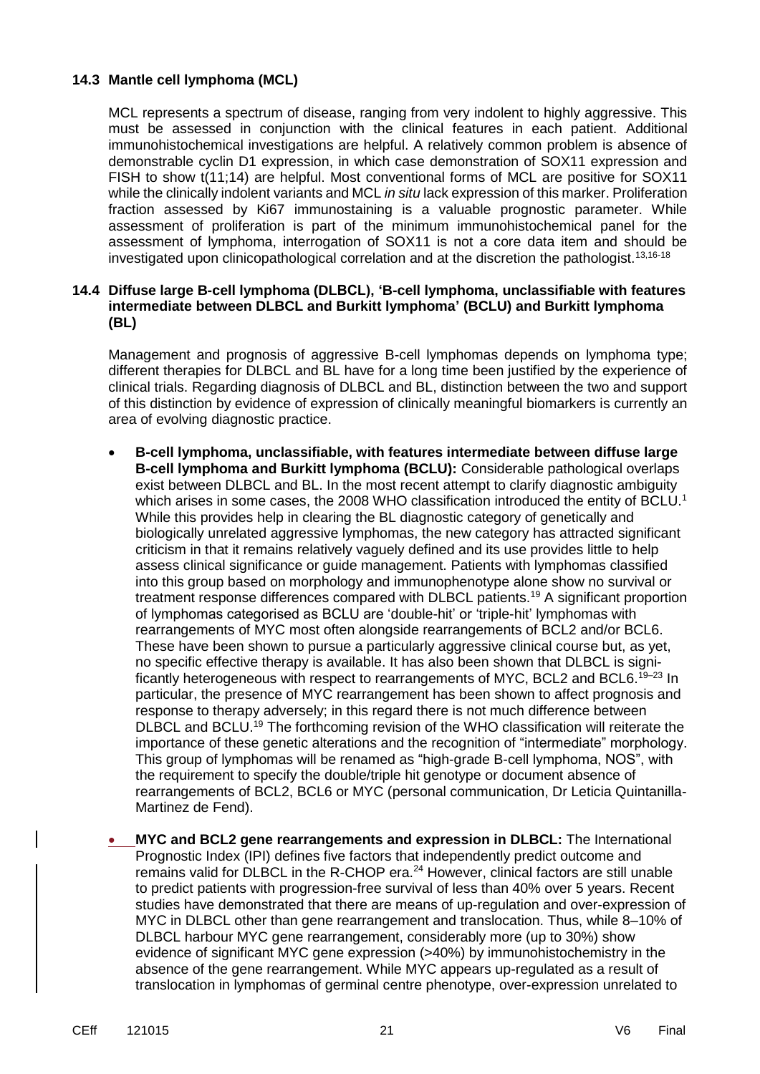#### **14.3 Mantle cell lymphoma (MCL)**

MCL represents a spectrum of disease, ranging from very indolent to highly aggressive. This must be assessed in conjunction with the clinical features in each patient. Additional immunohistochemical investigations are helpful. A relatively common problem is absence of demonstrable cyclin D1 expression, in which case demonstration of SOX11 expression and FISH to show t(11;14) are helpful. Most conventional forms of MCL are positive for SOX11 while the clinically indolent variants and MCL *in situ* lack expression of this marker. Proliferation fraction assessed by Ki67 immunostaining is a valuable prognostic parameter. While assessment of proliferation is part of the minimum immunohistochemical panel for the assessment of lymphoma, interrogation of SOX11 is not a core data item and should be investigated upon clinicopathological correlation and at the discretion the pathologist.<sup>13,16-18</sup>

#### **14.4 Diffuse large B-cell lymphoma (DLBCL), 'B-cell lymphoma, unclassifiable with features intermediate between DLBCL and Burkitt lymphoma' (BCLU) and Burkitt lymphoma (BL)**

Management and prognosis of aggressive B-cell lymphomas depends on lymphoma type; different therapies for DLBCL and BL have for a long time been justified by the experience of clinical trials. Regarding diagnosis of DLBCL and BL, distinction between the two and support of this distinction by evidence of expression of clinically meaningful biomarkers is currently an area of evolving diagnostic practice.

- **B-cell lymphoma, unclassifiable, with features intermediate between diffuse large B-cell lymphoma and Burkitt lymphoma (BCLU):** Considerable pathological overlaps exist between DLBCL and BL. In the most recent attempt to clarify diagnostic ambiguity which arises in some cases, the 2008 WHO classification introduced the entity of BCLU.<sup>1</sup> While this provides help in clearing the BL diagnostic category of genetically and biologically unrelated aggressive lymphomas, the new category has attracted significant criticism in that it remains relatively vaguely defined and its use provides little to help assess clinical significance or guide management. Patients with lymphomas classified into this group based on morphology and immunophenotype alone show no survival or treatment response differences compared with DLBCL patients.<sup>19</sup> A significant proportion of lymphomas categorised as BCLU are 'double-hit' or 'triple-hit' lymphomas with rearrangements of MYC most often alongside rearrangements of BCL2 and/or BCL6. These have been shown to pursue a particularly aggressive clinical course but, as yet, no specific effective therapy is available. It has also been shown that DLBCL is significantly heterogeneous with respect to rearrangements of MYC, BCL2 and BCL6.<sup>19-23</sup> In particular, the presence of MYC rearrangement has been shown to affect prognosis and response to therapy adversely; in this regard there is not much difference between DLBCL and BCLU.<sup>19</sup> The forthcoming revision of the WHO classification will reiterate the importance of these genetic alterations and the recognition of "intermediate" morphology. This group of lymphomas will be renamed as "high-grade B-cell lymphoma, NOS", with the requirement to specify the double/triple hit genotype or document absence of rearrangements of BCL2, BCL6 or MYC (personal communication, Dr Leticia Quintanilla-Martinez de Fend).
- **MYC and BCL2 gene rearrangements and expression in DLBCL:** The International Prognostic Index (IPI) defines five factors that independently predict outcome and remains valid for DLBCL in the R-CHOP era.<sup>24</sup> However, clinical factors are still unable to predict patients with progression-free survival of less than 40% over 5 years. Recent studies have demonstrated that there are means of up-regulation and over-expression of MYC in DLBCL other than gene rearrangement and translocation. Thus, while 8–10% of DLBCL harbour MYC gene rearrangement, considerably more (up to 30%) show evidence of significant MYC gene expression (>40%) by immunohistochemistry in the absence of the gene rearrangement. While MYC appears up-regulated as a result of translocation in lymphomas of germinal centre phenotype, over-expression unrelated to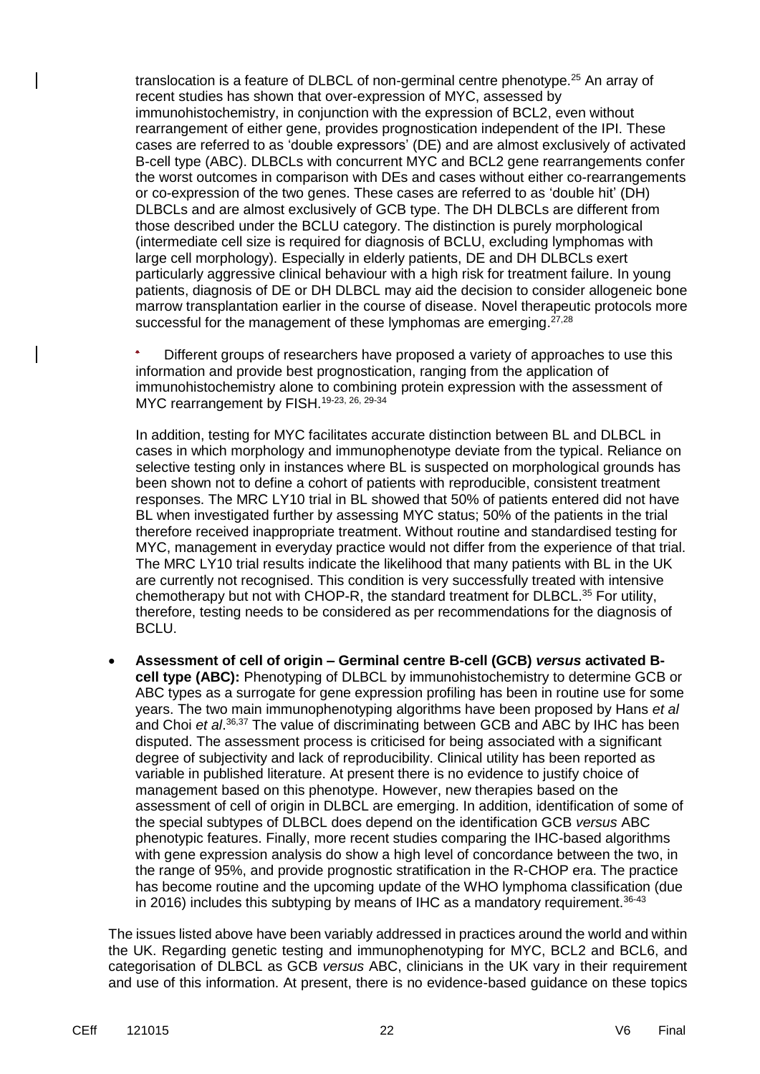translocation is a feature of DLBCL of non-germinal centre phenotype.<sup>25</sup> An array of recent studies has shown that over-expression of MYC, assessed by immunohistochemistry, in conjunction with the expression of BCL2, even without rearrangement of either gene, provides prognostication independent of the IPI. These cases are referred to as 'double expressors' (DE) and are almost exclusively of activated B-cell type (ABC). DLBCLs with concurrent MYC and BCL2 gene rearrangements confer the worst outcomes in comparison with DEs and cases without either co-rearrangements or co-expression of the two genes. These cases are referred to as 'double hit' (DH) DLBCLs and are almost exclusively of GCB type. The DH DLBCLs are different from those described under the BCLU category. The distinction is purely morphological (intermediate cell size is required for diagnosis of BCLU, excluding lymphomas with large cell morphology). Especially in elderly patients, DE and DH DLBCLs exert particularly aggressive clinical behaviour with a high risk for treatment failure. In young patients, diagnosis of DE or DH DLBCL may aid the decision to consider allogeneic bone marrow transplantation earlier in the course of disease. Novel therapeutic protocols more successful for the management of these lymphomas are emerging. $27,28$ 

 Different groups of researchers have proposed a variety of approaches to use this information and provide best prognostication, ranging from the application of immunohistochemistry alone to combining protein expression with the assessment of MYC rearrangement by FISH.<sup>19-23, 26, 29-34</sup>

In addition, testing for MYC facilitates accurate distinction between BL and DLBCL in cases in which morphology and immunophenotype deviate from the typical. Reliance on selective testing only in instances where BL is suspected on morphological grounds has been shown not to define a cohort of patients with reproducible, consistent treatment responses. The MRC LY10 trial in BL showed that 50% of patients entered did not have BL when investigated further by assessing MYC status; 50% of the patients in the trial therefore received inappropriate treatment. Without routine and standardised testing for MYC, management in everyday practice would not differ from the experience of that trial. The MRC LY10 trial results indicate the likelihood that many patients with BL in the UK are currently not recognised. This condition is very successfully treated with intensive chemotherapy but not with CHOP-R, the standard treatment for DLBCL.<sup>35</sup> For utility, therefore, testing needs to be considered as per recommendations for the diagnosis of BCLU.

 **Assessment of cell of origin – Germinal centre B-cell (GCB)** *versus* **activated Bcell type (ABC):** Phenotyping of DLBCL by immunohistochemistry to determine GCB or ABC types as a surrogate for gene expression profiling has been in routine use for some years. The two main immunophenotyping algorithms have been proposed by Hans *et al* and Choi *et al*. 36,37 The value of discriminating between GCB and ABC by IHC has been disputed. The assessment process is criticised for being associated with a significant degree of subjectivity and lack of reproducibility. Clinical utility has been reported as variable in published literature. At present there is no evidence to justify choice of management based on this phenotype. However, new therapies based on the assessment of cell of origin in DLBCL are emerging. In addition, identification of some of the special subtypes of DLBCL does depend on the identification GCB *versus* ABC phenotypic features. Finally, more recent studies comparing the IHC-based algorithms with gene expression analysis do show a high level of concordance between the two, in the range of 95%, and provide prognostic stratification in the R-CHOP era. The practice has become routine and the upcoming update of the WHO lymphoma classification (due in 2016) includes this subtyping by means of IHC as a mandatory requirement.<sup>36-43</sup>

The issues listed above have been variably addressed in practices around the world and within the UK. Regarding genetic testing and immunophenotyping for MYC, BCL2 and BCL6, and categorisation of DLBCL as GCB *versus* ABC, clinicians in the UK vary in their requirement and use of this information. At present, there is no evidence-based guidance on these topics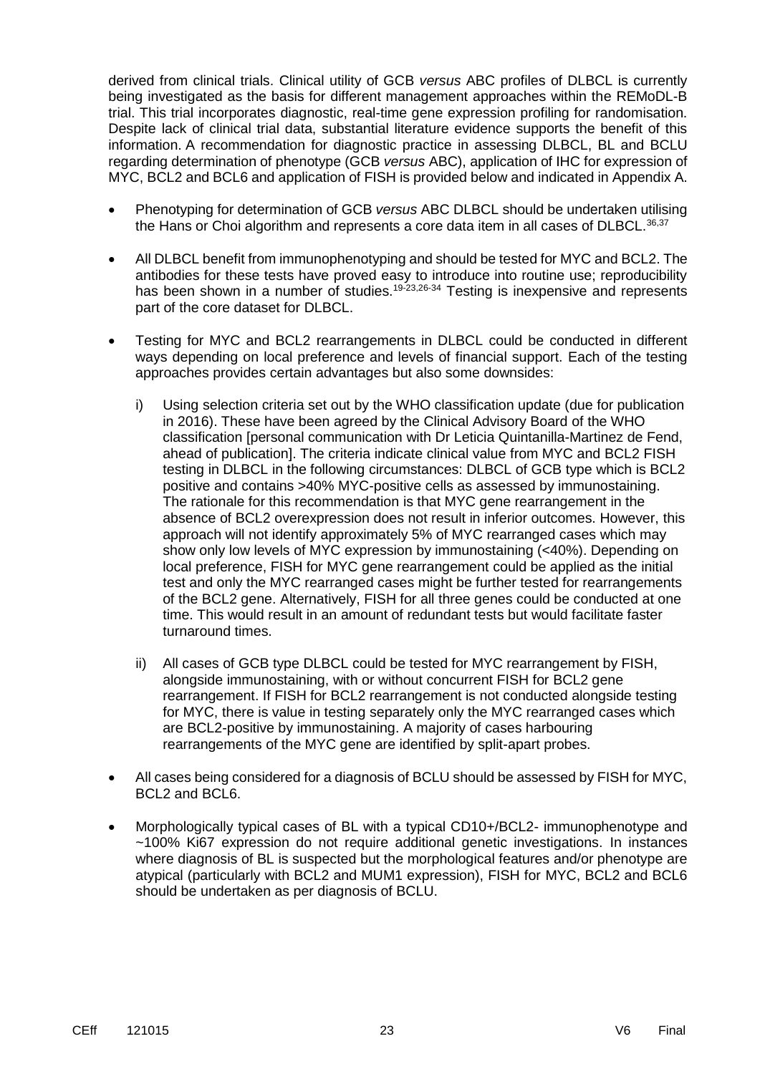derived from clinical trials. Clinical utility of GCB *versus* ABC profiles of DLBCL is currently being investigated as the basis for different management approaches within the REMoDL-B trial. This trial incorporates diagnostic, real-time gene expression profiling for randomisation. Despite lack of clinical trial data, substantial literature evidence supports the benefit of this information. A recommendation for diagnostic practice in assessing DLBCL, BL and BCLU regarding determination of phenotype (GCB *versus* ABC), application of IHC for expression of MYC, BCL2 and BCL6 and application of FISH is provided below and indicated in Appendix A.

- Phenotyping for determination of GCB *versus* ABC DLBCL should be undertaken utilising the Hans or Choi algorithm and represents a core data item in all cases of DLBCL.<sup>36,37</sup>
- All DLBCL benefit from immunophenotyping and should be tested for MYC and BCL2. The antibodies for these tests have proved easy to introduce into routine use; reproducibility has been shown in a number of studies.<sup>19-23,26-34</sup> Testing is inexpensive and represents part of the core dataset for DLBCL.
- Testing for MYC and BCL2 rearrangements in DLBCL could be conducted in different ways depending on local preference and levels of financial support. Each of the testing approaches provides certain advantages but also some downsides:
	- i) Using selection criteria set out by the WHO classification update (due for publication in 2016). These have been agreed by the Clinical Advisory Board of the WHO classification [personal communication with Dr Leticia Quintanilla-Martinez de Fend, ahead of publication]. The criteria indicate clinical value from MYC and BCL2 FISH testing in DLBCL in the following circumstances: DLBCL of GCB type which is BCL2 positive and contains >40% MYC-positive cells as assessed by immunostaining. The rationale for this recommendation is that MYC gene rearrangement in the absence of BCL2 overexpression does not result in inferior outcomes. However, this approach will not identify approximately 5% of MYC rearranged cases which may show only low levels of MYC expression by immunostaining (<40%). Depending on local preference, FISH for MYC gene rearrangement could be applied as the initial test and only the MYC rearranged cases might be further tested for rearrangements of the BCL2 gene. Alternatively, FISH for all three genes could be conducted at one time. This would result in an amount of redundant tests but would facilitate faster turnaround times.
	- ii) All cases of GCB type DLBCL could be tested for MYC rearrangement by FISH, alongside immunostaining, with or without concurrent FISH for BCL2 gene rearrangement. If FISH for BCL2 rearrangement is not conducted alongside testing for MYC, there is value in testing separately only the MYC rearranged cases which are BCL2-positive by immunostaining. A majority of cases harbouring rearrangements of the MYC gene are identified by split-apart probes.
- All cases being considered for a diagnosis of BCLU should be assessed by FISH for MYC, BCL2 and BCL6.
- Morphologically typical cases of BL with a typical CD10+/BCL2- immunophenotype and ~100% Ki67 expression do not require additional genetic investigations. In instances where diagnosis of BL is suspected but the morphological features and/or phenotype are atypical (particularly with BCL2 and MUM1 expression), FISH for MYC, BCL2 and BCL6 should be undertaken as per diagnosis of BCLU.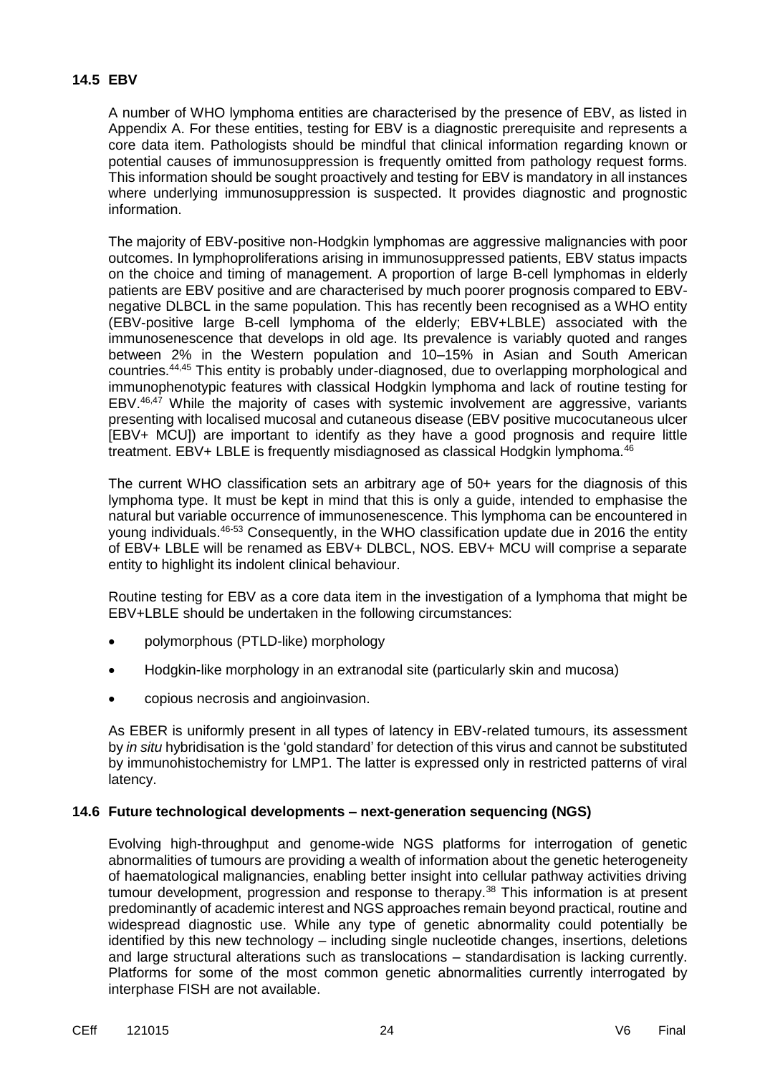### **14.5 EBV**

A number of WHO lymphoma entities are characterised by the presence of EBV, as listed in Appendix A. For these entities, testing for EBV is a diagnostic prerequisite and represents a core data item. Pathologists should be mindful that clinical information regarding known or potential causes of immunosuppression is frequently omitted from pathology request forms. This information should be sought proactively and testing for EBV is mandatory in all instances where underlying immunosuppression is suspected. It provides diagnostic and prognostic information.

The majority of EBV-positive non-Hodgkin lymphomas are aggressive malignancies with poor outcomes. In lymphoproliferations arising in immunosuppressed patients, EBV status impacts on the choice and timing of management. A proportion of large B-cell lymphomas in elderly patients are EBV positive and are characterised by much poorer prognosis compared to EBVnegative DLBCL in the same population. This has recently been recognised as a WHO entity (EBV-positive large B-cell lymphoma of the elderly; EBV+LBLE) associated with the immunosenescence that develops in old age. Its prevalence is variably quoted and ranges between 2% in the Western population and 10–15% in Asian and South American countries.<sup>44,45</sup> This entity is probably under-diagnosed, due to overlapping morphological and immunophenotypic features with classical Hodgkin lymphoma and lack of routine testing for EBV.46,47 While the majority of cases with systemic involvement are aggressive, variants presenting with localised mucosal and cutaneous disease (EBV positive mucocutaneous ulcer [EBV+ MCU]) are important to identify as they have a good prognosis and require little treatment. EBV+ LBLE is frequently misdiagnosed as classical Hodgkin lymphoma.<sup>46</sup>

The current WHO classification sets an arbitrary age of 50+ years for the diagnosis of this lymphoma type. It must be kept in mind that this is only a guide, intended to emphasise the natural but variable occurrence of immunosenescence. This lymphoma can be encountered in young individuals.46-53 Consequently, in the WHO classification update due in 2016 the entity of EBV+ LBLE will be renamed as EBV+ DLBCL, NOS. EBV+ MCU will comprise a separate entity to highlight its indolent clinical behaviour.

Routine testing for EBV as a core data item in the investigation of a lymphoma that might be EBV+LBLE should be undertaken in the following circumstances:

- polymorphous (PTLD-like) morphology
- Hodgkin-like morphology in an extranodal site (particularly skin and mucosa)
- copious necrosis and angioinvasion.

As EBER is uniformly present in all types of latency in EBV-related tumours, its assessment by *in situ* hybridisation is the 'gold standard' for detection of this virus and cannot be substituted by immunohistochemistry for LMP1. The latter is expressed only in restricted patterns of viral latency.

#### **14.6 Future technological developments – next-generation sequencing (NGS)**

Evolving high-throughput and genome-wide NGS platforms for interrogation of genetic abnormalities of tumours are providing a wealth of information about the genetic heterogeneity of haematological malignancies, enabling better insight into cellular pathway activities driving tumour development, progression and response to therapy.<sup>38</sup> This information is at present predominantly of academic interest and NGS approaches remain beyond practical, routine and widespread diagnostic use. While any type of genetic abnormality could potentially be identified by this new technology – including single nucleotide changes, insertions, deletions and large structural alterations such as translocations – standardisation is lacking currently. Platforms for some of the most common genetic abnormalities currently interrogated by interphase FISH are not available.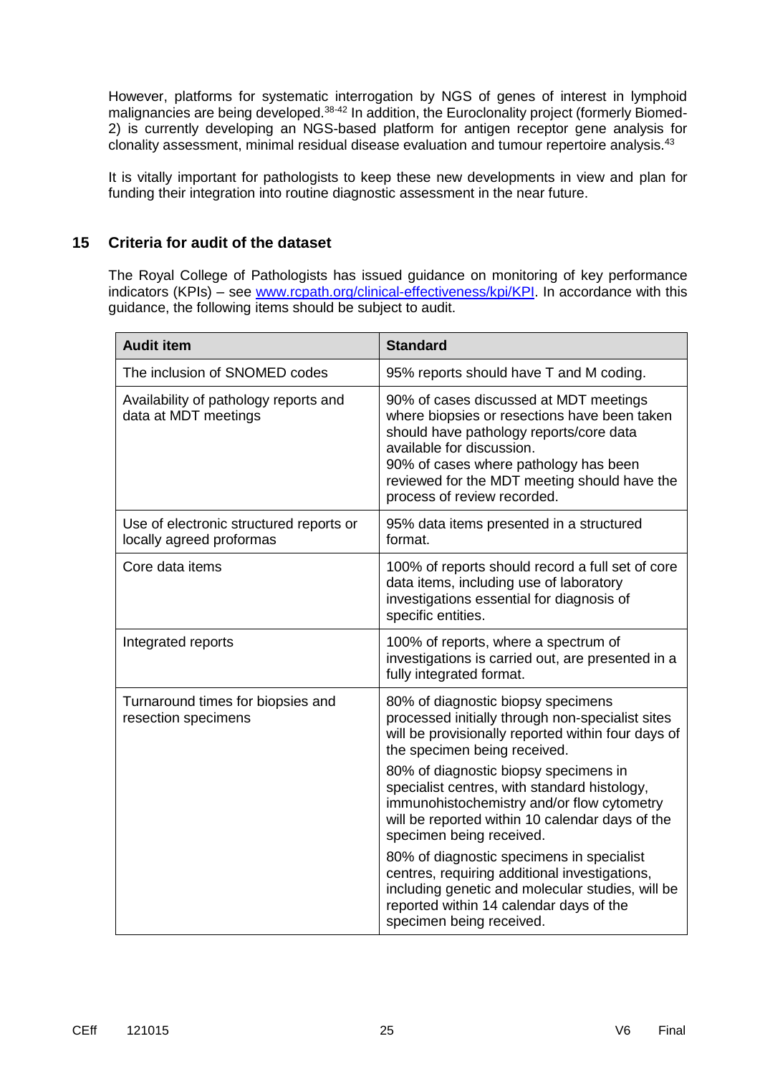However, platforms for systematic interrogation by NGS of genes of interest in lymphoid malignancies are being developed.<sup>38-42</sup> In addition, the Euroclonality project (formerly Biomed-2) is currently developing an NGS-based platform for antigen receptor gene analysis for clonality assessment, minimal residual disease evaluation and tumour repertoire analysis.<sup>43</sup>

It is vitally important for pathologists to keep these new developments in view and plan for funding their integration into routine diagnostic assessment in the near future.

## **15 Criteria for audit of the dataset**

The Royal College of Pathologists has issued guidance on monitoring of key performance indicators (KPIs) – see [www.rcpath.org/clinical-effectiveness/kpi/KPI.](http://www.rcpath.org/clinical-effectiveness/kpi/KPI) In accordance with this guidance, the following items should be subject to audit.

| <b>Audit item</b>                                                   | <b>Standard</b>                                                                                                                                                                                                                                                                        |  |  |
|---------------------------------------------------------------------|----------------------------------------------------------------------------------------------------------------------------------------------------------------------------------------------------------------------------------------------------------------------------------------|--|--|
| The inclusion of SNOMED codes                                       | 95% reports should have T and M coding.                                                                                                                                                                                                                                                |  |  |
| Availability of pathology reports and<br>data at MDT meetings       | 90% of cases discussed at MDT meetings<br>where biopsies or resections have been taken<br>should have pathology reports/core data<br>available for discussion.<br>90% of cases where pathology has been<br>reviewed for the MDT meeting should have the<br>process of review recorded. |  |  |
| Use of electronic structured reports or<br>locally agreed proformas | 95% data items presented in a structured<br>format.                                                                                                                                                                                                                                    |  |  |
| Core data items                                                     | 100% of reports should record a full set of core<br>data items, including use of laboratory<br>investigations essential for diagnosis of<br>specific entities.                                                                                                                         |  |  |
| Integrated reports                                                  | 100% of reports, where a spectrum of<br>investigations is carried out, are presented in a<br>fully integrated format.                                                                                                                                                                  |  |  |
| Turnaround times for biopsies and<br>resection specimens            | 80% of diagnostic biopsy specimens<br>processed initially through non-specialist sites<br>will be provisionally reported within four days of<br>the specimen being received.                                                                                                           |  |  |
|                                                                     | 80% of diagnostic biopsy specimens in<br>specialist centres, with standard histology,<br>immunohistochemistry and/or flow cytometry<br>will be reported within 10 calendar days of the<br>specimen being received.                                                                     |  |  |
|                                                                     | 80% of diagnostic specimens in specialist<br>centres, requiring additional investigations,<br>including genetic and molecular studies, will be<br>reported within 14 calendar days of the<br>specimen being received.                                                                  |  |  |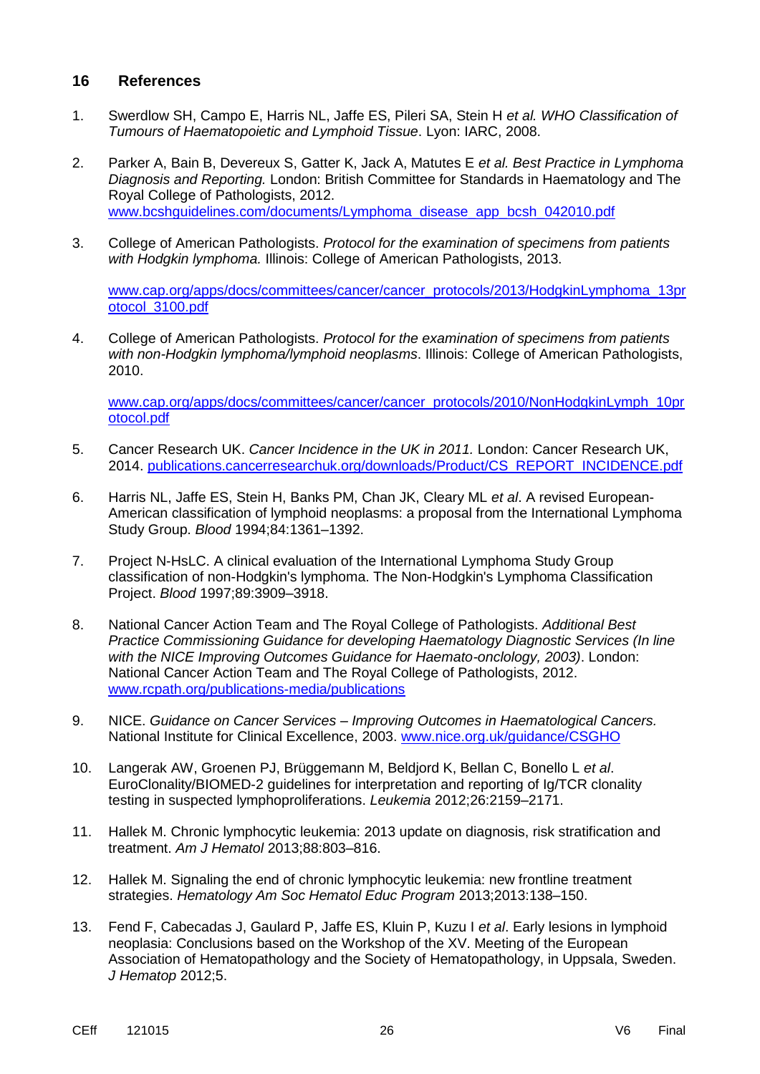#### **16 References**

- 1. Swerdlow SH, Campo E, Harris NL, Jaffe ES, Pileri SA, Stein H *et al. WHO Classification of Tumours of Haematopoietic and Lymphoid Tissue*. Lyon: IARC, 2008.
- 2. Parker A, Bain B, Devereux S, Gatter K, Jack A, Matutes E *et al. Best Practice in Lymphoma Diagnosis and Reporting.* London: British Committee for Standards in Haematology and The Royal College of Pathologists, 2012. [www.bcshguidelines.com/documents/Lymphoma\\_disease\\_app\\_bcsh\\_042010.pdf](http://www.bcshguidelines.com/documents/Lymphoma_disease_app_bcsh_042010.pdf)
- 3. College of American Pathologists. *Protocol for the examination of specimens from patients with Hodgkin lymphoma.* Illinois: College of American Pathologists, 2013.

[www.cap.org/apps/docs/committees/cancer/cancer\\_protocols/2013/HodgkinLymphoma\\_13pr](http://www.cap.org/apps/docs/committees/cancer/cancer_protocols/2013/HodgkinLymphoma_13protocol_3100.pdf) [otocol\\_3100.pdf](http://www.cap.org/apps/docs/committees/cancer/cancer_protocols/2013/HodgkinLymphoma_13protocol_3100.pdf)

4. College of American Pathologists. *Protocol for the examination of specimens from patients with non-Hodgkin lymphoma/lymphoid neoplasms*. Illinois: College of American Pathologists, 2010.

[www.cap.org/apps/docs/committees/cancer/cancer\\_protocols/2010/NonHodgkinLymph\\_10pr](http://www.cap.org/apps/docs/committees/cancer/cancer_protocols/2010/NonHodgkinLymph_10protocol.pdf) [otocol.pdf](http://www.cap.org/apps/docs/committees/cancer/cancer_protocols/2010/NonHodgkinLymph_10protocol.pdf)

- 5. Cancer Research UK. *Cancer Incidence in the UK in 2011.* London: Cancer Research UK, 2014. [publications.cancerresearchuk.org/downloads/Product/CS\\_REPORT\\_INCIDENCE.pdf](http://publications.cancerresearchuk.org/downloads/Product/CS_REPORT_INCIDENCE.pdf)
- 6. Harris NL, Jaffe ES, Stein H, Banks PM, Chan JK, Cleary ML *et al*. A revised European-American classification of lymphoid neoplasms: a proposal from the International Lymphoma Study Group. *Blood* 1994;84:1361–1392.
- 7. Project N-HsLC. A clinical evaluation of the International Lymphoma Study Group classification of non-Hodgkin's lymphoma. The Non-Hodgkin's Lymphoma Classification Project. *Blood* 1997;89:3909–3918.
- 8. National Cancer Action Team and The Royal College of Pathologists. *Additional Best Practice Commissioning Guidance for developing Haematology Diagnostic Services (In line with the NICE Improving Outcomes Guidance for Haemato-onclology, 2003)*. London: National Cancer Action Team and The Royal College of Pathologists, 2012. [www.rcpath.org/publications-media/publications](http://www.rcpath.org/publications-media/publications)
- 9. NICE. *Guidance on Cancer Services – Improving Outcomes in Haematological Cancers.* National Institute for Clinical Excellence, 2003. [www.nice.org.uk/guidance/CSGHO](https://www.nice.org.uk/guidance/CSGHO)
- 10. Langerak AW, Groenen PJ, Brüggemann M, Beldjord K, Bellan C, Bonello L *et al*. EuroClonality/BIOMED-2 guidelines for interpretation and reporting of Ig/TCR clonality testing in suspected lymphoproliferations. *Leukemia* 2012;26:2159–2171.
- 11. Hallek M. Chronic lymphocytic leukemia: 2013 update on diagnosis, risk stratification and treatment. *Am J Hematol* 2013;88:803–816.
- 12. Hallek M. Signaling the end of chronic lymphocytic leukemia: new frontline treatment strategies. *Hematology Am Soc Hematol Educ Program* 2013;2013:138–150.
- 13. Fend F, Cabecadas J, Gaulard P, Jaffe ES, Kluin P, Kuzu I *et al*. Early lesions in lymphoid neoplasia: Conclusions based on the Workshop of the XV. Meeting of the European Association of Hematopathology and the Society of Hematopathology, in Uppsala, Sweden. *J Hematop* 2012;5.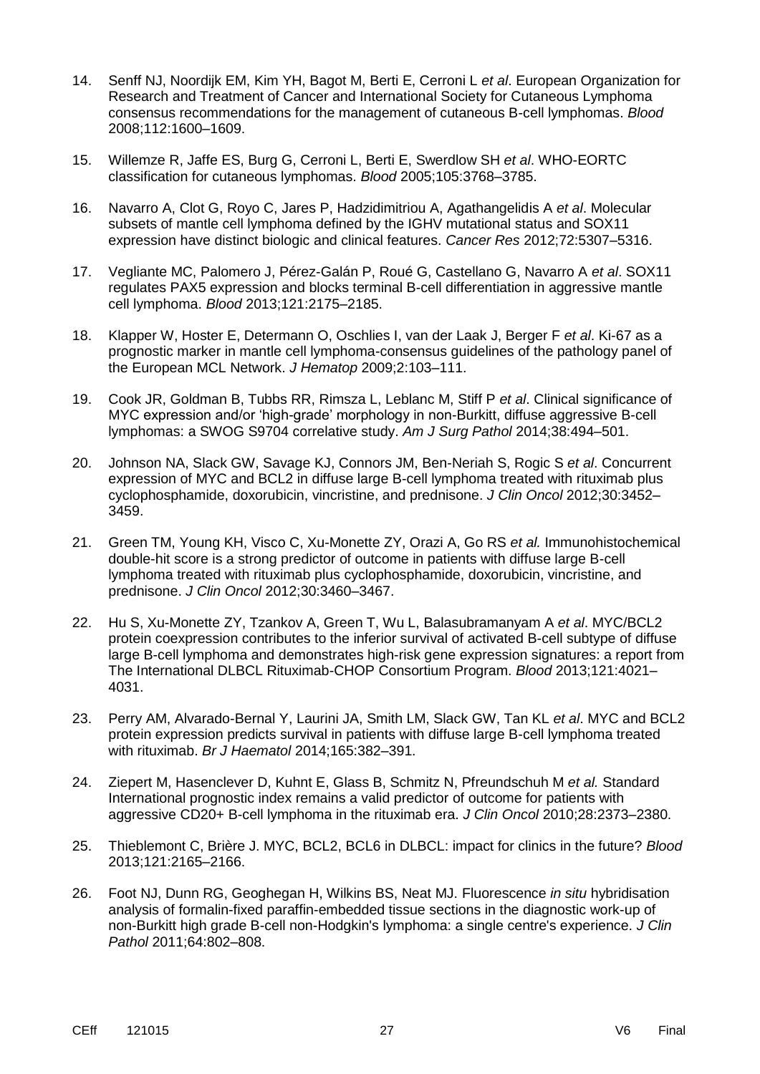- 14. Senff NJ, Noordijk EM, Kim YH, Bagot M, Berti E, Cerroni L *et al*. European Organization for Research and Treatment of Cancer and International Society for Cutaneous Lymphoma consensus recommendations for the management of cutaneous B-cell lymphomas. *Blood* 2008;112:1600–1609.
- 15. Willemze R, Jaffe ES, Burg G, Cerroni L, Berti E, Swerdlow SH *et al*. WHO-EORTC classification for cutaneous lymphomas. *Blood* 2005;105:3768–3785.
- 16. Navarro A, Clot G, Royo C, Jares P, Hadzidimitriou A, Agathangelidis A *et al*. Molecular subsets of mantle cell lymphoma defined by the IGHV mutational status and SOX11 expression have distinct biologic and clinical features. *Cancer Res* 2012;72:5307–5316.
- 17. Vegliante MC, Palomero J, Pérez-Galán P, Roué G, Castellano G, Navarro A *et al*. SOX11 regulates PAX5 expression and blocks terminal B-cell differentiation in aggressive mantle cell lymphoma. *Blood* 2013;121:2175–2185.
- 18. Klapper W, Hoster E, Determann O, Oschlies I, van der Laak J, Berger F *et al*. Ki-67 as a prognostic marker in mantle cell lymphoma-consensus guidelines of the pathology panel of the European MCL Network. *J Hematop* 2009;2:103–111.
- 19. Cook JR, Goldman B, Tubbs RR, Rimsza L, Leblanc M, Stiff P *et al*. Clinical significance of MYC expression and/or 'high-grade' morphology in non-Burkitt, diffuse aggressive B-cell lymphomas: a SWOG S9704 correlative study. *Am J Surg Pathol* 2014;38:494–501.
- 20. Johnson NA, Slack GW, Savage KJ, Connors JM, Ben-Neriah S, Rogic S *et al*. Concurrent expression of MYC and BCL2 in diffuse large B-cell lymphoma treated with rituximab plus cyclophosphamide, doxorubicin, vincristine, and prednisone. *J Clin Oncol* 2012;30:3452– 3459.
- 21. Green TM, Young KH, Visco C, Xu-Monette ZY, Orazi A, Go RS *et al.* Immunohistochemical double-hit score is a strong predictor of outcome in patients with diffuse large B-cell lymphoma treated with rituximab plus cyclophosphamide, doxorubicin, vincristine, and prednisone. *J Clin Oncol* 2012;30:3460–3467.
- 22. Hu S, Xu-Monette ZY, Tzankov A, Green T, Wu L, Balasubramanyam A *et al*. MYC/BCL2 protein coexpression contributes to the inferior survival of activated B-cell subtype of diffuse large B-cell lymphoma and demonstrates high-risk gene expression signatures: a report from The International DLBCL Rituximab-CHOP Consortium Program. *Blood* 2013;121:4021– 4031.
- 23. Perry AM, Alvarado-Bernal Y, Laurini JA, Smith LM, Slack GW, Tan KL *et al*. MYC and BCL2 protein expression predicts survival in patients with diffuse large B-cell lymphoma treated with rituximab. *Br J Haematol* 2014;165:382–391.
- 24. Ziepert M, Hasenclever D, Kuhnt E, Glass B, Schmitz N, Pfreundschuh M *et al.* Standard International prognostic index remains a valid predictor of outcome for patients with aggressive CD20+ B-cell lymphoma in the rituximab era. *J Clin Oncol* 2010;28:2373–2380.
- 25. Thieblemont C, Brière J. MYC, BCL2, BCL6 in DLBCL: impact for clinics in the future? *Blood* 2013;121:2165–2166.
- 26. Foot NJ, Dunn RG, Geoghegan H, Wilkins BS, Neat MJ. Fluorescence *in situ* hybridisation analysis of formalin-fixed paraffin-embedded tissue sections in the diagnostic work-up of non-Burkitt high grade B-cell non-Hodgkin's lymphoma: a single centre's experience. *J Clin Pathol* 2011;64:802–808.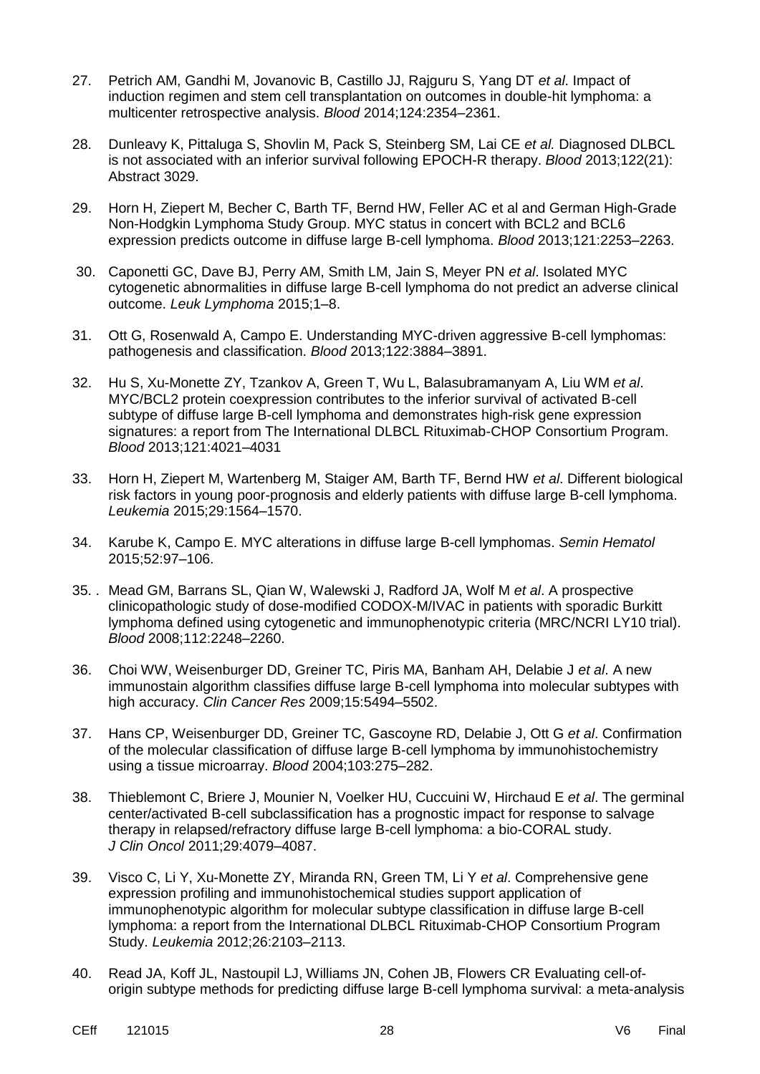- 27. Petrich AM, Gandhi M, Jovanovic B, Castillo JJ, Rajguru S, Yang DT *et al*. Impact of induction regimen and stem cell transplantation on outcomes in double-hit lymphoma: a multicenter retrospective analysis. *Blood* 2014;124:2354–2361.
- 28. Dunleavy K, Pittaluga S, Shovlin M, Pack S, Steinberg SM, Lai CE *et al.* Diagnosed DLBCL is not associated with an inferior survival following EPOCH-R therapy. *Blood* 2013;122(21): Abstract 3029.
- 29. Horn H, Ziepert M, Becher C, Barth TF, Bernd HW, Feller AC et al and German High-Grade Non-Hodgkin Lymphoma Study Group. MYC status in concert with BCL2 and BCL6 expression predicts outcome in diffuse large B-cell lymphoma. *Blood* 2013;121:2253–2263.
- 30. Caponetti GC, Dave BJ, Perry AM, Smith LM, Jain S, Meyer PN *et al*. [Isolated](http://www.ncbi.nlm.nih.gov/pubmed/25827211) MYC cytogenetic abnormalities in diffuse large B-cell lymphoma [do not predict an adverse clinical](http://www.ncbi.nlm.nih.gov/pubmed/25827211)  [outcome.](http://www.ncbi.nlm.nih.gov/pubmed/25827211) *Leuk Lymphoma* 2015;1–8.
- 31. Ott G, Rosenwald A, Campo E. Understanding MYC-driven aggressive B-cell lymphomas: pathogenesis and classification. *Blood* 2013;122:3884–3891.
- 32. [Hu S,](http://www.ncbi.nlm.nih.gov/pubmed/?term=Hu%20S%5BAuthor%5D&cauthor=true&cauthor_uid=23449635) [Xu-Monette ZY,](http://www.ncbi.nlm.nih.gov/pubmed/?term=Xu-Monette%20ZY%5BAuthor%5D&cauthor=true&cauthor_uid=23449635) [Tzankov A,](http://www.ncbi.nlm.nih.gov/pubmed/?term=Tzankov%20A%5BAuthor%5D&cauthor=true&cauthor_uid=23449635) [Green T,](http://www.ncbi.nlm.nih.gov/pubmed/?term=Green%20T%5BAuthor%5D&cauthor=true&cauthor_uid=23449635) [Wu L,](http://www.ncbi.nlm.nih.gov/pubmed/?term=Wu%20L%5BAuthor%5D&cauthor=true&cauthor_uid=23449635) [Balasubramanyam A,](http://www.ncbi.nlm.nih.gov/pubmed/?term=Balasubramanyam%20A%5BAuthor%5D&cauthor=true&cauthor_uid=23449635) [Liu WM](http://www.ncbi.nlm.nih.gov/pubmed/?term=Liu%20WM%5BAuthor%5D&cauthor=true&cauthor_uid=23449635) *et al*. MYC/BCL2 protein coexpression contributes to the inferior survival of activated B-cell subtype of diffuse large B-cell lymphoma and demonstrates high-risk gene expression signatures: a report from The International DLBCL Rituximab-CHOP Consortium Program. *[Blood](http://www.ncbi.nlm.nih.gov/pubmed/?term=Hu+S+et+al%2C+Blood+2013%3B+121%3A4021-31)* 2013;121:4021–4031
- 33. Horn H, Ziepert M, Wartenberg M, Staiger AM, Barth TF, Bernd HW *et al*. [Different biological](http://www.ncbi.nlm.nih.gov/pubmed/25687653)  [risk factors in young poor-prognosis and elderly patients with](http://www.ncbi.nlm.nih.gov/pubmed/25687653) diffuse large B-cell lymphoma. *Leukemia* 2015;29:1564–1570.
- 34. Karube K, Campo E. MYC [alterations in](http://www.ncbi.nlm.nih.gov/pubmed/25805589) diffuse large B-cell lymphomas. *Semin Hematol* 2015;52:97–106.
- 35. . Mead GM, Barrans SL, Qian W, Walewski J, Radford JA, Wolf M *et al*. A prospective clinicopathologic study of dose-modified CODOX-M/IVAC in patients with sporadic Burkitt lymphoma defined using cytogenetic and immunophenotypic criteria (MRC/NCRI LY10 trial). *Blood* 2008;112:2248–2260.
- 36. Choi WW, Weisenburger DD, Greiner TC, Piris MA, Banham AH, Delabie J *et al*. A new immunostain algorithm classifies diffuse large B-cell lymphoma into molecular subtypes with high accuracy. *Clin Cancer Res* 2009;15:5494–5502.
- 37. Hans CP, Weisenburger DD, Greiner TC, Gascoyne RD, Delabie J, Ott G *et al*. Confirmation of the molecular classification of diffuse large B-cell lymphoma by immunohistochemistry using a tissue microarray. *Blood* 2004;103:275–282.
- 38. Thieblemont C, Briere J, Mounier N, Voelker HU, Cuccuini W, Hirchaud E *et al*. The germinal center/activated B-cell subclassification has a prognostic impact for response to salvage therapy in relapsed/refractory diffuse large B-cell lymphoma: a bio-CORAL study. *J Clin Oncol* 2011;29:4079–4087.
- 39. Visco C, Li Y, Xu-Monette ZY, Miranda RN, Green TM, Li Y *et al*. Comprehensive gene expression profiling and immunohistochemical studies support application of immunophenotypic algorithm for molecular subtype classification in diffuse large B-cell lymphoma: a report from the International DLBCL Rituximab-CHOP Consortium Program Study. *Leukemia* 2012;26:2103–2113.
- 40. Read JA, Koff JL, Nastoupil LJ, Williams JN, Cohen JB, Flowers CR [Evaluating](http://www.ncbi.nlm.nih.gov/pubmed/25052052) cell-oforigin [subtype methods for predicting](http://www.ncbi.nlm.nih.gov/pubmed/25052052) diffuse large B-cell lymphoma survival: a meta-analysis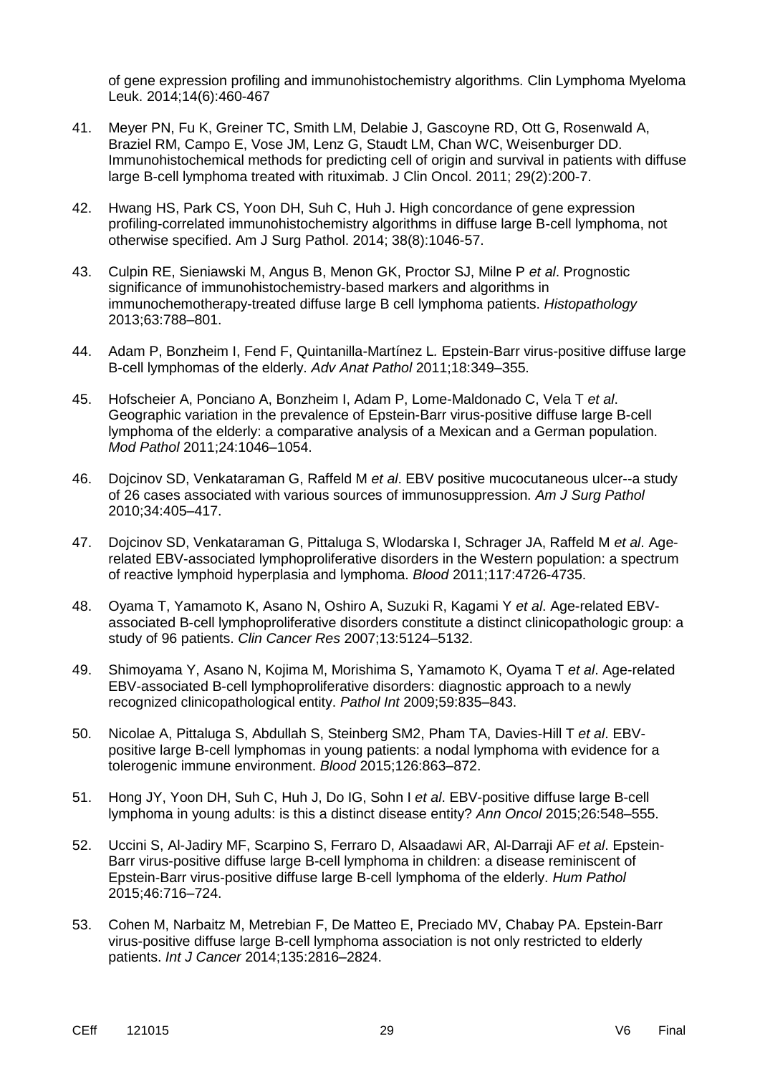[of gene expression profiling and immunohistochemistry algorithms.](http://www.ncbi.nlm.nih.gov/pubmed/25052052) Clin Lymphoma Myeloma Leuk. 2014;14(6):460-467

- 41. Meyer PN, Fu K, Greiner TC, Smith LM, Delabie J, Gascoyne RD, Ott G, Rosenwald A, Braziel RM, Campo E, Vose JM, Lenz G, Staudt LM, Chan WC, Weisenburger DD. Immunohistochemical methods for predicting cell of origin and survival in patients with diffuse large B-cell lymphoma treated with rituximab. J Clin Oncol. 2011; 29(2):200-7.
- 42. Hwang HS, Park CS, Yoon DH, Suh C, Huh J. High concordance of gene expression profiling-correlated immunohistochemistry algorithms in diffuse large B-cell lymphoma, not otherwise specified. Am J Surg Pathol. 2014; 38(8):1046-57.
- 43. Culpin RE, Sieniawski M, Angus B, Menon GK, Proctor SJ, Milne P *et al*. Prognostic significance of immunohistochemistry-based markers and algorithms in immunochemotherapy-treated diffuse large B cell lymphoma patients. *Histopathology* 2013;63:788–801.
- 44. Adam P, Bonzheim I, Fend F, Quintanilla-Martínez L*.* Epstein-Barr virus-positive diffuse large B-cell lymphomas of the elderly. *Adv Anat Pathol* 2011;18:349–355.
- 45. Hofscheier A, Ponciano A, Bonzheim I, Adam P, Lome-Maldonado C, Vela T *et al*. Geographic variation in the prevalence of Epstein-Barr virus-positive diffuse large B-cell lymphoma of the elderly: a comparative analysis of a Mexican and a German population. *Mod Pathol* 2011;24:1046–1054.
- 46. Dojcinov SD, Venkataraman G, Raffeld M *et al*. EBV positive mucocutaneous ulcer--a study of 26 cases associated with various sources of immunosuppression. *Am J Surg Pathol* 2010;34:405–417.
- 47. Dojcinov SD, Venkataraman G, Pittaluga S, Wlodarska I, Schrager JA, Raffeld M *et al*. Agerelated EBV-associated lymphoproliferative disorders in the Western population: a spectrum of reactive lymphoid hyperplasia and lymphoma. *Blood* 2011;117:4726-4735.
- 48. Oyama T, Yamamoto K, Asano N, Oshiro A, Suzuki R, Kagami Y *et al*. Age-related EBVassociated B-cell lymphoproliferative disorders constitute a distinct clinicopathologic group: a study of 96 patients. *Clin Cancer Res* 2007;13:5124–5132.
- 49. Shimoyama Y, Asano N, Kojima M, Morishima S, Yamamoto K, Oyama T *et al*. Age-related EBV-associated B-cell lymphoproliferative disorders: diagnostic approach to a newly recognized clinicopathological entity. *Pathol Int* 2009;59:835–843.
- 50. [Nicolae](http://www.ncbi.nlm.nih.gov/pubmed/?term=Nicolae%20A%5BAuthor%5D&cauthor=true&cauthor_uid=25999451) A, [Pittaluga S,](http://www.ncbi.nlm.nih.gov/pubmed/?term=Pittaluga%20S%5BAuthor%5D&cauthor=true&cauthor_uid=25999451) [Abdullah S,](http://www.ncbi.nlm.nih.gov/pubmed/?term=Abdullah%20S%5BAuthor%5D&cauthor=true&cauthor_uid=25999451) [Steinberg SM2](http://www.ncbi.nlm.nih.gov/pubmed/?term=Steinberg%20SM%5BAuthor%5D&cauthor=true&cauthor_uid=25999451), [Pham TA,](http://www.ncbi.nlm.nih.gov/pubmed/?term=Pham%20TA%5BAuthor%5D&cauthor=true&cauthor_uid=25999451) [Davies-Hill T](http://www.ncbi.nlm.nih.gov/pubmed/?term=Davies-Hill%20T%5BAuthor%5D&cauthor=true&cauthor_uid=25999451) *et al*. EBVpositive large B-cell lymphomas in young patients: a nodal lymphoma with evidence for a tolerogenic immune environment. *[Blood](http://www.ncbi.nlm.nih.gov/pubmed/?term=Nicolae+et+al.+Blood.+2015+May+21.)* 2015;126:863–872.
- 51. Hong JY, Yoon DH, Suh C, Huh J, Do IG, Sohn I *et al*. EBV-positive diffuse large B-cell lymphoma in young adults: is this a distinct disease entity? *Ann Oncol* 2015;26:548–555.
- 52. Uccini S, Al-Jadiry MF, Scarpino S, Ferraro D, Alsaadawi AR, Al-Darraji AF *et al*. Epstein-Barr virus-positive diffuse large B-cell lymphoma in children: a disease reminiscent of Epstein-Barr virus-positive diffuse large B-cell lymphoma of the elderly. *Hum Pathol* 2015;46:716–724.
- 53. Cohen M, Narbaitz M, Metrebian F, De Matteo E, Preciado MV, Chabay PA. Epstein-Barr virus-positive diffuse large B-cell lymphoma association is not only restricted to elderly patients. *Int J Cancer* 2014;135:2816–2824.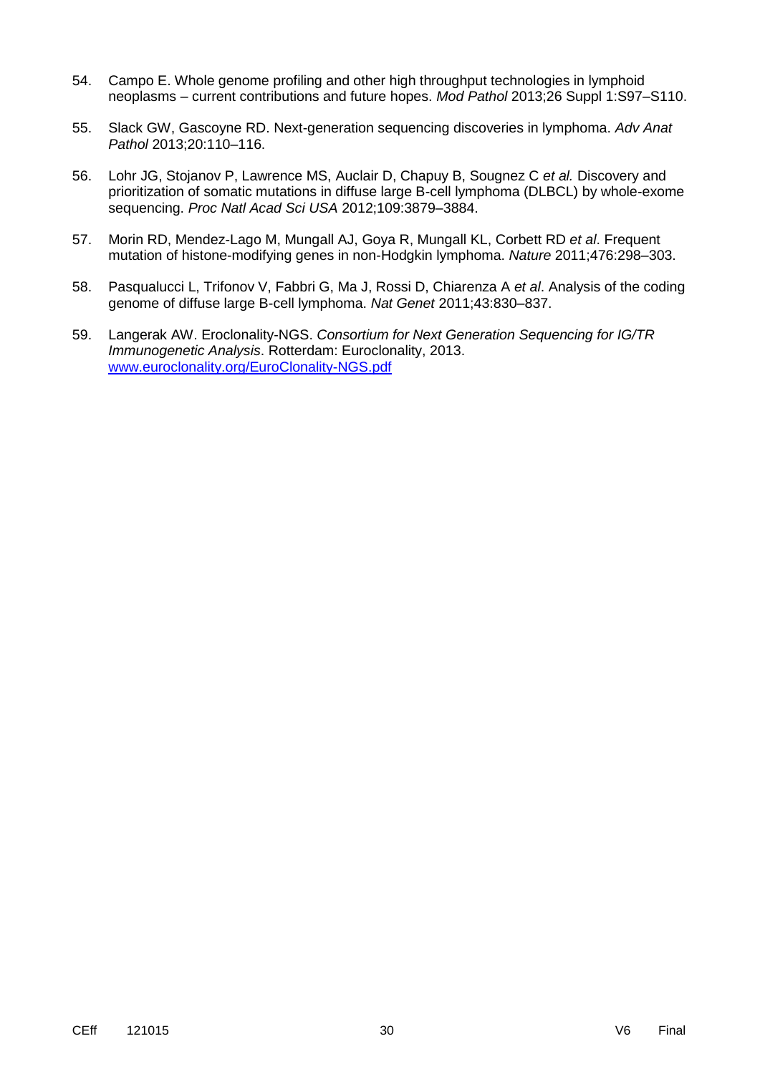- 54. Campo E. Whole genome profiling and other high throughput technologies in lymphoid neoplasms – current contributions and future hopes. *Mod Pathol* 2013;26 Suppl 1:S97–S110.
- 55. Slack GW, Gascoyne RD. Next-generation sequencing discoveries in lymphoma. *Adv Anat Pathol* 2013;20:110–116.
- 56. Lohr JG, Stojanov P, Lawrence MS, Auclair D, Chapuy B, Sougnez C *et al.* Discovery and prioritization of somatic mutations in diffuse large B-cell lymphoma (DLBCL) by whole-exome sequencing. *Proc Natl Acad Sci USA* 2012;109:3879–3884.
- 57. Morin RD, Mendez-Lago M, Mungall AJ, Goya R, Mungall KL, Corbett RD *et al*. Frequent mutation of histone-modifying genes in non-Hodgkin lymphoma. *Nature* 2011;476:298–303.
- 58. Pasqualucci L, Trifonov V, Fabbri G, Ma J, Rossi D, Chiarenza A *et al*. Analysis of the coding genome of diffuse large B-cell lymphoma. *Nat Genet* 2011;43:830–837.
- 59. Langerak AW. Eroclonality-NGS. *Consortium for Next Generation Sequencing for IG/TR Immunogenetic Analysis*. Rotterdam: Euroclonality, 2013. [www.euroclonality.org/EuroClonality-NGS.pdf](http://www.euroclonality.org/EuroClonality-NGS.pdf)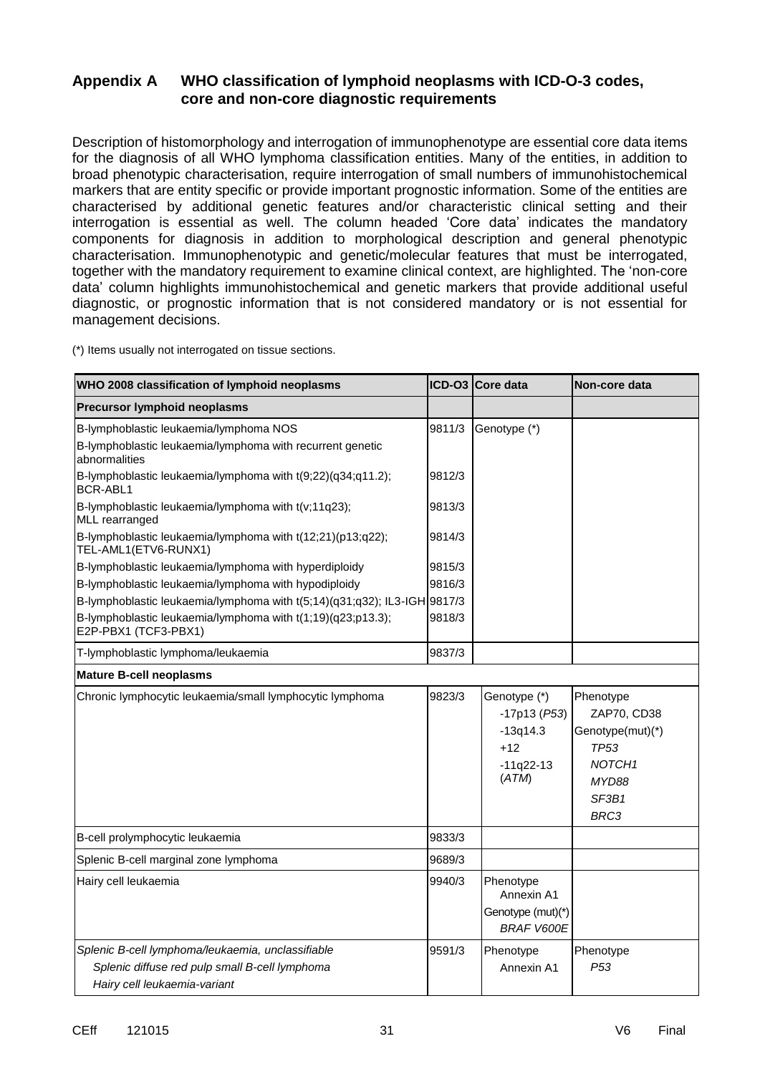## **Appendix A WHO classification of lymphoid neoplasms with ICD-O-3 codes, core and non-core diagnostic requirements**

Description of histomorphology and interrogation of immunophenotype are essential core data items for the diagnosis of all WHO lymphoma classification entities. Many of the entities, in addition to broad phenotypic characterisation, require interrogation of small numbers of immunohistochemical markers that are entity specific or provide important prognostic information. Some of the entities are characterised by additional genetic features and/or characteristic clinical setting and their interrogation is essential as well. The column headed 'Core data' indicates the mandatory components for diagnosis in addition to morphological description and general phenotypic characterisation. Immunophenotypic and genetic/molecular features that must be interrogated, together with the mandatory requirement to examine clinical context, are highlighted. The 'non-core data' column highlights immunohistochemical and genetic markers that provide additional useful diagnostic, or prognostic information that is not considered mandatory or is not essential for management decisions.

| WHO 2008 classification of lymphoid neoplasms                                       |        | <b>ICD-O3 Core data</b>                | Non-core data      |
|-------------------------------------------------------------------------------------|--------|----------------------------------------|--------------------|
| Precursor lymphoid neoplasms                                                        |        |                                        |                    |
| B-lymphoblastic leukaemia/lymphoma NOS                                              | 9811/3 | Genotype (*)                           |                    |
| B-lymphoblastic leukaemia/lymphoma with recurrent genetic<br>abnormalities          |        |                                        |                    |
| B-lymphoblastic leukaemia/lymphoma with t(9;22)(q34;q11.2);<br>BCR-ABL1             | 9812/3 |                                        |                    |
| B-lymphoblastic leukaemia/lymphoma with t(v;11q23);<br>MLL rearranged               | 9813/3 |                                        |                    |
| B-lymphoblastic leukaemia/lymphoma with t(12;21)(p13;q22);<br>TEL-AML1(ETV6-RUNX1)  | 9814/3 |                                        |                    |
| B-lymphoblastic leukaemia/lymphoma with hyperdiploidy                               | 9815/3 |                                        |                    |
| B-lymphoblastic leukaemia/lymphoma with hypodiploidy                                | 9816/3 |                                        |                    |
| B-lymphoblastic leukaemia/lymphoma with $t(5;14)(q31;q32)$ ; IL3-IGH 9817/3         |        |                                        |                    |
| B-lymphoblastic leukaemia/lymphoma with t(1;19)(q23;p13.3);<br>E2P-PBX1 (TCF3-PBX1) | 9818/3 |                                        |                    |
| T-lymphoblastic lymphoma/leukaemia                                                  | 9837/3 |                                        |                    |
| <b>Mature B-cell neoplasms</b>                                                      |        |                                        |                    |
| Chronic lymphocytic leukaemia/small lymphocytic lymphoma                            | 9823/3 | Genotype (*)                           | Phenotype          |
|                                                                                     |        | $-17p13$ ( $P53$ )                     | ZAP70, CD38        |
|                                                                                     |        | $-13q14.3$                             | Genotype(mut)(*)   |
|                                                                                     |        | $+12$                                  | <b>TP53</b>        |
|                                                                                     |        | $-11q22-13$                            | NOTCH <sub>1</sub> |
|                                                                                     |        | (ATM)                                  | MYD88              |
|                                                                                     |        |                                        | SF3B1              |
|                                                                                     |        |                                        | BRC3               |
| B-cell prolymphocytic leukaemia                                                     | 9833/3 |                                        |                    |
| Splenic B-cell marginal zone lymphoma                                               | 9689/3 |                                        |                    |
| Hairy cell leukaemia                                                                | 9940/3 | Phenotype                              |                    |
|                                                                                     |        | Annexin A1                             |                    |
|                                                                                     |        | Genotype (mut)(*)<br><b>BRAF V600E</b> |                    |
| Splenic B-cell lymphoma/leukaemia, unclassifiable                                   | 9591/3 | Phenotype                              | Phenotype          |
| Splenic diffuse red pulp small B-cell lymphoma                                      |        | Annexin A1                             | P <sub>53</sub>    |
| Hairy cell leukaemia-variant                                                        |        |                                        |                    |

(\*) Items usually not interrogated on tissue sections.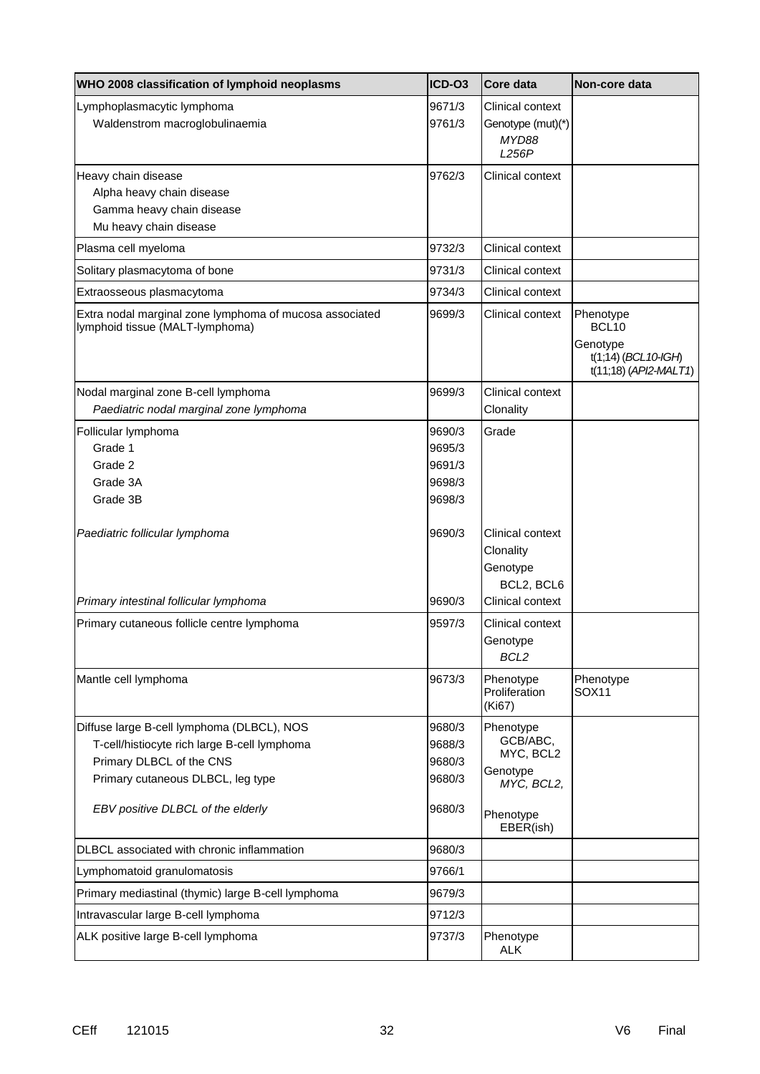| WHO 2008 classification of lymphoid neoplasms                                                                                                                                                    | ICD-O3                                         | Core data                                                                              | Non-core data                                                                                 |
|--------------------------------------------------------------------------------------------------------------------------------------------------------------------------------------------------|------------------------------------------------|----------------------------------------------------------------------------------------|-----------------------------------------------------------------------------------------------|
| Lymphoplasmacytic lymphoma<br>Waldenstrom macroglobulinaemia                                                                                                                                     | 9671/3<br>9761/3                               | Clinical context<br>Genotype (mut)(*)<br>MYD88<br>L256P                                |                                                                                               |
| Heavy chain disease<br>Alpha heavy chain disease<br>Gamma heavy chain disease<br>Mu heavy chain disease                                                                                          | 9762/3                                         | Clinical context                                                                       |                                                                                               |
| Plasma cell myeloma                                                                                                                                                                              | 9732/3                                         | Clinical context                                                                       |                                                                                               |
| Solitary plasmacytoma of bone                                                                                                                                                                    | 9731/3                                         | Clinical context                                                                       |                                                                                               |
| Extraosseous plasmacytoma                                                                                                                                                                        | 9734/3                                         | Clinical context                                                                       |                                                                                               |
| Extra nodal marginal zone lymphoma of mucosa associated<br>lymphoid tissue (MALT-lymphoma)                                                                                                       | 9699/3                                         | Clinical context                                                                       | Phenotype<br>BCL <sub>10</sub><br>Genotype<br>$t(1,14)$ (BCL 10-IGH)<br>t(11;18) (API2-MALT1) |
| Nodal marginal zone B-cell lymphoma<br>Paediatric nodal marginal zone lymphoma                                                                                                                   | 9699/3                                         | Clinical context<br>Clonality                                                          |                                                                                               |
| Follicular lymphoma<br>Grade 1<br>Grade 2<br>Grade 3A<br>Grade 3B                                                                                                                                | 9690/3<br>9695/3<br>9691/3<br>9698/3<br>9698/3 | Grade                                                                                  |                                                                                               |
| Paediatric follicular lymphoma                                                                                                                                                                   | 9690/3                                         | Clinical context<br>Clonality<br>Genotype<br>BCL2, BCL6                                |                                                                                               |
| Primary intestinal follicular lymphoma                                                                                                                                                           | 9690/3                                         | Clinical context                                                                       |                                                                                               |
| Primary cutaneous follicle centre lymphoma                                                                                                                                                       | 9597/3                                         | Clinical context<br>Genotype<br>BCL <sub>2</sub>                                       |                                                                                               |
| Mantle cell lymphoma                                                                                                                                                                             | 9673/3                                         | Phenotype<br>Proliferation<br>(Ki67)                                                   | Phenotype<br>SOX11                                                                            |
| Diffuse large B-cell lymphoma (DLBCL), NOS<br>T-cell/histiocyte rich large B-cell lymphoma<br>Primary DLBCL of the CNS<br>Primary cutaneous DLBCL, leg type<br>EBV positive DLBCL of the elderly | 9680/3<br>9688/3<br>9680/3<br>9680/3<br>9680/3 | Phenotype<br>GCB/ABC,<br>MYC, BCL2<br>Genotype<br>MYC, BCL2,<br>Phenotype<br>EBER(ish) |                                                                                               |
| DLBCL associated with chronic inflammation                                                                                                                                                       | 9680/3                                         |                                                                                        |                                                                                               |
| Lymphomatoid granulomatosis                                                                                                                                                                      | 9766/1                                         |                                                                                        |                                                                                               |
| Primary mediastinal (thymic) large B-cell lymphoma                                                                                                                                               | 9679/3                                         |                                                                                        |                                                                                               |
| Intravascular large B-cell lymphoma                                                                                                                                                              | 9712/3                                         |                                                                                        |                                                                                               |
| ALK positive large B-cell lymphoma                                                                                                                                                               | 9737/3                                         | Phenotype<br><b>ALK</b>                                                                |                                                                                               |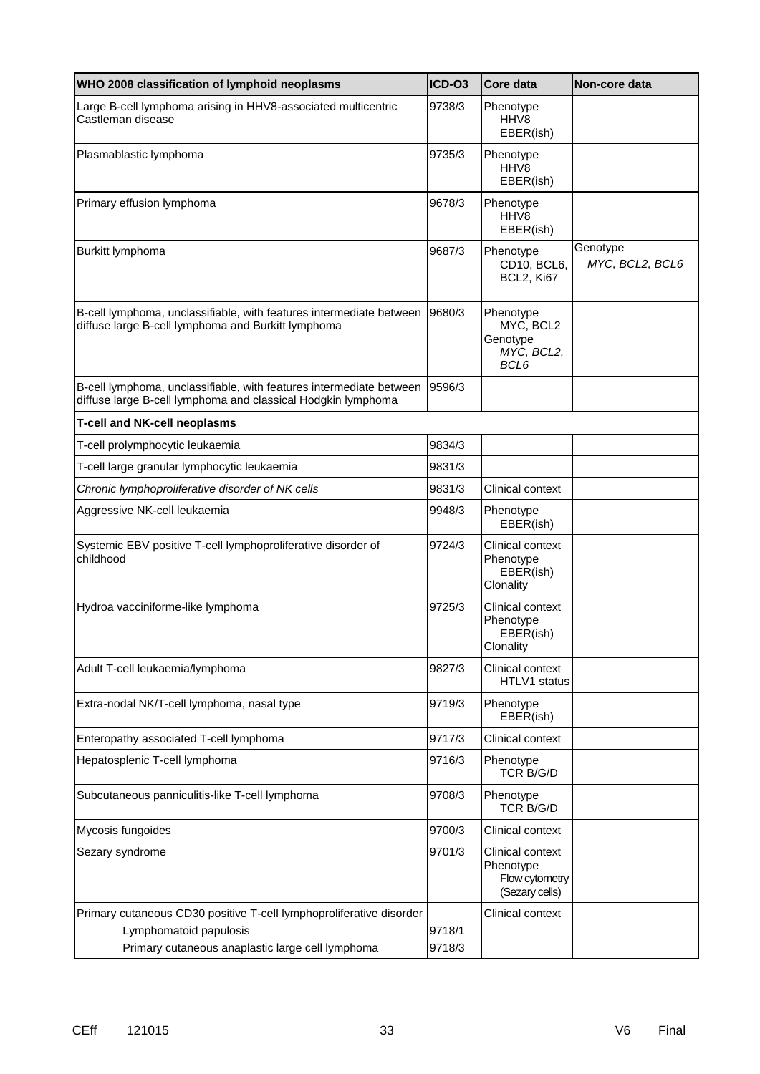| WHO 2008 classification of lymphoid neoplasms                                                                                       | ICD-03           | Core data                                                         | Non-core data               |
|-------------------------------------------------------------------------------------------------------------------------------------|------------------|-------------------------------------------------------------------|-----------------------------|
| Large B-cell lymphoma arising in HHV8-associated multicentric<br>Castleman disease                                                  | 9738/3           | Phenotype<br>HHV8<br>EBER(ish)                                    |                             |
| Plasmablastic lymphoma                                                                                                              | 9735/3           | Phenotype<br>HHV <sub>8</sub><br>EBER(ish)                        |                             |
| Primary effusion lymphoma                                                                                                           | 9678/3           | Phenotype<br>HHV8<br>EBER(ish)                                    |                             |
| Burkitt lymphoma                                                                                                                    | 9687/3           | Phenotype<br>CD10, BCL6,<br>BCL2, Ki67                            | Genotype<br>MYC, BCL2, BCL6 |
| B-cell lymphoma, unclassifiable, with features intermediate between<br>diffuse large B-cell lymphoma and Burkitt lymphoma           | 9680/3           | Phenotype<br>MYC, BCL2<br>Genotype<br>MYC, BCL2,<br>BCL6          |                             |
| B-cell lymphoma, unclassifiable, with features intermediate between<br>diffuse large B-cell lymphoma and classical Hodgkin lymphoma | 9596/3           |                                                                   |                             |
| <b>T-cell and NK-cell neoplasms</b>                                                                                                 |                  |                                                                   |                             |
| T-cell prolymphocytic leukaemia                                                                                                     | 9834/3           |                                                                   |                             |
| T-cell large granular lymphocytic leukaemia                                                                                         | 9831/3           |                                                                   |                             |
| Chronic lymphoproliferative disorder of NK cells                                                                                    | 9831/3           | Clinical context                                                  |                             |
| Aggressive NK-cell leukaemia                                                                                                        | 9948/3           | Phenotype<br>EBER(ish)                                            |                             |
| Systemic EBV positive T-cell lymphoproliferative disorder of<br>childhood                                                           | 9724/3           | Clinical context<br>Phenotype<br>EBER(ish)<br>Clonality           |                             |
| Hydroa vacciniforme-like lymphoma                                                                                                   | 9725/3           | Clinical context<br>Phenotype<br>EBER(ish)<br>Clonality           |                             |
| Adult T-cell leukaemia/lymphoma                                                                                                     | 9827/3           | Clinical context<br>HTLV1 status                                  |                             |
| Extra-nodal NK/T-cell lymphoma, nasal type                                                                                          | 9719/3           | Phenotype<br>EBER(ish)                                            |                             |
| Enteropathy associated T-cell lymphoma                                                                                              | 9717/3           | Clinical context                                                  |                             |
| Hepatosplenic T-cell lymphoma                                                                                                       | 9716/3           | Phenotype<br><b>TCR B/G/D</b>                                     |                             |
| Subcutaneous panniculitis-like T-cell lymphoma                                                                                      | 9708/3           | Phenotype<br><b>TCR B/G/D</b>                                     |                             |
| Mycosis fungoides                                                                                                                   | 9700/3           | Clinical context                                                  |                             |
| Sezary syndrome                                                                                                                     | 9701/3           | Clinical context<br>Phenotype<br>Flow cytometry<br>(Sezary cells) |                             |
| Primary cutaneous CD30 positive T-cell lymphoproliferative disorder                                                                 |                  | Clinical context                                                  |                             |
| Lymphomatoid papulosis<br>Primary cutaneous anaplastic large cell lymphoma                                                          | 9718/1<br>9718/3 |                                                                   |                             |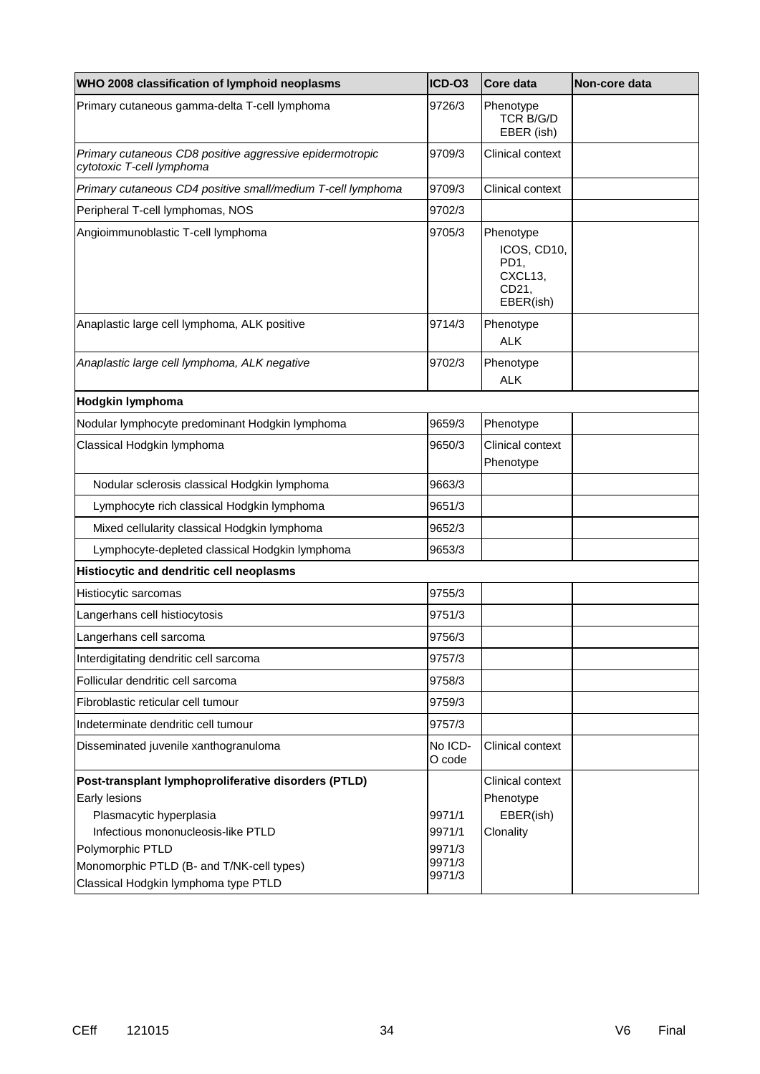| WHO 2008 classification of lymphoid neoplasms                                         | ICD-03            | Core data                                                         | Non-core data |
|---------------------------------------------------------------------------------------|-------------------|-------------------------------------------------------------------|---------------|
| Primary cutaneous gamma-delta T-cell lymphoma                                         | 9726/3            | Phenotype<br><b>TCR B/G/D</b><br>EBER (ish)                       |               |
| Primary cutaneous CD8 positive aggressive epidermotropic<br>cytotoxic T-cell lymphoma | 9709/3            | Clinical context                                                  |               |
| Primary cutaneous CD4 positive small/medium T-cell lymphoma                           | 9709/3            | Clinical context                                                  |               |
| Peripheral T-cell lymphomas, NOS                                                      | 9702/3            |                                                                   |               |
| Angioimmunoblastic T-cell lymphoma                                                    | 9705/3            | Phenotype<br>ICOS, CD10,<br>PD1,<br>CXCL13,<br>CD21,<br>EBER(ish) |               |
| Anaplastic large cell lymphoma, ALK positive                                          | 9714/3            | Phenotype<br><b>ALK</b>                                           |               |
| Anaplastic large cell lymphoma, ALK negative                                          | 9702/3            | Phenotype<br><b>ALK</b>                                           |               |
| Hodgkin lymphoma                                                                      |                   |                                                                   |               |
| Nodular lymphocyte predominant Hodgkin lymphoma                                       | 9659/3            | Phenotype                                                         |               |
| Classical Hodgkin lymphoma                                                            | 9650/3            | Clinical context<br>Phenotype                                     |               |
| Nodular sclerosis classical Hodgkin lymphoma                                          | 9663/3            |                                                                   |               |
| Lymphocyte rich classical Hodgkin lymphoma                                            | 9651/3            |                                                                   |               |
| Mixed cellularity classical Hodgkin lymphoma                                          | 9652/3            |                                                                   |               |
| Lymphocyte-depleted classical Hodgkin lymphoma                                        | 9653/3            |                                                                   |               |
| Histiocytic and dendritic cell neoplasms                                              |                   |                                                                   |               |
| Histiocytic sarcomas                                                                  | 9755/3            |                                                                   |               |
| Langerhans cell histiocytosis                                                         | 9751/3            |                                                                   |               |
| Langerhans cell sarcoma                                                               | 9756/3            |                                                                   |               |
| Interdigitating dendritic cell sarcoma                                                | 9757/3            |                                                                   |               |
| Follicular dendritic cell sarcoma                                                     | 9758/3            |                                                                   |               |
| Fibroblastic reticular cell tumour                                                    | 9759/3            |                                                                   |               |
| Indeterminate dendritic cell tumour                                                   | 9757/3            |                                                                   |               |
| Disseminated juvenile xanthogranuloma                                                 | No ICD-<br>O code | Clinical context                                                  |               |
| Post-transplant lymphoproliferative disorders (PTLD)                                  |                   | Clinical context                                                  |               |
| Early lesions                                                                         |                   | Phenotype                                                         |               |
| Plasmacytic hyperplasia                                                               | 9971/1            | EBER(ish)                                                         |               |
| Infectious mononucleosis-like PTLD                                                    | 9971/1            | Clonality                                                         |               |
| Polymorphic PTLD                                                                      | 9971/3<br>9971/3  |                                                                   |               |
| Monomorphic PTLD (B- and T/NK-cell types)<br>Classical Hodgkin lymphoma type PTLD     | 9971/3            |                                                                   |               |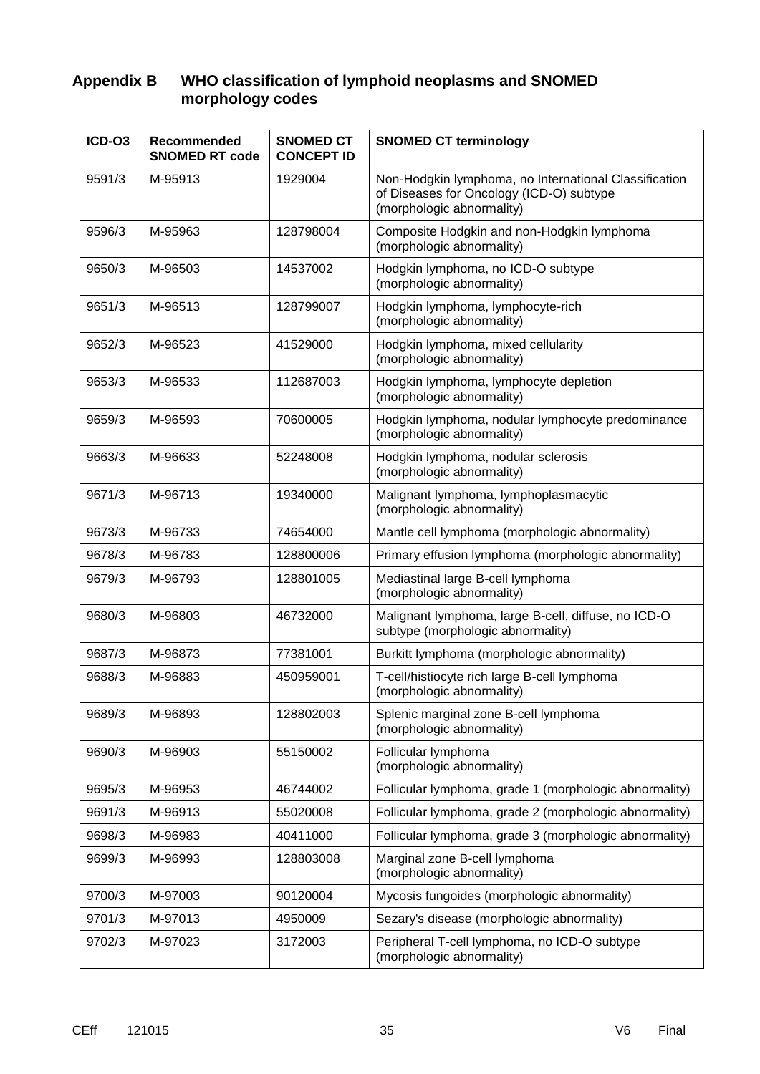## **Appendix B WHO classification of lymphoid neoplasms and SNOMED morphology codes**

| ICD-03 | Recommended<br><b>SNOMED RT code</b> | <b>SNOMED CT</b><br><b>CONCEPT ID</b> | <b>SNOMED CT terminology</b>                                                                                                   |  |
|--------|--------------------------------------|---------------------------------------|--------------------------------------------------------------------------------------------------------------------------------|--|
| 9591/3 | M-95913                              | 1929004                               | Non-Hodgkin lymphoma, no International Classification<br>of Diseases for Oncology (ICD-O) subtype<br>(morphologic abnormality) |  |
| 9596/3 | M-95963                              | 128798004                             | Composite Hodgkin and non-Hodgkin lymphoma<br>(morphologic abnormality)                                                        |  |
| 9650/3 | M-96503                              | 14537002                              | Hodgkin lymphoma, no ICD-O subtype<br>(morphologic abnormality)                                                                |  |
| 9651/3 | M-96513                              | 128799007                             | Hodgkin lymphoma, lymphocyte-rich<br>(morphologic abnormality)                                                                 |  |
| 9652/3 | M-96523                              | 41529000                              | Hodgkin lymphoma, mixed cellularity<br>(morphologic abnormality)                                                               |  |
| 9653/3 | M-96533                              | 112687003                             | Hodgkin lymphoma, lymphocyte depletion<br>(morphologic abnormality)                                                            |  |
| 9659/3 | M-96593                              | 70600005                              | Hodgkin lymphoma, nodular lymphocyte predominance<br>(morphologic abnormality)                                                 |  |
| 9663/3 | M-96633                              | 52248008                              | Hodgkin lymphoma, nodular sclerosis<br>(morphologic abnormality)                                                               |  |
| 9671/3 | M-96713                              | 19340000                              | Malignant lymphoma, lymphoplasmacytic<br>(morphologic abnormality)                                                             |  |
| 9673/3 | M-96733                              | 74654000                              | Mantle cell lymphoma (morphologic abnormality)                                                                                 |  |
| 9678/3 | M-96783                              | 128800006                             | Primary effusion lymphoma (morphologic abnormality)                                                                            |  |
| 9679/3 | M-96793                              | 128801005                             | Mediastinal large B-cell lymphoma<br>(morphologic abnormality)                                                                 |  |
| 9680/3 | M-96803                              | 46732000                              | Malignant lymphoma, large B-cell, diffuse, no ICD-O<br>subtype (morphologic abnormality)                                       |  |
| 9687/3 | M-96873                              | 77381001                              | Burkitt lymphoma (morphologic abnormality)                                                                                     |  |
| 9688/3 | M-96883                              | 450959001                             | T-cell/histiocyte rich large B-cell lymphoma<br>(morphologic abnormality)                                                      |  |
| 9689/3 | M-96893                              | 128802003                             | Splenic marginal zone B-cell lymphoma<br>(morphologic abnormality)                                                             |  |
| 9690/3 | M-96903                              | 55150002                              | Follicular lymphoma<br>(morphologic abnormality)                                                                               |  |
| 9695/3 | M-96953                              | 46744002                              | Follicular lymphoma, grade 1 (morphologic abnormality)                                                                         |  |
| 9691/3 | M-96913                              | 55020008                              | Follicular lymphoma, grade 2 (morphologic abnormality)                                                                         |  |
| 9698/3 | M-96983                              | 40411000                              | Follicular lymphoma, grade 3 (morphologic abnormality)                                                                         |  |
| 9699/3 | M-96993                              | 128803008                             | Marginal zone B-cell lymphoma<br>(morphologic abnormality)                                                                     |  |
| 9700/3 | M-97003                              | 90120004                              | Mycosis fungoides (morphologic abnormality)                                                                                    |  |
| 9701/3 | M-97013                              | 4950009                               | Sezary's disease (morphologic abnormality)                                                                                     |  |
| 9702/3 | M-97023                              | 3172003                               | Peripheral T-cell lymphoma, no ICD-O subtype<br>(morphologic abnormality)                                                      |  |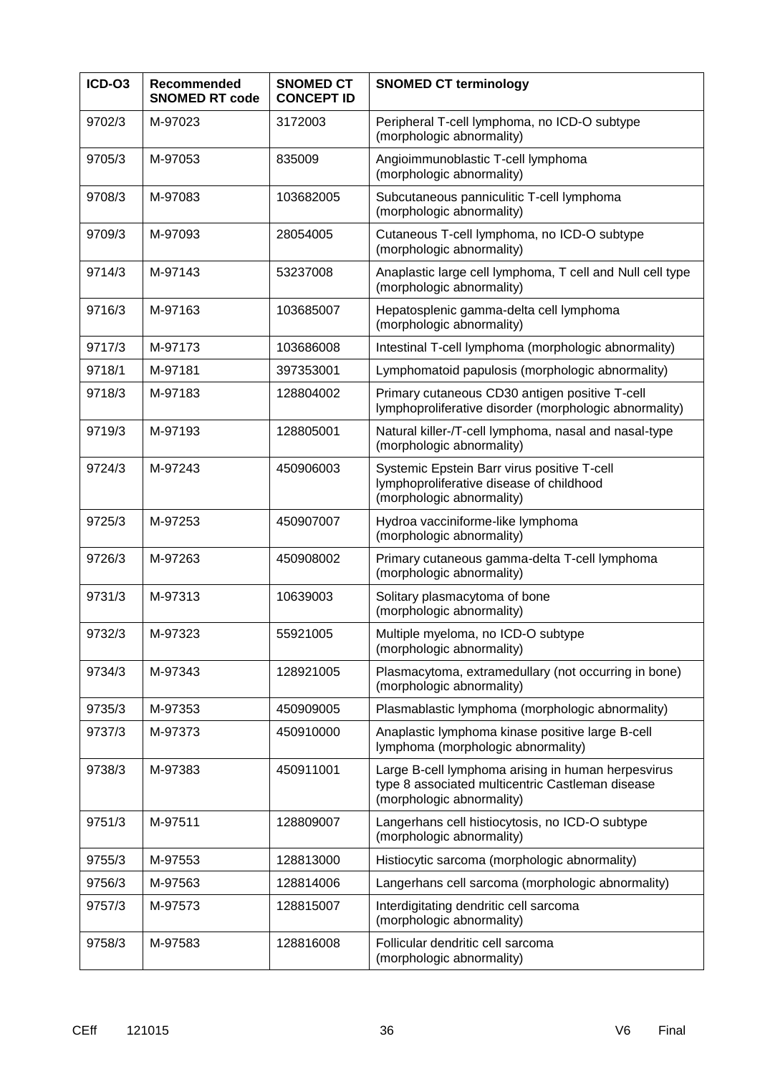| ICD-O3 | Recommended<br><b>SNOMED RT code</b> | <b>SNOMED CT</b><br><b>CONCEPT ID</b> | <b>SNOMED CT terminology</b>                                                                                                        |  |
|--------|--------------------------------------|---------------------------------------|-------------------------------------------------------------------------------------------------------------------------------------|--|
| 9702/3 | M-97023                              | 3172003                               | Peripheral T-cell lymphoma, no ICD-O subtype<br>(morphologic abnormality)                                                           |  |
| 9705/3 | M-97053                              | 835009                                | Angioimmunoblastic T-cell lymphoma<br>(morphologic abnormality)                                                                     |  |
| 9708/3 | M-97083                              | 103682005                             | Subcutaneous panniculitic T-cell lymphoma<br>(morphologic abnormality)                                                              |  |
| 9709/3 | M-97093                              | 28054005                              | Cutaneous T-cell lymphoma, no ICD-O subtype<br>(morphologic abnormality)                                                            |  |
| 9714/3 | M-97143                              | 53237008                              | Anaplastic large cell lymphoma, T cell and Null cell type<br>(morphologic abnormality)                                              |  |
| 9716/3 | M-97163                              | 103685007                             | Hepatosplenic gamma-delta cell lymphoma<br>(morphologic abnormality)                                                                |  |
| 9717/3 | M-97173                              | 103686008                             | Intestinal T-cell lymphoma (morphologic abnormality)                                                                                |  |
| 9718/1 | M-97181                              | 397353001                             | Lymphomatoid papulosis (morphologic abnormality)                                                                                    |  |
| 9718/3 | M-97183                              | 128804002                             | Primary cutaneous CD30 antigen positive T-cell<br>lymphoproliferative disorder (morphologic abnormality)                            |  |
| 9719/3 | M-97193                              | 128805001                             | Natural killer-/T-cell lymphoma, nasal and nasal-type<br>(morphologic abnormality)                                                  |  |
| 9724/3 | M-97243                              | 450906003                             | Systemic Epstein Barr virus positive T-cell<br>lymphoproliferative disease of childhood<br>(morphologic abnormality)                |  |
| 9725/3 | M-97253                              | 450907007                             | Hydroa vacciniforme-like lymphoma<br>(morphologic abnormality)                                                                      |  |
| 9726/3 | M-97263                              | 450908002                             | Primary cutaneous gamma-delta T-cell lymphoma<br>(morphologic abnormality)                                                          |  |
| 9731/3 | M-97313                              | 10639003                              | Solitary plasmacytoma of bone<br>(morphologic abnormality)                                                                          |  |
| 9732/3 | M-97323                              | 55921005                              | Multiple myeloma, no ICD-O subtype<br>(morphologic abnormality)                                                                     |  |
| 9734/3 | M-97343                              | 128921005                             | Plasmacytoma, extramedullary (not occurring in bone)<br>(morphologic abnormality)                                                   |  |
| 9735/3 | M-97353                              | 450909005                             | Plasmablastic lymphoma (morphologic abnormality)                                                                                    |  |
| 9737/3 | M-97373                              | 450910000                             | Anaplastic lymphoma kinase positive large B-cell<br>lymphoma (morphologic abnormality)                                              |  |
| 9738/3 | M-97383                              | 450911001                             | Large B-cell lymphoma arising in human herpesvirus<br>type 8 associated multicentric Castleman disease<br>(morphologic abnormality) |  |
| 9751/3 | M-97511                              | 128809007                             | Langerhans cell histiocytosis, no ICD-O subtype<br>(morphologic abnormality)                                                        |  |
| 9755/3 | M-97553                              | 128813000                             | Histiocytic sarcoma (morphologic abnormality)                                                                                       |  |
| 9756/3 | M-97563                              | 128814006                             | Langerhans cell sarcoma (morphologic abnormality)                                                                                   |  |
| 9757/3 | M-97573                              | 128815007                             | Interdigitating dendritic cell sarcoma<br>(morphologic abnormality)                                                                 |  |
| 9758/3 | M-97583                              | 128816008                             | Follicular dendritic cell sarcoma<br>(morphologic abnormality)                                                                      |  |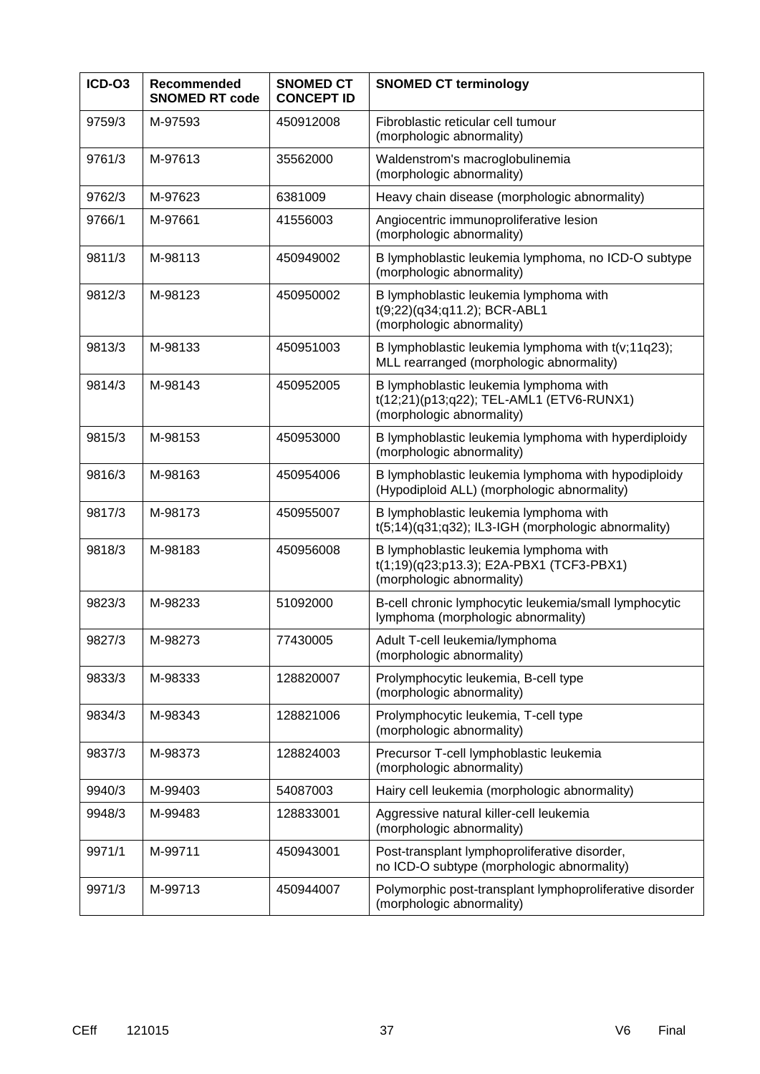| ICD-O3 | <b>Recommended</b><br><b>SNOMED RT code</b> | <b>SNOMED CT</b><br><b>CONCEPT ID</b> | <b>SNOMED CT terminology</b>                                                                                    |
|--------|---------------------------------------------|---------------------------------------|-----------------------------------------------------------------------------------------------------------------|
| 9759/3 | M-97593                                     | 450912008                             | Fibroblastic reticular cell tumour<br>(morphologic abnormality)                                                 |
| 9761/3 | M-97613                                     | 35562000                              | Waldenstrom's macroglobulinemia<br>(morphologic abnormality)                                                    |
| 9762/3 | M-97623                                     | 6381009                               | Heavy chain disease (morphologic abnormality)                                                                   |
| 9766/1 | M-97661                                     | 41556003                              | Angiocentric immunoproliferative lesion<br>(morphologic abnormality)                                            |
| 9811/3 | M-98113                                     | 450949002                             | B lymphoblastic leukemia lymphoma, no ICD-O subtype<br>(morphologic abnormality)                                |
| 9812/3 | M-98123                                     | 450950002                             | B lymphoblastic leukemia lymphoma with<br>t(9;22)(q34;q11.2); BCR-ABL1<br>(morphologic abnormality)             |
| 9813/3 | M-98133                                     | 450951003                             | B lymphoblastic leukemia lymphoma with t(v;11q23);<br>MLL rearranged (morphologic abnormality)                  |
| 9814/3 | M-98143                                     | 450952005                             | B lymphoblastic leukemia lymphoma with<br>t(12;21)(p13;q22); TEL-AML1 (ETV6-RUNX1)<br>(morphologic abnormality) |
| 9815/3 | M-98153                                     | 450953000                             | B lymphoblastic leukemia lymphoma with hyperdiploidy<br>(morphologic abnormality)                               |
| 9816/3 | M-98163                                     | 450954006                             | B lymphoblastic leukemia lymphoma with hypodiploidy<br>(Hypodiploid ALL) (morphologic abnormality)              |
| 9817/3 | M-98173                                     | 450955007                             | B lymphoblastic leukemia lymphoma with<br>t(5;14)(q31;q32); IL3-IGH (morphologic abnormality)                   |
| 9818/3 | M-98183                                     | 450956008                             | B lymphoblastic leukemia lymphoma with<br>t(1;19)(q23;p13.3); E2A-PBX1 (TCF3-PBX1)<br>(morphologic abnormality) |
| 9823/3 | M-98233                                     | 51092000                              | B-cell chronic lymphocytic leukemia/small lymphocytic<br>lymphoma (morphologic abnormality)                     |
| 9827/3 | M-98273                                     | 77430005                              | Adult T-cell leukemia/lymphoma<br>(morphologic abnormality)                                                     |
| 9833/3 | M-98333                                     | 128820007                             | Prolymphocytic leukemia, B-cell type<br>(morphologic abnormality)                                               |
| 9834/3 | M-98343                                     | 128821006                             | Prolymphocytic leukemia, T-cell type<br>(morphologic abnormality)                                               |
| 9837/3 | M-98373                                     | 128824003                             | Precursor T-cell lymphoblastic leukemia<br>(morphologic abnormality)                                            |
| 9940/3 | M-99403                                     | 54087003                              | Hairy cell leukemia (morphologic abnormality)                                                                   |
| 9948/3 | M-99483                                     | 128833001                             | Aggressive natural killer-cell leukemia<br>(morphologic abnormality)                                            |
| 9971/1 | M-99711                                     | 450943001                             | Post-transplant lymphoproliferative disorder,<br>no ICD-O subtype (morphologic abnormality)                     |
| 9971/3 | M-99713                                     | 450944007                             | Polymorphic post-transplant lymphoproliferative disorder<br>(morphologic abnormality)                           |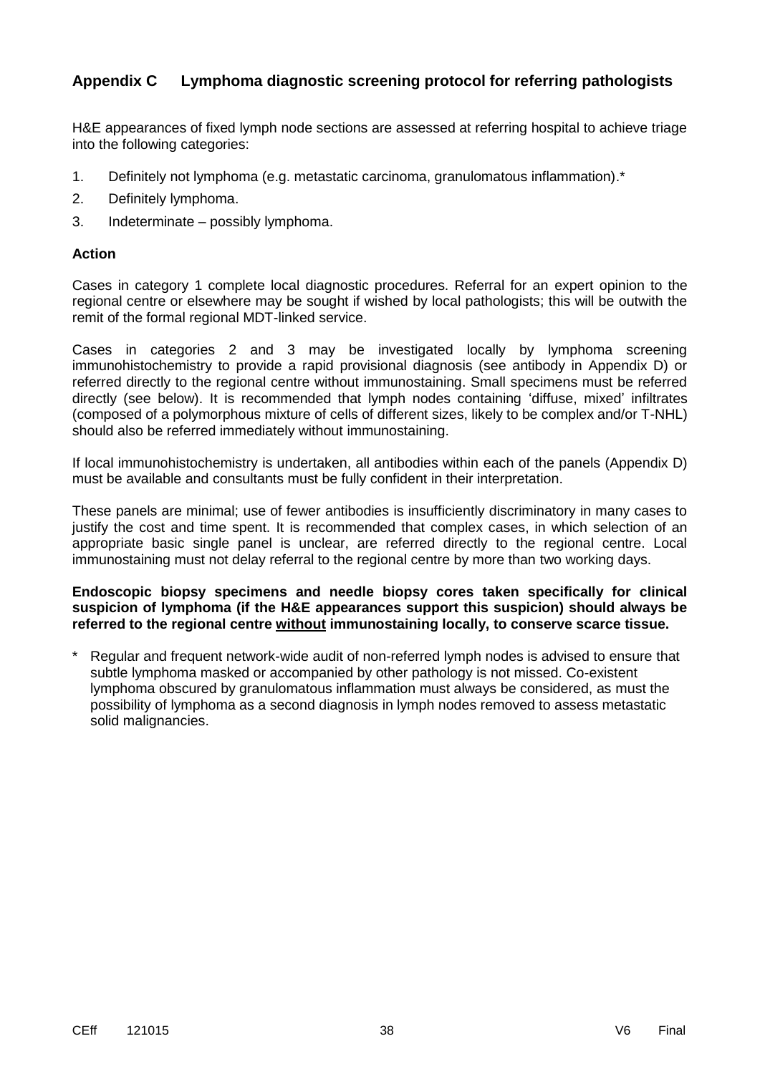## **Appendix C Lymphoma diagnostic screening protocol for referring pathologists**

H&E appearances of fixed lymph node sections are assessed at referring hospital to achieve triage into the following categories:

- 1. Definitely not lymphoma (e.g. metastatic carcinoma, granulomatous inflammation).\*
- 2. Definitely lymphoma.
- 3. Indeterminate possibly lymphoma.

#### **Action**

Cases in category 1 complete local diagnostic procedures. Referral for an expert opinion to the regional centre or elsewhere may be sought if wished by local pathologists; this will be outwith the remit of the formal regional MDT-linked service.

Cases in categories 2 and 3 may be investigated locally by lymphoma screening immunohistochemistry to provide a rapid provisional diagnosis (see antibody in Appendix D) or referred directly to the regional centre without immunostaining. Small specimens must be referred directly (see below). It is recommended that lymph nodes containing 'diffuse, mixed' infiltrates (composed of a polymorphous mixture of cells of different sizes, likely to be complex and/or T-NHL) should also be referred immediately without immunostaining.

If local immunohistochemistry is undertaken, all antibodies within each of the panels (Appendix D) must be available and consultants must be fully confident in their interpretation.

These panels are minimal; use of fewer antibodies is insufficiently discriminatory in many cases to justify the cost and time spent. It is recommended that complex cases, in which selection of an appropriate basic single panel is unclear, are referred directly to the regional centre. Local immunostaining must not delay referral to the regional centre by more than two working days.

#### **Endoscopic biopsy specimens and needle biopsy cores taken specifically for clinical suspicion of lymphoma (if the H&E appearances support this suspicion) should always be referred to the regional centre without immunostaining locally, to conserve scarce tissue.**

Regular and frequent network-wide audit of non-referred lymph nodes is advised to ensure that subtle lymphoma masked or accompanied by other pathology is not missed. Co-existent lymphoma obscured by granulomatous inflammation must always be considered, as must the possibility of lymphoma as a second diagnosis in lymph nodes removed to assess metastatic solid malignancies.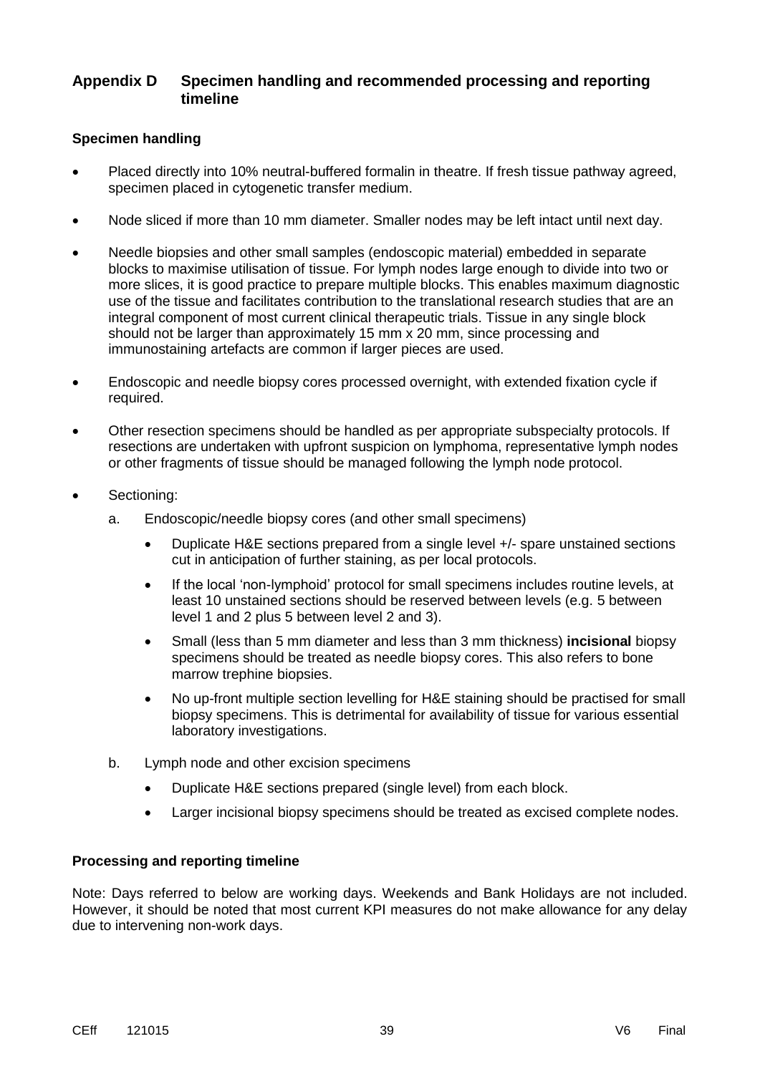## **Appendix D Specimen handling and recommended processing and reporting timeline**

#### **Specimen handling**

- Placed directly into 10% neutral-buffered formalin in theatre. If fresh tissue pathway agreed, specimen placed in cytogenetic transfer medium.
- Node sliced if more than 10 mm diameter. Smaller nodes may be left intact until next day.
- Needle biopsies and other small samples (endoscopic material) embedded in separate blocks to maximise utilisation of tissue. For lymph nodes large enough to divide into two or more slices, it is good practice to prepare multiple blocks. This enables maximum diagnostic use of the tissue and facilitates contribution to the translational research studies that are an integral component of most current clinical therapeutic trials. Tissue in any single block should not be larger than approximately 15 mm x 20 mm, since processing and immunostaining artefacts are common if larger pieces are used.
- Endoscopic and needle biopsy cores processed overnight, with extended fixation cycle if required.
- Other resection specimens should be handled as per appropriate subspecialty protocols. If resections are undertaken with upfront suspicion on lymphoma, representative lymph nodes or other fragments of tissue should be managed following the lymph node protocol.
- Sectioning:
	- a. Endoscopic/needle biopsy cores (and other small specimens)
		- Duplicate H&E sections prepared from a single level +/- spare unstained sections cut in anticipation of further staining, as per local protocols.
		- If the local 'non-lymphoid' protocol for small specimens includes routine levels, at least 10 unstained sections should be reserved between levels (e.g. 5 between level 1 and 2 plus 5 between level 2 and 3).
		- Small (less than 5 mm diameter and less than 3 mm thickness) **incisional** biopsy specimens should be treated as needle biopsy cores. This also refers to bone marrow trephine biopsies.
		- No up-front multiple section levelling for H&E staining should be practised for small biopsy specimens. This is detrimental for availability of tissue for various essential laboratory investigations.
	- b. Lymph node and other excision specimens
		- Duplicate H&E sections prepared (single level) from each block.
		- Larger incisional biopsy specimens should be treated as excised complete nodes.

#### **Processing and reporting timeline**

Note: Days referred to below are working days. Weekends and Bank Holidays are not included. However, it should be noted that most current KPI measures do not make allowance for any delay due to intervening non-work days.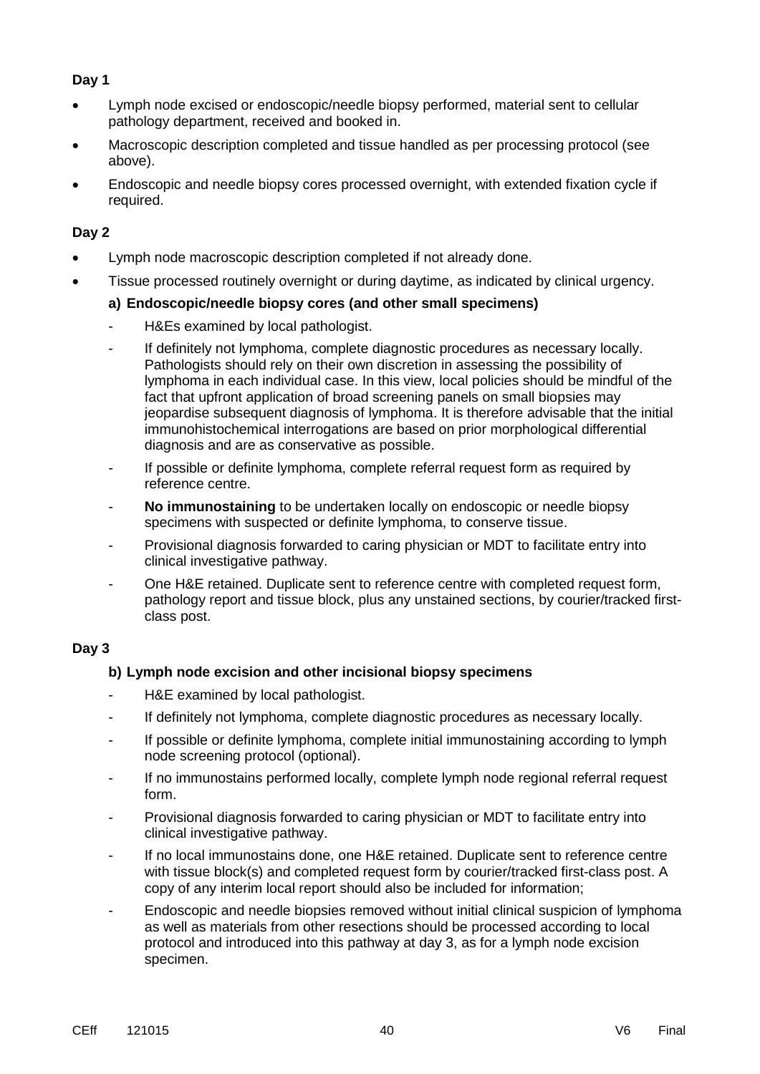## **Day 1**

- Lymph node excised or endoscopic/needle biopsy performed, material sent to cellular pathology department, received and booked in.
- Macroscopic description completed and tissue handled as per processing protocol (see above).
- Endoscopic and needle biopsy cores processed overnight, with extended fixation cycle if required.

### **Day 2**

- Lymph node macroscopic description completed if not already done.
- Tissue processed routinely overnight or during daytime, as indicated by clinical urgency.

#### **a) Endoscopic/needle biopsy cores (and other small specimens)**

- H&Es examined by local pathologist.
- If definitely not lymphoma, complete diagnostic procedures as necessary locally. Pathologists should rely on their own discretion in assessing the possibility of lymphoma in each individual case. In this view, local policies should be mindful of the fact that upfront application of broad screening panels on small biopsies may jeopardise subsequent diagnosis of lymphoma. It is therefore advisable that the initial immunohistochemical interrogations are based on prior morphological differential diagnosis and are as conservative as possible.
- If possible or definite lymphoma, complete referral request form as required by reference centre.
- **No immunostaining** to be undertaken locally on endoscopic or needle biopsy specimens with suspected or definite lymphoma, to conserve tissue.
- Provisional diagnosis forwarded to caring physician or MDT to facilitate entry into clinical investigative pathway.
- One H&E retained. Duplicate sent to reference centre with completed request form, pathology report and tissue block, plus any unstained sections, by courier/tracked firstclass post.

#### **Day 3**

#### **b) Lymph node excision and other incisional biopsy specimens**

- H&E examined by local pathologist.
- If definitely not lymphoma, complete diagnostic procedures as necessary locally.
- If possible or definite lymphoma, complete initial immunostaining according to lymph node screening protocol (optional).
- If no immunostains performed locally, complete lymph node regional referral request form.
- Provisional diagnosis forwarded to caring physician or MDT to facilitate entry into clinical investigative pathway.
- If no local immunostains done, one H&E retained. Duplicate sent to reference centre with tissue block(s) and completed request form by courier/tracked first-class post. A copy of any interim local report should also be included for information;
- Endoscopic and needle biopsies removed without initial clinical suspicion of lymphoma as well as materials from other resections should be processed according to local protocol and introduced into this pathway at day 3, as for a lymph node excision specimen.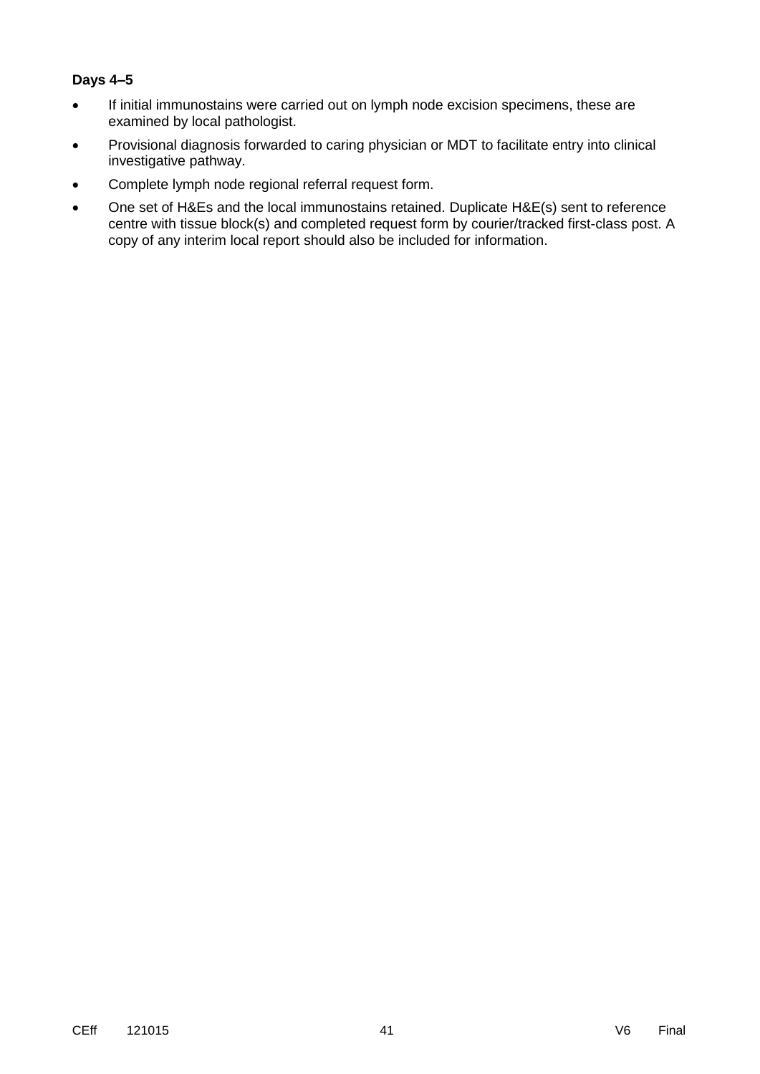#### **Days 4–5**

- If initial immunostains were carried out on lymph node excision specimens, these are examined by local pathologist.
- Provisional diagnosis forwarded to caring physician or MDT to facilitate entry into clinical investigative pathway.
- Complete lymph node regional referral request form.
- One set of H&Es and the local immunostains retained. Duplicate H&E(s) sent to reference centre with tissue block(s) and completed request form by courier/tracked first-class post. A copy of any interim local report should also be included for information.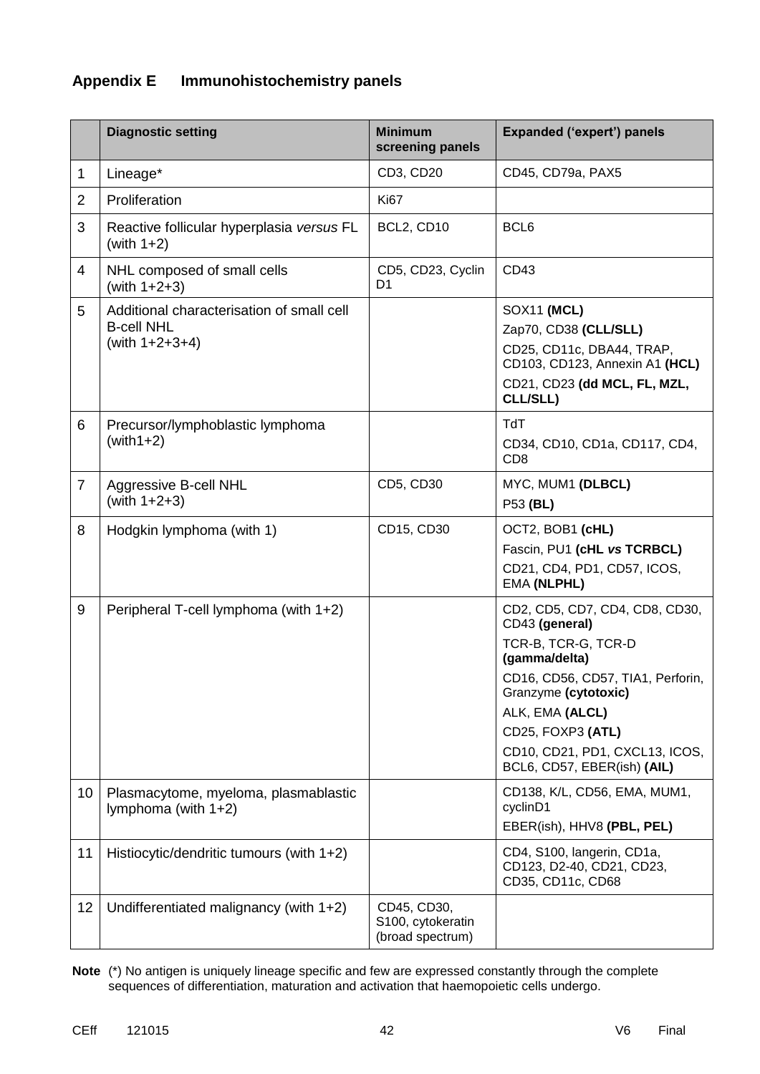## **Appendix E Immunohistochemistry panels**

|                | <b>Diagnostic setting</b>                                                           | <b>Minimum</b><br>screening panels                   | <b>Expanded ('expert') panels</b>                                                                                                                                                                                                                              |
|----------------|-------------------------------------------------------------------------------------|------------------------------------------------------|----------------------------------------------------------------------------------------------------------------------------------------------------------------------------------------------------------------------------------------------------------------|
| 1              | Lineage*                                                                            | CD3, CD20                                            | CD45, CD79a, PAX5                                                                                                                                                                                                                                              |
| $\overline{2}$ | Proliferation                                                                       | <b>Ki67</b>                                          |                                                                                                                                                                                                                                                                |
| 3              | Reactive follicular hyperplasia versus FL<br>(with $1+2$ )                          | BCL2, CD10                                           | BCL6                                                                                                                                                                                                                                                           |
| 4              | NHL composed of small cells<br>(with $1+2+3$ )                                      | CD5, CD23, Cyclin<br>D <sub>1</sub>                  | CD43                                                                                                                                                                                                                                                           |
| 5              | Additional characterisation of small cell<br><b>B-cell NHL</b><br>(with $1+2+3+4$ ) |                                                      | SOX11 (MCL)<br>Zap70, CD38 (CLL/SLL)<br>CD25, CD11c, DBA44, TRAP,<br>CD103, CD123, Annexin A1 (HCL)<br>CD21, CD23 (dd MCL, FL, MZL,<br>CLL/SLL)                                                                                                                |
| 6              | Precursor/lymphoblastic lymphoma<br>$(with1+2)$                                     |                                                      | <b>TdT</b><br>CD34, CD10, CD1a, CD117, CD4,<br>CD <sub>8</sub>                                                                                                                                                                                                 |
| $\overline{7}$ | <b>Aggressive B-cell NHL</b><br>(with $1+2+3$ )                                     | CD5, CD30                                            | MYC, MUM1 (DLBCL)<br>P53 (BL)                                                                                                                                                                                                                                  |
| 8              | Hodgkin lymphoma (with 1)                                                           | CD15, CD30                                           | OCT2, BOB1 (cHL)<br>Fascin, PU1 (cHL vs TCRBCL)<br>CD21, CD4, PD1, CD57, ICOS,<br>EMA (NLPHL)                                                                                                                                                                  |
| 9              | Peripheral T-cell lymphoma (with 1+2)                                               |                                                      | CD2, CD5, CD7, CD4, CD8, CD30,<br>CD43 (general)<br>TCR-B, TCR-G, TCR-D<br>(gamma/delta)<br>CD16, CD56, CD57, TIA1, Perforin,<br>Granzyme (cytotoxic)<br>ALK, EMA (ALCL)<br>CD25, FOXP3 (ATL)<br>CD10, CD21, PD1, CXCL13, ICOS,<br>BCL6, CD57, EBER(ish) (AIL) |
| 10             | Plasmacytome, myeloma, plasmablastic<br>lymphoma (with $1+2$ )                      |                                                      | CD138, K/L, CD56, EMA, MUM1,<br>cyclinD1<br>EBER(ish), HHV8 (PBL, PEL)                                                                                                                                                                                         |
| 11             | Histiocytic/dendritic tumours (with 1+2)                                            |                                                      | CD4, S100, langerin, CD1a,<br>CD123, D2-40, CD21, CD23,<br>CD35, CD11c, CD68                                                                                                                                                                                   |
| 12             | Undifferentiated malignancy (with $1+2$ )                                           | CD45, CD30,<br>S100, cytokeratin<br>(broad spectrum) |                                                                                                                                                                                                                                                                |

**Note** (\*) No antigen is uniquely lineage specific and few are expressed constantly through the complete sequences of differentiation, maturation and activation that haemopoietic cells undergo.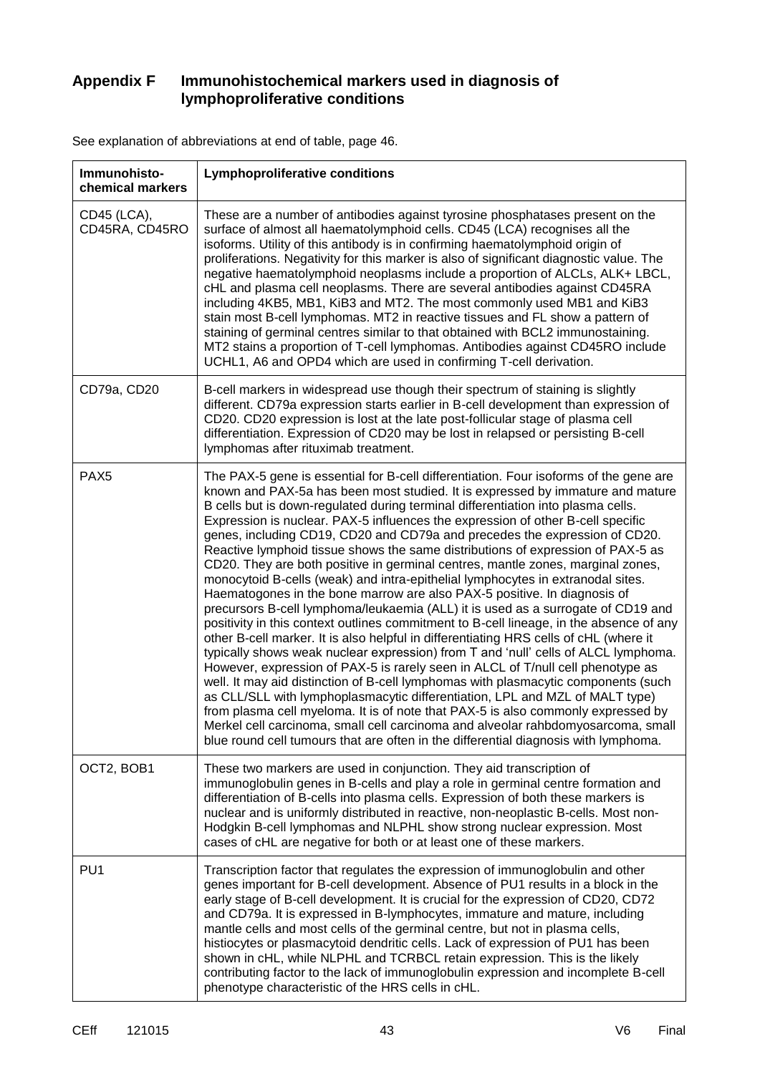## **Appendix F Immunohistochemical markers used in diagnosis of lymphoproliferative conditions**

| Immunohisto-<br>chemical markers | <b>Lymphoproliferative conditions</b>                                                                                                                                                                                                                                                                                                                                                                                                                                                                                                                                                                                                                                                                                                                                                                                                                                                                                                                                                                                                                                                                                                                                                                                                                                                                                                                                                                                                                                                                                                                                                                                                                   |
|----------------------------------|---------------------------------------------------------------------------------------------------------------------------------------------------------------------------------------------------------------------------------------------------------------------------------------------------------------------------------------------------------------------------------------------------------------------------------------------------------------------------------------------------------------------------------------------------------------------------------------------------------------------------------------------------------------------------------------------------------------------------------------------------------------------------------------------------------------------------------------------------------------------------------------------------------------------------------------------------------------------------------------------------------------------------------------------------------------------------------------------------------------------------------------------------------------------------------------------------------------------------------------------------------------------------------------------------------------------------------------------------------------------------------------------------------------------------------------------------------------------------------------------------------------------------------------------------------------------------------------------------------------------------------------------------------|
| CD45 (LCA),<br>CD45RA, CD45RO    | These are a number of antibodies against tyrosine phosphatases present on the<br>surface of almost all haematolymphoid cells. CD45 (LCA) recognises all the<br>isoforms. Utility of this antibody is in confirming haematolymphoid origin of<br>proliferations. Negativity for this marker is also of significant diagnostic value. The<br>negative haematolymphoid neoplasms include a proportion of ALCLs, ALK+ LBCL,<br>cHL and plasma cell neoplasms. There are several antibodies against CD45RA<br>including 4KB5, MB1, KiB3 and MT2. The most commonly used MB1 and KiB3<br>stain most B-cell lymphomas. MT2 in reactive tissues and FL show a pattern of<br>staining of germinal centres similar to that obtained with BCL2 immunostaining.<br>MT2 stains a proportion of T-cell lymphomas. Antibodies against CD45RO include<br>UCHL1, A6 and OPD4 which are used in confirming T-cell derivation.                                                                                                                                                                                                                                                                                                                                                                                                                                                                                                                                                                                                                                                                                                                                             |
| CD79a, CD20                      | B-cell markers in widespread use though their spectrum of staining is slightly<br>different. CD79a expression starts earlier in B-cell development than expression of<br>CD20. CD20 expression is lost at the late post-follicular stage of plasma cell<br>differentiation. Expression of CD20 may be lost in relapsed or persisting B-cell<br>lymphomas after rituximab treatment.                                                                                                                                                                                                                                                                                                                                                                                                                                                                                                                                                                                                                                                                                                                                                                                                                                                                                                                                                                                                                                                                                                                                                                                                                                                                     |
| PAX <sub>5</sub>                 | The PAX-5 gene is essential for B-cell differentiation. Four isoforms of the gene are<br>known and PAX-5a has been most studied. It is expressed by immature and mature<br>B cells but is down-regulated during terminal differentiation into plasma cells.<br>Expression is nuclear. PAX-5 influences the expression of other B-cell specific<br>genes, including CD19, CD20 and CD79a and precedes the expression of CD20.<br>Reactive lymphoid tissue shows the same distributions of expression of PAX-5 as<br>CD20. They are both positive in germinal centres, mantle zones, marginal zones,<br>monocytoid B-cells (weak) and intra-epithelial lymphocytes in extranodal sites.<br>Haematogones in the bone marrow are also PAX-5 positive. In diagnosis of<br>precursors B-cell lymphoma/leukaemia (ALL) it is used as a surrogate of CD19 and<br>positivity in this context outlines commitment to B-cell lineage, in the absence of any<br>other B-cell marker. It is also helpful in differentiating HRS cells of cHL (where it<br>typically shows weak nuclear expression) from T and 'null' cells of ALCL lymphoma.<br>However, expression of PAX-5 is rarely seen in ALCL of T/null cell phenotype as<br>well. It may aid distinction of B-cell lymphomas with plasmacytic components (such<br>as CLL/SLL with lymphoplasmacytic differentiation, LPL and MZL of MALT type)<br>from plasma cell myeloma. It is of note that PAX-5 is also commonly expressed by<br>Merkel cell carcinoma, small cell carcinoma and alveolar rahbdomyosarcoma, small<br>blue round cell tumours that are often in the differential diagnosis with lymphoma. |
| OCT2, BOB1                       | These two markers are used in conjunction. They aid transcription of<br>immunoglobulin genes in B-cells and play a role in germinal centre formation and<br>differentiation of B-cells into plasma cells. Expression of both these markers is<br>nuclear and is uniformly distributed in reactive, non-neoplastic B-cells. Most non-<br>Hodgkin B-cell lymphomas and NLPHL show strong nuclear expression. Most<br>cases of cHL are negative for both or at least one of these markers.                                                                                                                                                                                                                                                                                                                                                                                                                                                                                                                                                                                                                                                                                                                                                                                                                                                                                                                                                                                                                                                                                                                                                                 |
| PU <sub>1</sub>                  | Transcription factor that regulates the expression of immunoglobulin and other<br>genes important for B-cell development. Absence of PU1 results in a block in the<br>early stage of B-cell development. It is crucial for the expression of CD20, CD72<br>and CD79a. It is expressed in B-lymphocytes, immature and mature, including<br>mantle cells and most cells of the germinal centre, but not in plasma cells,<br>histiocytes or plasmacytoid dendritic cells. Lack of expression of PU1 has been<br>shown in cHL, while NLPHL and TCRBCL retain expression. This is the likely<br>contributing factor to the lack of immunoglobulin expression and incomplete B-cell<br>phenotype characteristic of the HRS cells in cHL.                                                                                                                                                                                                                                                                                                                                                                                                                                                                                                                                                                                                                                                                                                                                                                                                                                                                                                                      |

See explanation of abbreviations at end of table, page 46.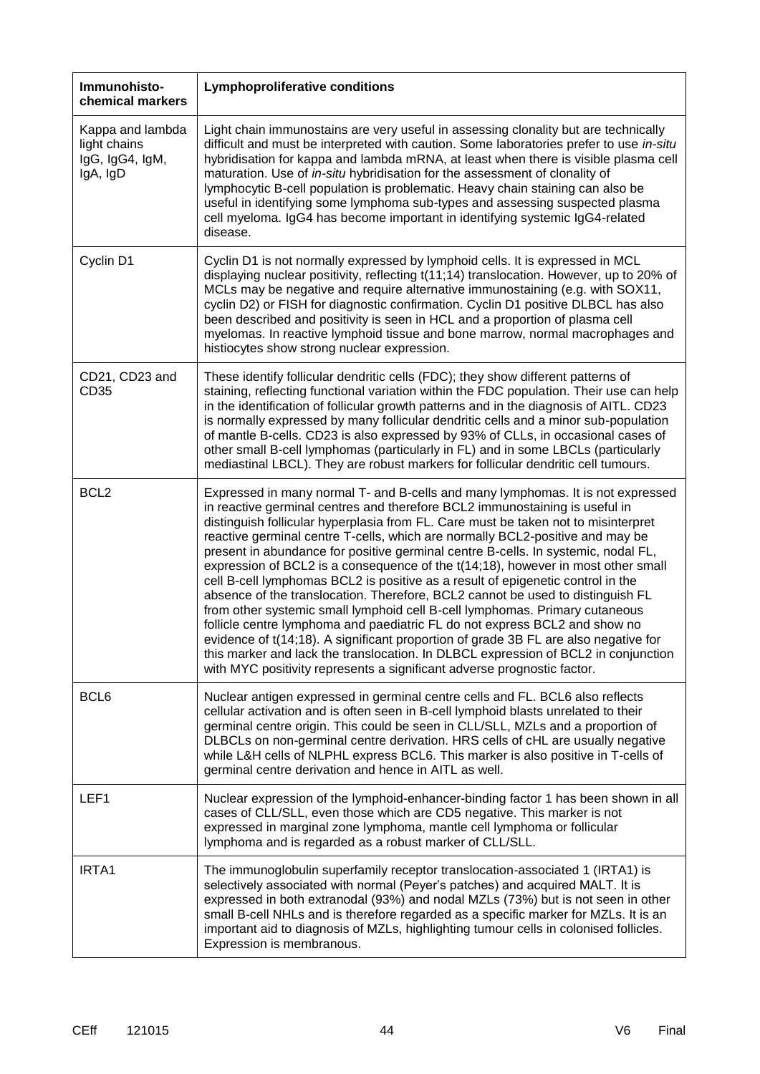| Immunohisto-<br>chemical markers                                | <b>Lymphoproliferative conditions</b>                                                                                                                                                                                                                                                                                                                                                                                                                                                                                                                                                                                                                                                                                                                                                                                                                                                                                                                                                                                                                                                                    |
|-----------------------------------------------------------------|----------------------------------------------------------------------------------------------------------------------------------------------------------------------------------------------------------------------------------------------------------------------------------------------------------------------------------------------------------------------------------------------------------------------------------------------------------------------------------------------------------------------------------------------------------------------------------------------------------------------------------------------------------------------------------------------------------------------------------------------------------------------------------------------------------------------------------------------------------------------------------------------------------------------------------------------------------------------------------------------------------------------------------------------------------------------------------------------------------|
| Kappa and lambda<br>light chains<br>IgG, IgG4, IgM,<br>IgA, IgD | Light chain immunostains are very useful in assessing clonality but are technically<br>difficult and must be interpreted with caution. Some laboratories prefer to use in-situ<br>hybridisation for kappa and lambda mRNA, at least when there is visible plasma cell<br>maturation. Use of in-situ hybridisation for the assessment of clonality of<br>lymphocytic B-cell population is problematic. Heavy chain staining can also be<br>useful in identifying some lymphoma sub-types and assessing suspected plasma<br>cell myeloma. IgG4 has become important in identifying systemic IgG4-related<br>disease.                                                                                                                                                                                                                                                                                                                                                                                                                                                                                       |
| Cyclin D1                                                       | Cyclin D1 is not normally expressed by lymphoid cells. It is expressed in MCL<br>displaying nuclear positivity, reflecting t(11;14) translocation. However, up to 20% of<br>MCLs may be negative and require alternative immunostaining (e.g. with SOX11,<br>cyclin D2) or FISH for diagnostic confirmation. Cyclin D1 positive DLBCL has also<br>been described and positivity is seen in HCL and a proportion of plasma cell<br>myelomas. In reactive lymphoid tissue and bone marrow, normal macrophages and<br>histiocytes show strong nuclear expression.                                                                                                                                                                                                                                                                                                                                                                                                                                                                                                                                           |
| CD21, CD23 and<br>CD <sub>35</sub>                              | These identify follicular dendritic cells (FDC); they show different patterns of<br>staining, reflecting functional variation within the FDC population. Their use can help<br>in the identification of follicular growth patterns and in the diagnosis of AITL. CD23<br>is normally expressed by many follicular dendritic cells and a minor sub-population<br>of mantle B-cells. CD23 is also expressed by 93% of CLLs, in occasional cases of<br>other small B-cell lymphomas (particularly in FL) and in some LBCLs (particularly<br>mediastinal LBCL). They are robust markers for follicular dendritic cell tumours.                                                                                                                                                                                                                                                                                                                                                                                                                                                                               |
| BCL <sub>2</sub>                                                | Expressed in many normal T- and B-cells and many lymphomas. It is not expressed<br>in reactive germinal centres and therefore BCL2 immunostaining is useful in<br>distinguish follicular hyperplasia from FL. Care must be taken not to misinterpret<br>reactive germinal centre T-cells, which are normally BCL2-positive and may be<br>present in abundance for positive germinal centre B-cells. In systemic, nodal FL,<br>expression of BCL2 is a consequence of the t(14;18), however in most other small<br>cell B-cell lymphomas BCL2 is positive as a result of epigenetic control in the<br>absence of the translocation. Therefore, BCL2 cannot be used to distinguish FL<br>from other systemic small lymphoid cell B-cell lymphomas. Primary cutaneous<br>follicle centre lymphoma and paediatric FL do not express BCL2 and show no<br>evidence of t(14;18). A significant proportion of grade 3B FL are also negative for<br>this marker and lack the translocation. In DLBCL expression of BCL2 in conjunction<br>with MYC positivity represents a significant adverse prognostic factor. |
| BCL6                                                            | Nuclear antigen expressed in germinal centre cells and FL. BCL6 also reflects<br>cellular activation and is often seen in B-cell lymphoid blasts unrelated to their<br>germinal centre origin. This could be seen in CLL/SLL, MZLs and a proportion of<br>DLBCLs on non-germinal centre derivation. HRS cells of cHL are usually negative<br>while L&H cells of NLPHL express BCL6. This marker is also positive in T-cells of<br>germinal centre derivation and hence in AITL as well.                                                                                                                                                                                                                                                                                                                                                                                                                                                                                                                                                                                                                  |
| LEF1                                                            | Nuclear expression of the lymphoid-enhancer-binding factor 1 has been shown in all<br>cases of CLL/SLL, even those which are CD5 negative. This marker is not<br>expressed in marginal zone lymphoma, mantle cell lymphoma or follicular<br>lymphoma and is regarded as a robust marker of CLL/SLL.                                                                                                                                                                                                                                                                                                                                                                                                                                                                                                                                                                                                                                                                                                                                                                                                      |
| IRTA1                                                           | The immunoglobulin superfamily receptor translocation-associated 1 (IRTA1) is<br>selectively associated with normal (Peyer's patches) and acquired MALT. It is<br>expressed in both extranodal (93%) and nodal MZLs (73%) but is not seen in other<br>small B-cell NHLs and is therefore regarded as a specific marker for MZLs. It is an<br>important aid to diagnosis of MZLs, highlighting tumour cells in colonised follicles.<br>Expression is membranous.                                                                                                                                                                                                                                                                                                                                                                                                                                                                                                                                                                                                                                          |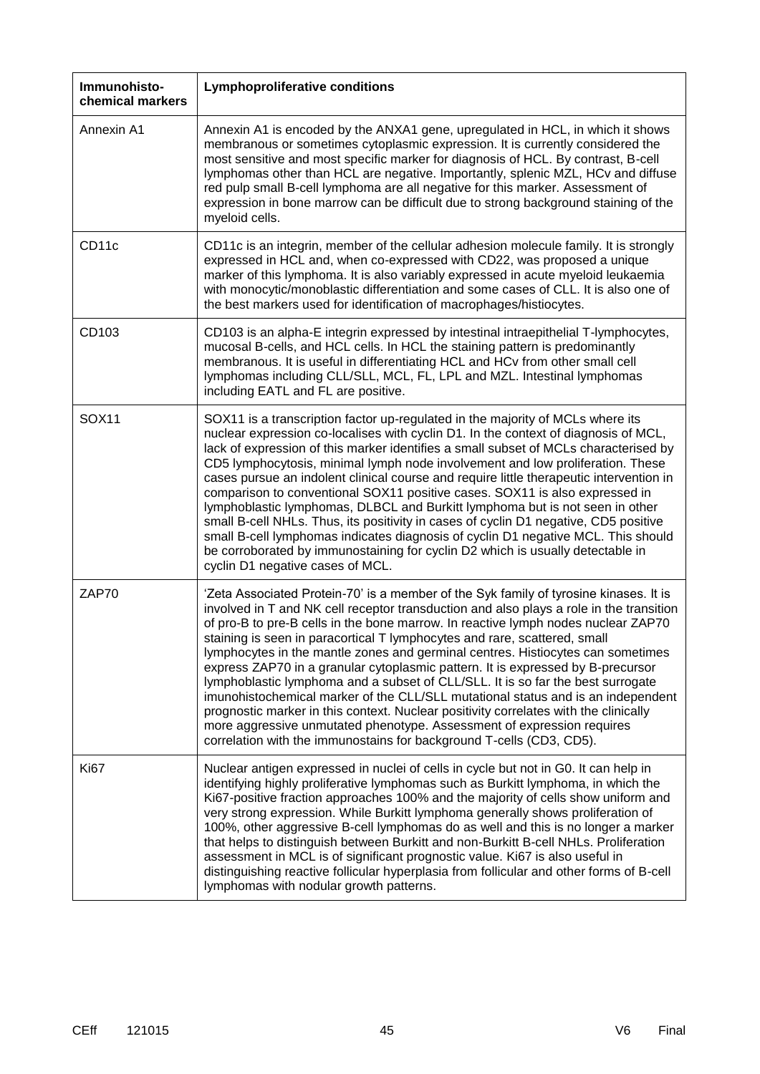| Immunohisto-<br>chemical markers | <b>Lymphoproliferative conditions</b>                                                                                                                                                                                                                                                                                                                                                                                                                                                                                                                                                                                                                                                                                                                                                                                                                                                                                                     |
|----------------------------------|-------------------------------------------------------------------------------------------------------------------------------------------------------------------------------------------------------------------------------------------------------------------------------------------------------------------------------------------------------------------------------------------------------------------------------------------------------------------------------------------------------------------------------------------------------------------------------------------------------------------------------------------------------------------------------------------------------------------------------------------------------------------------------------------------------------------------------------------------------------------------------------------------------------------------------------------|
| Annexin A1                       | Annexin A1 is encoded by the ANXA1 gene, upregulated in HCL, in which it shows<br>membranous or sometimes cytoplasmic expression. It is currently considered the<br>most sensitive and most specific marker for diagnosis of HCL. By contrast, B-cell<br>lymphomas other than HCL are negative. Importantly, splenic MZL, HCv and diffuse<br>red pulp small B-cell lymphoma are all negative for this marker. Assessment of<br>expression in bone marrow can be difficult due to strong background staining of the<br>myeloid cells.                                                                                                                                                                                                                                                                                                                                                                                                      |
| CD11c                            | CD11c is an integrin, member of the cellular adhesion molecule family. It is strongly<br>expressed in HCL and, when co-expressed with CD22, was proposed a unique<br>marker of this lymphoma. It is also variably expressed in acute myeloid leukaemia<br>with monocytic/monoblastic differentiation and some cases of CLL. It is also one of<br>the best markers used for identification of macrophages/histiocytes.                                                                                                                                                                                                                                                                                                                                                                                                                                                                                                                     |
| CD103                            | CD103 is an alpha-E integrin expressed by intestinal intraepithelial T-lymphocytes,<br>mucosal B-cells, and HCL cells. In HCL the staining pattern is predominantly<br>membranous. It is useful in differentiating HCL and HCv from other small cell<br>lymphomas including CLL/SLL, MCL, FL, LPL and MZL. Intestinal lymphomas<br>including EATL and FL are positive.                                                                                                                                                                                                                                                                                                                                                                                                                                                                                                                                                                    |
| <b>SOX11</b>                     | SOX11 is a transcription factor up-regulated in the majority of MCLs where its<br>nuclear expression co-localises with cyclin D1. In the context of diagnosis of MCL,<br>lack of expression of this marker identifies a small subset of MCLs characterised by<br>CD5 lymphocytosis, minimal lymph node involvement and low proliferation. These<br>cases pursue an indolent clinical course and require little therapeutic intervention in<br>comparison to conventional SOX11 positive cases. SOX11 is also expressed in<br>lymphoblastic lymphomas, DLBCL and Burkitt lymphoma but is not seen in other<br>small B-cell NHLs. Thus, its positivity in cases of cyclin D1 negative, CD5 positive<br>small B-cell lymphomas indicates diagnosis of cyclin D1 negative MCL. This should<br>be corroborated by immunostaining for cyclin D2 which is usually detectable in<br>cyclin D1 negative cases of MCL.                              |
| ZAP70                            | 'Zeta Associated Protein-70' is a member of the Syk family of tyrosine kinases. It is<br>involved in T and NK cell receptor transduction and also plays a role in the transition<br>of pro-B to pre-B cells in the bone marrow. In reactive lymph nodes nuclear ZAP70<br>staining is seen in paracortical T lymphocytes and rare, scattered, small<br>lymphocytes in the mantle zones and germinal centres. Histiocytes can sometimes<br>express ZAP70 in a granular cytoplasmic pattern. It is expressed by B-precursor<br>lymphoblastic lymphoma and a subset of CLL/SLL. It is so far the best surrogate<br>imunohistochemical marker of the CLL/SLL mutational status and is an independent<br>prognostic marker in this context. Nuclear positivity correlates with the clinically<br>more aggressive unmutated phenotype. Assessment of expression requires<br>correlation with the immunostains for background T-cells (CD3, CD5). |
| Ki67                             | Nuclear antigen expressed in nuclei of cells in cycle but not in G0. It can help in<br>identifying highly proliferative lymphomas such as Burkitt lymphoma, in which the<br>Ki67-positive fraction approaches 100% and the majority of cells show uniform and<br>very strong expression. While Burkitt lymphoma generally shows proliferation of<br>100%, other aggressive B-cell lymphomas do as well and this is no longer a marker<br>that helps to distinguish between Burkitt and non-Burkitt B-cell NHLs. Proliferation<br>assessment in MCL is of significant prognostic value. Ki67 is also useful in<br>distinguishing reactive follicular hyperplasia from follicular and other forms of B-cell<br>lymphomas with nodular growth patterns.                                                                                                                                                                                      |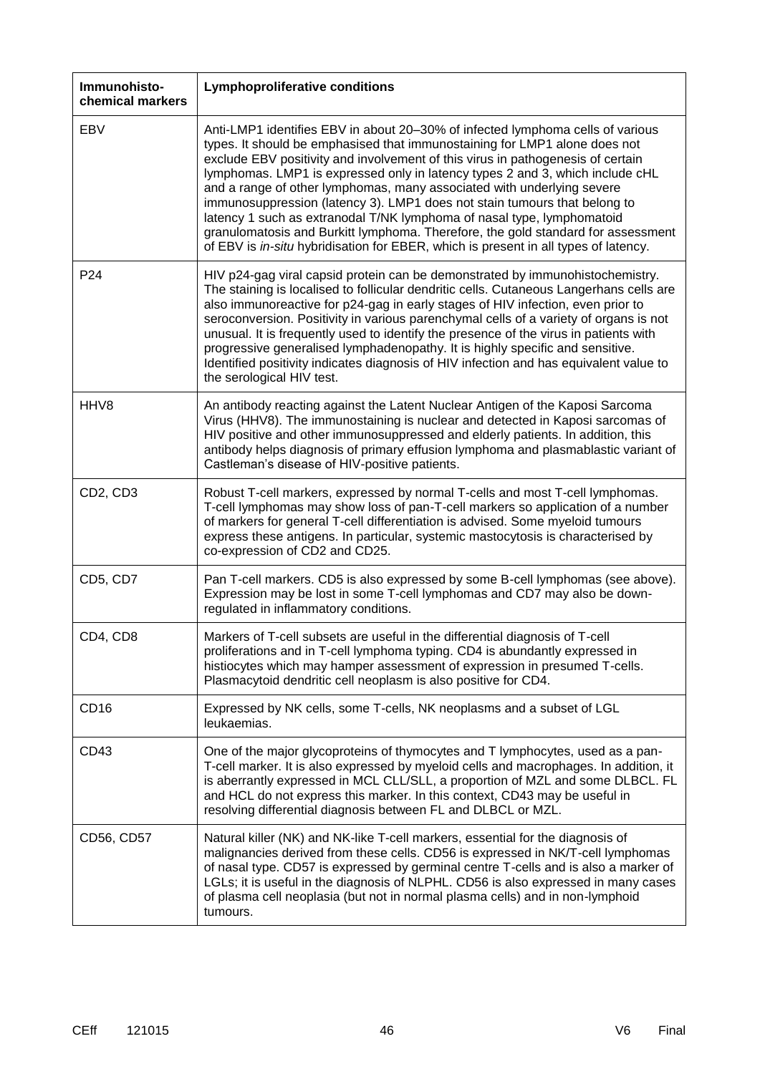| Immunohisto-<br>chemical markers  | <b>Lymphoproliferative conditions</b>                                                                                                                                                                                                                                                                                                                                                                                                                                                                                                                                                                                                                                                                                                        |
|-----------------------------------|----------------------------------------------------------------------------------------------------------------------------------------------------------------------------------------------------------------------------------------------------------------------------------------------------------------------------------------------------------------------------------------------------------------------------------------------------------------------------------------------------------------------------------------------------------------------------------------------------------------------------------------------------------------------------------------------------------------------------------------------|
| EBV                               | Anti-LMP1 identifies EBV in about 20-30% of infected lymphoma cells of various<br>types. It should be emphasised that immunostaining for LMP1 alone does not<br>exclude EBV positivity and involvement of this virus in pathogenesis of certain<br>lymphomas. LMP1 is expressed only in latency types 2 and 3, which include cHL<br>and a range of other lymphomas, many associated with underlying severe<br>immunosuppression (latency 3). LMP1 does not stain tumours that belong to<br>latency 1 such as extranodal T/NK lymphoma of nasal type, lymphomatoid<br>granulomatosis and Burkitt lymphoma. Therefore, the gold standard for assessment<br>of EBV is in-situ hybridisation for EBER, which is present in all types of latency. |
| P <sub>24</sub>                   | HIV p24-gag viral capsid protein can be demonstrated by immunohistochemistry.<br>The staining is localised to follicular dendritic cells. Cutaneous Langerhans cells are<br>also immunoreactive for p24-gag in early stages of HIV infection, even prior to<br>seroconversion. Positivity in various parenchymal cells of a variety of organs is not<br>unusual. It is frequently used to identify the presence of the virus in patients with<br>progressive generalised lymphadenopathy. It is highly specific and sensitive.<br>Identified positivity indicates diagnosis of HIV infection and has equivalent value to<br>the serological HIV test.                                                                                        |
| HHV8                              | An antibody reacting against the Latent Nuclear Antigen of the Kaposi Sarcoma<br>Virus (HHV8). The immunostaining is nuclear and detected in Kaposi sarcomas of<br>HIV positive and other immunosuppressed and elderly patients. In addition, this<br>antibody helps diagnosis of primary effusion lymphoma and plasmablastic variant of<br>Castleman's disease of HIV-positive patients.                                                                                                                                                                                                                                                                                                                                                    |
| CD <sub>2</sub> , CD <sub>3</sub> | Robust T-cell markers, expressed by normal T-cells and most T-cell lymphomas.<br>T-cell lymphomas may show loss of pan-T-cell markers so application of a number<br>of markers for general T-cell differentiation is advised. Some myeloid tumours<br>express these antigens. In particular, systemic mastocytosis is characterised by<br>co-expression of CD2 and CD25.                                                                                                                                                                                                                                                                                                                                                                     |
| CD5, CD7                          | Pan T-cell markers. CD5 is also expressed by some B-cell lymphomas (see above).<br>Expression may be lost in some T-cell lymphomas and CD7 may also be down-<br>regulated in inflammatory conditions.                                                                                                                                                                                                                                                                                                                                                                                                                                                                                                                                        |
| CD4, CD8                          | Markers of T-cell subsets are useful in the differential diagnosis of T-cell<br>proliferations and in T-cell lymphoma typing. CD4 is abundantly expressed in<br>histiocytes which may hamper assessment of expression in presumed T-cells.<br>Plasmacytoid dendritic cell neoplasm is also positive for CD4.                                                                                                                                                                                                                                                                                                                                                                                                                                 |
| CD <sub>16</sub>                  | Expressed by NK cells, some T-cells, NK neoplasms and a subset of LGL<br>leukaemias.                                                                                                                                                                                                                                                                                                                                                                                                                                                                                                                                                                                                                                                         |
| CD43                              | One of the major glycoproteins of thymocytes and T lymphocytes, used as a pan-<br>T-cell marker. It is also expressed by myeloid cells and macrophages. In addition, it<br>is aberrantly expressed in MCL CLL/SLL, a proportion of MZL and some DLBCL. FL<br>and HCL do not express this marker. In this context, CD43 may be useful in<br>resolving differential diagnosis between FL and DLBCL or MZL.                                                                                                                                                                                                                                                                                                                                     |
| CD56, CD57                        | Natural killer (NK) and NK-like T-cell markers, essential for the diagnosis of<br>malignancies derived from these cells. CD56 is expressed in NK/T-cell lymphomas<br>of nasal type. CD57 is expressed by germinal centre T-cells and is also a marker of<br>LGLs; it is useful in the diagnosis of NLPHL. CD56 is also expressed in many cases<br>of plasma cell neoplasia (but not in normal plasma cells) and in non-lymphoid<br>tumours.                                                                                                                                                                                                                                                                                                  |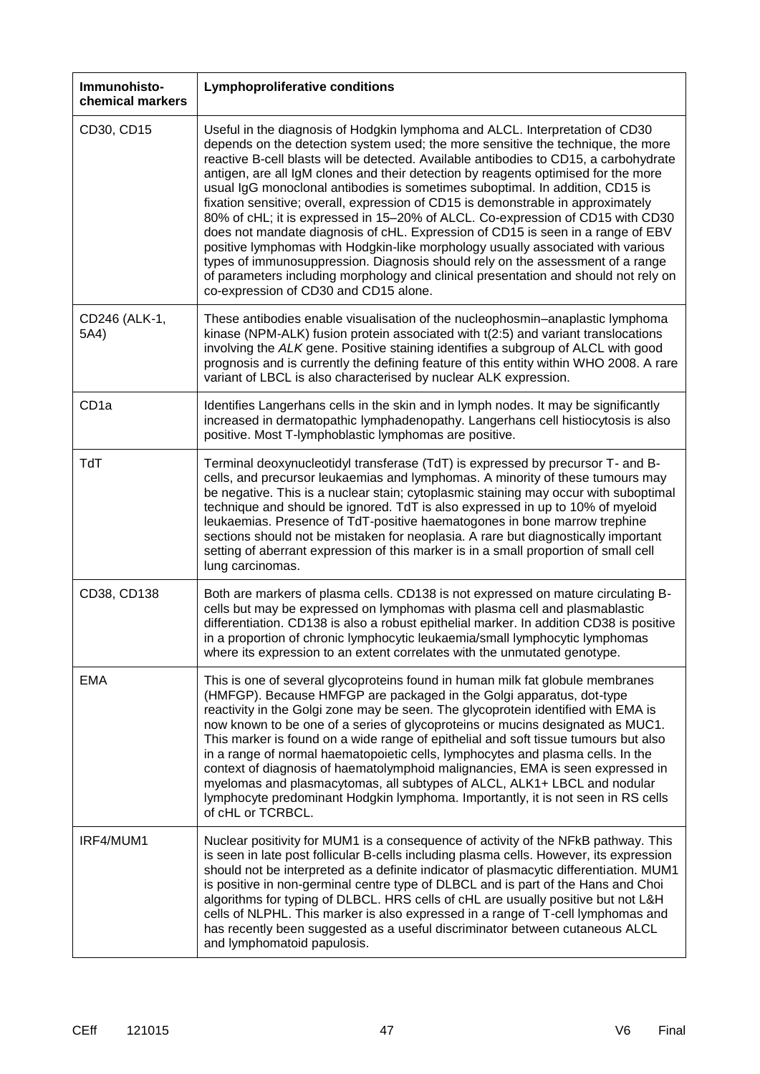| Immunohisto-<br>chemical markers | <b>Lymphoproliferative conditions</b>                                                                                                                                                                                                                                                                                                                                                                                                                                                                                                                                                                                                                                                                                                                                                                                                                                                                                                                                                          |
|----------------------------------|------------------------------------------------------------------------------------------------------------------------------------------------------------------------------------------------------------------------------------------------------------------------------------------------------------------------------------------------------------------------------------------------------------------------------------------------------------------------------------------------------------------------------------------------------------------------------------------------------------------------------------------------------------------------------------------------------------------------------------------------------------------------------------------------------------------------------------------------------------------------------------------------------------------------------------------------------------------------------------------------|
| CD30, CD15                       | Useful in the diagnosis of Hodgkin lymphoma and ALCL. Interpretation of CD30<br>depends on the detection system used; the more sensitive the technique, the more<br>reactive B-cell blasts will be detected. Available antibodies to CD15, a carbohydrate<br>antigen, are all IgM clones and their detection by reagents optimised for the more<br>usual IgG monoclonal antibodies is sometimes suboptimal. In addition, CD15 is<br>fixation sensitive; overall, expression of CD15 is demonstrable in approximately<br>80% of cHL; it is expressed in 15-20% of ALCL. Co-expression of CD15 with CD30<br>does not mandate diagnosis of cHL. Expression of CD15 is seen in a range of EBV<br>positive lymphomas with Hodgkin-like morphology usually associated with various<br>types of immunosuppression. Diagnosis should rely on the assessment of a range<br>of parameters including morphology and clinical presentation and should not rely on<br>co-expression of CD30 and CD15 alone. |
| CD246 (ALK-1,<br>5A4)            | These antibodies enable visualisation of the nucleophosmin-anaplastic lymphoma<br>kinase (NPM-ALK) fusion protein associated with t(2:5) and variant translocations<br>involving the ALK gene. Positive staining identifies a subgroup of ALCL with good<br>prognosis and is currently the defining feature of this entity within WHO 2008. A rare<br>variant of LBCL is also characterised by nuclear ALK expression.                                                                                                                                                                                                                                                                                                                                                                                                                                                                                                                                                                         |
| CD <sub>1a</sub>                 | Identifies Langerhans cells in the skin and in lymph nodes. It may be significantly<br>increased in dermatopathic lymphadenopathy. Langerhans cell histiocytosis is also<br>positive. Most T-lymphoblastic lymphomas are positive.                                                                                                                                                                                                                                                                                                                                                                                                                                                                                                                                                                                                                                                                                                                                                             |
| TdT                              | Terminal deoxynucleotidyl transferase (TdT) is expressed by precursor T- and B-<br>cells, and precursor leukaemias and lymphomas. A minority of these tumours may<br>be negative. This is a nuclear stain; cytoplasmic staining may occur with suboptimal<br>technique and should be ignored. TdT is also expressed in up to 10% of myeloid<br>leukaemias. Presence of TdT-positive haematogones in bone marrow trephine<br>sections should not be mistaken for neoplasia. A rare but diagnostically important<br>setting of aberrant expression of this marker is in a small proportion of small cell<br>lung carcinomas.                                                                                                                                                                                                                                                                                                                                                                     |
| CD38, CD138                      | Both are markers of plasma cells. CD138 is not expressed on mature circulating B-<br>cells but may be expressed on lymphomas with plasma cell and plasmablastic<br>differentiation. CD138 is also a robust epithelial marker. In addition CD38 is positive<br>in a proportion of chronic lymphocytic leukaemia/small lymphocytic lymphomas<br>where its expression to an extent correlates with the unmutated genotype.                                                                                                                                                                                                                                                                                                                                                                                                                                                                                                                                                                        |
| <b>EMA</b>                       | This is one of several glycoproteins found in human milk fat globule membranes<br>(HMFGP). Because HMFGP are packaged in the Golgi apparatus, dot-type<br>reactivity in the Golgi zone may be seen. The glycoprotein identified with EMA is<br>now known to be one of a series of glycoproteins or mucins designated as MUC1.<br>This marker is found on a wide range of epithelial and soft tissue tumours but also<br>in a range of normal haematopoietic cells, lymphocytes and plasma cells. In the<br>context of diagnosis of haematolymphoid malignancies, EMA is seen expressed in<br>myelomas and plasmacytomas, all subtypes of ALCL, ALK1+ LBCL and nodular<br>lymphocyte predominant Hodgkin lymphoma. Importantly, it is not seen in RS cells<br>of cHL or TCRBCL.                                                                                                                                                                                                                 |
| IRF4/MUM1                        | Nuclear positivity for MUM1 is a consequence of activity of the NFkB pathway. This<br>is seen in late post follicular B-cells including plasma cells. However, its expression<br>should not be interpreted as a definite indicator of plasmacytic differentiation. MUM1<br>is positive in non-germinal centre type of DLBCL and is part of the Hans and Choi<br>algorithms for typing of DLBCL. HRS cells of cHL are usually positive but not L&H<br>cells of NLPHL. This marker is also expressed in a range of T-cell lymphomas and<br>has recently been suggested as a useful discriminator between cutaneous ALCL<br>and lymphomatoid papulosis.                                                                                                                                                                                                                                                                                                                                           |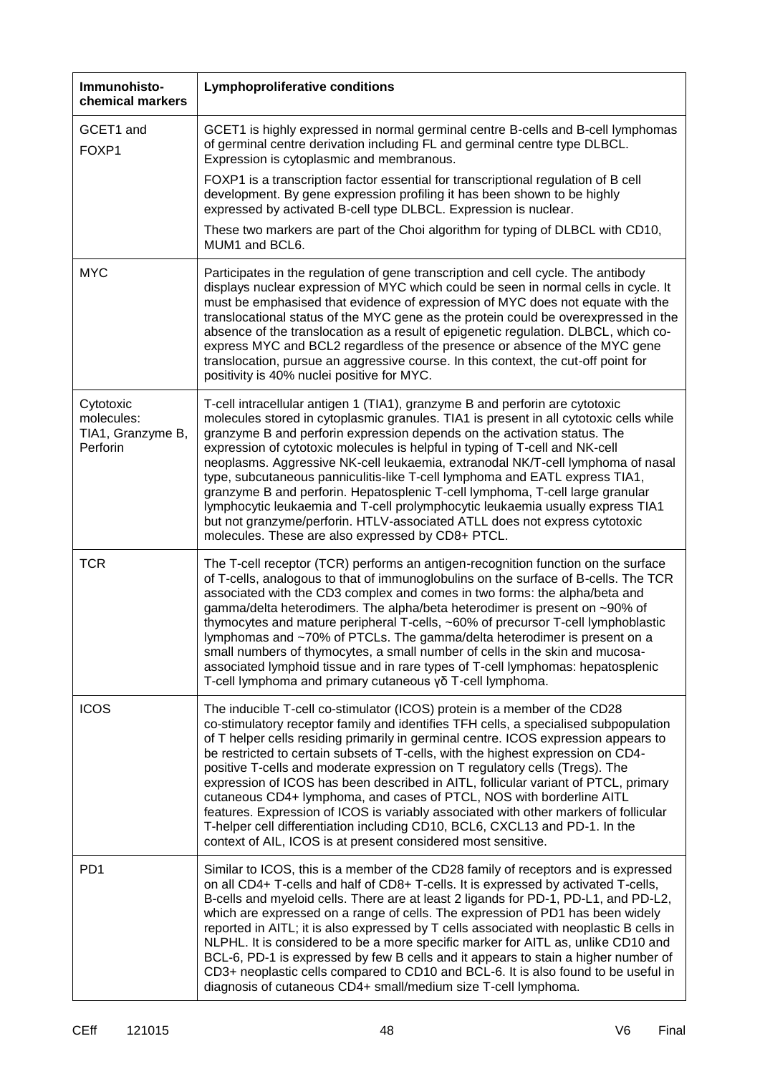| Immunohisto-<br>chemical markers                         | <b>Lymphoproliferative conditions</b>                                                                                                                                                                                                                                                                                                                                                                                                                                                                                                                                                                                                                                                                                                                                                                                             |
|----------------------------------------------------------|-----------------------------------------------------------------------------------------------------------------------------------------------------------------------------------------------------------------------------------------------------------------------------------------------------------------------------------------------------------------------------------------------------------------------------------------------------------------------------------------------------------------------------------------------------------------------------------------------------------------------------------------------------------------------------------------------------------------------------------------------------------------------------------------------------------------------------------|
| GCET1 and<br>FOXP1                                       | GCET1 is highly expressed in normal germinal centre B-cells and B-cell lymphomas<br>of germinal centre derivation including FL and germinal centre type DLBCL.<br>Expression is cytoplasmic and membranous.                                                                                                                                                                                                                                                                                                                                                                                                                                                                                                                                                                                                                       |
|                                                          | FOXP1 is a transcription factor essential for transcriptional regulation of B cell<br>development. By gene expression profiling it has been shown to be highly<br>expressed by activated B-cell type DLBCL. Expression is nuclear.                                                                                                                                                                                                                                                                                                                                                                                                                                                                                                                                                                                                |
|                                                          | These two markers are part of the Choi algorithm for typing of DLBCL with CD10,<br>MUM1 and BCL6.                                                                                                                                                                                                                                                                                                                                                                                                                                                                                                                                                                                                                                                                                                                                 |
| <b>MYC</b>                                               | Participates in the regulation of gene transcription and cell cycle. The antibody<br>displays nuclear expression of MYC which could be seen in normal cells in cycle. It<br>must be emphasised that evidence of expression of MYC does not equate with the<br>translocational status of the MYC gene as the protein could be overexpressed in the<br>absence of the translocation as a result of epigenetic regulation. DLBCL, which co-<br>express MYC and BCL2 regardless of the presence or absence of the MYC gene<br>translocation, pursue an aggressive course. In this context, the cut-off point for<br>positivity is 40% nuclei positive for MYC.                                                                                                                                                                        |
| Cytotoxic<br>molecules:<br>TIA1, Granzyme B,<br>Perforin | T-cell intracellular antigen 1 (TIA1), granzyme B and perforin are cytotoxic<br>molecules stored in cytoplasmic granules. TIA1 is present in all cytotoxic cells while<br>granzyme B and perforin expression depends on the activation status. The<br>expression of cytotoxic molecules is helpful in typing of T-cell and NK-cell<br>neoplasms. Aggressive NK-cell leukaemia, extranodal NK/T-cell lymphoma of nasal<br>type, subcutaneous panniculitis-like T-cell lymphoma and EATL express TIA1,<br>granzyme B and perforin. Hepatosplenic T-cell lymphoma, T-cell large granular<br>lymphocytic leukaemia and T-cell prolymphocytic leukaemia usually express TIA1<br>but not granzyme/perforin. HTLV-associated ATLL does not express cytotoxic<br>molecules. These are also expressed by CD8+ PTCL.                        |
| <b>TCR</b>                                               | The T-cell receptor (TCR) performs an antigen-recognition function on the surface<br>of T-cells, analogous to that of immunoglobulins on the surface of B-cells. The TCR<br>associated with the CD3 complex and comes in two forms: the alpha/beta and<br>gamma/delta heterodimers. The alpha/beta heterodimer is present on ~90% of<br>thymocytes and mature peripheral T-cells, ~60% of precursor T-cell lymphoblastic<br>lymphomas and ~70% of PTCLs. The gamma/delta heterodimer is present on a<br>small numbers of thymocytes, a small number of cells in the skin and mucosa-<br>associated lymphoid tissue and in rare types of T-cell lymphomas: hepatosplenic<br>T-cell lymphoma and primary cutaneous γδ T-cell lymphoma.                                                                                              |
| <b>ICOS</b>                                              | The inducible T-cell co-stimulator (ICOS) protein is a member of the CD28<br>co-stimulatory receptor family and identifies TFH cells, a specialised subpopulation<br>of T helper cells residing primarily in germinal centre. ICOS expression appears to<br>be restricted to certain subsets of T-cells, with the highest expression on CD4-<br>positive T-cells and moderate expression on T regulatory cells (Tregs). The<br>expression of ICOS has been described in AITL, follicular variant of PTCL, primary<br>cutaneous CD4+ lymphoma, and cases of PTCL, NOS with borderline AITL<br>features. Expression of ICOS is variably associated with other markers of follicular<br>T-helper cell differentiation including CD10, BCL6, CXCL13 and PD-1. In the<br>context of AIL, ICOS is at present considered most sensitive. |
| PD <sub>1</sub>                                          | Similar to ICOS, this is a member of the CD28 family of receptors and is expressed<br>on all CD4+ T-cells and half of CD8+ T-cells. It is expressed by activated T-cells,<br>B-cells and myeloid cells. There are at least 2 ligands for PD-1, PD-L1, and PD-L2,<br>which are expressed on a range of cells. The expression of PD1 has been widely<br>reported in AITL; it is also expressed by T cells associated with neoplastic B cells in<br>NLPHL. It is considered to be a more specific marker for AITL as, unlike CD10 and<br>BCL-6, PD-1 is expressed by few B cells and it appears to stain a higher number of<br>CD3+ neoplastic cells compared to CD10 and BCL-6. It is also found to be useful in<br>diagnosis of cutaneous CD4+ small/medium size T-cell lymphoma.                                                  |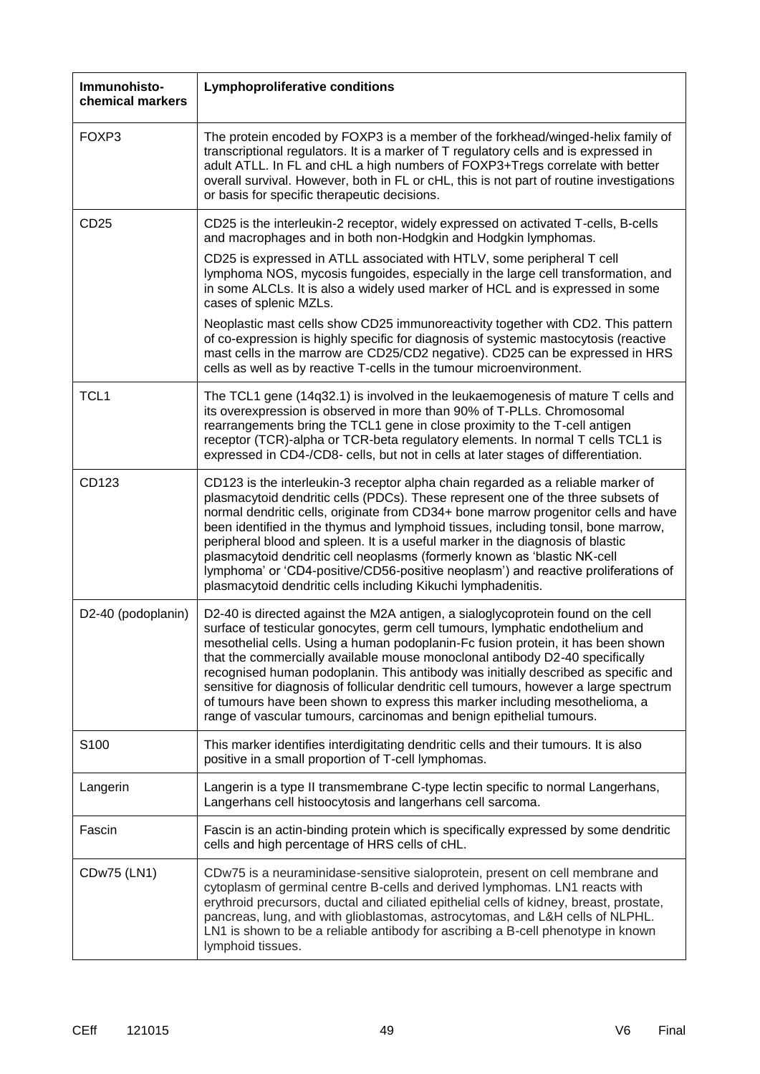| Immunohisto-<br>chemical markers | <b>Lymphoproliferative conditions</b>                                                                                                                                                                                                                                                                                                                                                                                                                                                                                                                                                                                                                                        |
|----------------------------------|------------------------------------------------------------------------------------------------------------------------------------------------------------------------------------------------------------------------------------------------------------------------------------------------------------------------------------------------------------------------------------------------------------------------------------------------------------------------------------------------------------------------------------------------------------------------------------------------------------------------------------------------------------------------------|
| FOXP3                            | The protein encoded by FOXP3 is a member of the forkhead/winged-helix family of<br>transcriptional regulators. It is a marker of T regulatory cells and is expressed in<br>adult ATLL. In FL and cHL a high numbers of FOXP3+Tregs correlate with better<br>overall survival. However, both in FL or cHL, this is not part of routine investigations<br>or basis for specific therapeutic decisions.                                                                                                                                                                                                                                                                         |
| CD25                             | CD25 is the interleukin-2 receptor, widely expressed on activated T-cells, B-cells<br>and macrophages and in both non-Hodgkin and Hodgkin lymphomas.                                                                                                                                                                                                                                                                                                                                                                                                                                                                                                                         |
|                                  | CD25 is expressed in ATLL associated with HTLV, some peripheral T cell<br>lymphoma NOS, mycosis fungoides, especially in the large cell transformation, and<br>in some ALCLs. It is also a widely used marker of HCL and is expressed in some<br>cases of splenic MZLs.                                                                                                                                                                                                                                                                                                                                                                                                      |
|                                  | Neoplastic mast cells show CD25 immunoreactivity together with CD2. This pattern<br>of co-expression is highly specific for diagnosis of systemic mastocytosis (reactive<br>mast cells in the marrow are CD25/CD2 negative). CD25 can be expressed in HRS<br>cells as well as by reactive T-cells in the tumour microenvironment.                                                                                                                                                                                                                                                                                                                                            |
| TCL <sub>1</sub>                 | The TCL1 gene (14q32.1) is involved in the leukaemogenesis of mature T cells and<br>its overexpression is observed in more than 90% of T-PLLs. Chromosomal<br>rearrangements bring the TCL1 gene in close proximity to the T-cell antigen<br>receptor (TCR)-alpha or TCR-beta regulatory elements. In normal T cells TCL1 is<br>expressed in CD4-/CD8- cells, but not in cells at later stages of differentiation.                                                                                                                                                                                                                                                           |
| CD123                            | CD123 is the interleukin-3 receptor alpha chain regarded as a reliable marker of<br>plasmacytoid dendritic cells (PDCs). These represent one of the three subsets of<br>normal dendritic cells, originate from CD34+ bone marrow progenitor cells and have<br>been identified in the thymus and lymphoid tissues, including tonsil, bone marrow,<br>peripheral blood and spleen. It is a useful marker in the diagnosis of blastic<br>plasmacytoid dendritic cell neoplasms (formerly known as 'blastic NK-cell<br>lymphoma' or 'CD4-positive/CD56-positive neoplasm') and reactive proliferations of<br>plasmacytoid dendritic cells including Kikuchi lymphadenitis.       |
| D2-40 (podoplanin)               | D2-40 is directed against the M2A antigen, a sialoglycoprotein found on the cell<br>surface of testicular gonocytes, germ cell tumours, lymphatic endothelium and<br>mesothelial cells. Using a human podoplanin-Fc fusion protein, it has been shown<br>that the commercially available mouse monoclonal antibody D2-40 specifically<br>recognised human podoplanin. This antibody was initially described as specific and<br>sensitive for diagnosis of follicular dendritic cell tumours, however a large spectrum<br>of tumours have been shown to express this marker including mesothelioma, a<br>range of vascular tumours, carcinomas and benign epithelial tumours. |
| S100                             | This marker identifies interdigitating dendritic cells and their tumours. It is also<br>positive in a small proportion of T-cell lymphomas.                                                                                                                                                                                                                                                                                                                                                                                                                                                                                                                                  |
| Langerin                         | Langerin is a type II transmembrane C-type lectin specific to normal Langerhans,<br>Langerhans cell histoocytosis and langerhans cell sarcoma.                                                                                                                                                                                                                                                                                                                                                                                                                                                                                                                               |
| Fascin                           | Fascin is an actin-binding protein which is specifically expressed by some dendritic<br>cells and high percentage of HRS cells of cHL.                                                                                                                                                                                                                                                                                                                                                                                                                                                                                                                                       |
| CDw75 (LN1)                      | CDw75 is a neuraminidase-sensitive sialoprotein, present on cell membrane and<br>cytoplasm of germinal centre B-cells and derived lymphomas. LN1 reacts with<br>erythroid precursors, ductal and ciliated epithelial cells of kidney, breast, prostate,<br>pancreas, lung, and with glioblastomas, astrocytomas, and L&H cells of NLPHL.<br>LN1 is shown to be a reliable antibody for ascribing a B-cell phenotype in known<br>lymphoid tissues.                                                                                                                                                                                                                            |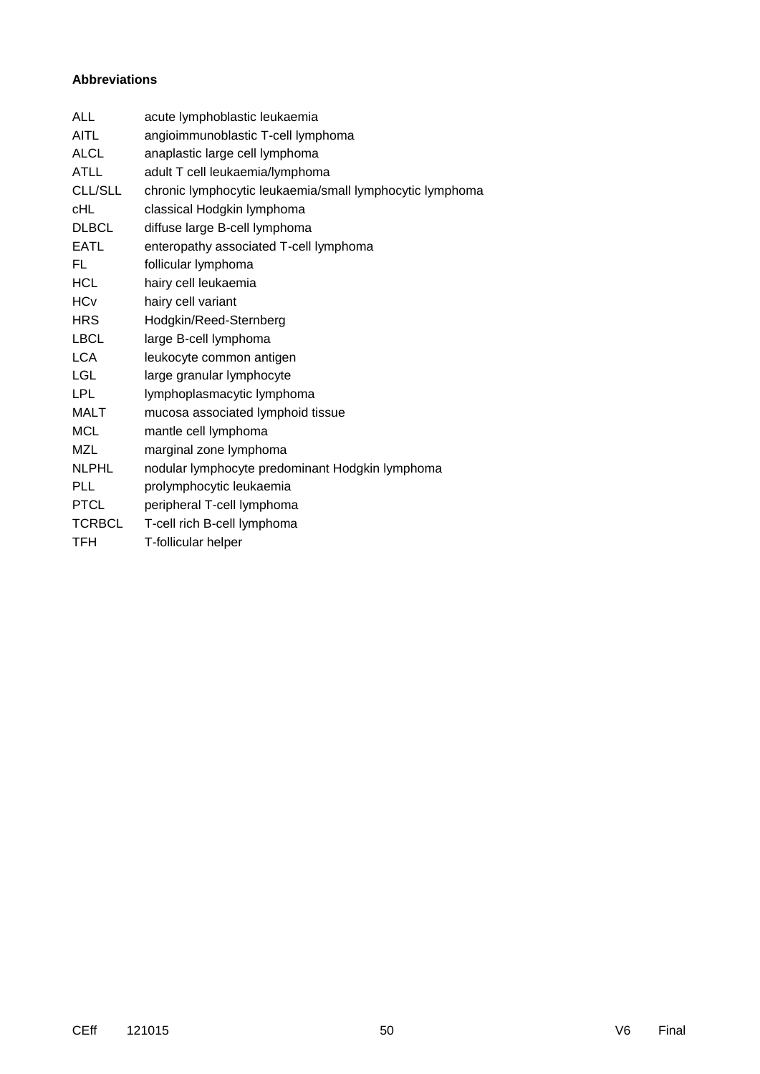#### **Abbreviations**

| <b>ALL</b>     | acute lymphoblastic leukaemia                            |
|----------------|----------------------------------------------------------|
| <b>AITL</b>    | angioimmunoblastic T-cell lymphoma                       |
| <b>ALCL</b>    | anaplastic large cell lymphoma                           |
| <b>ATLL</b>    | adult T cell leukaemia/lymphoma                          |
| <b>CLL/SLL</b> | chronic lymphocytic leukaemia/small lymphocytic lymphoma |
| <b>cHL</b>     | classical Hodgkin lymphoma                               |
| <b>DLBCL</b>   | diffuse large B-cell lymphoma                            |
| <b>EATL</b>    | enteropathy associated T-cell lymphoma                   |
| FL             | follicular lymphoma                                      |
| <b>HCL</b>     | hairy cell leukaemia                                     |
| <b>HCv</b>     | hairy cell variant                                       |
| <b>HRS</b>     | Hodgkin/Reed-Sternberg                                   |
| <b>LBCL</b>    | large B-cell lymphoma                                    |
| <b>LCA</b>     | leukocyte common antigen                                 |
| <b>LGL</b>     | large granular lymphocyte                                |
| <b>LPL</b>     | lymphoplasmacytic lymphoma                               |
| <b>MALT</b>    | mucosa associated lymphoid tissue                        |
| <b>MCL</b>     | mantle cell lymphoma                                     |
| <b>MZL</b>     | marginal zone lymphoma                                   |
| <b>NLPHL</b>   | nodular lymphocyte predominant Hodgkin lymphoma          |
| <b>PLL</b>     | prolymphocytic leukaemia                                 |
| <b>PTCL</b>    | peripheral T-cell lymphoma                               |
| <b>TCRBCL</b>  | T-cell rich B-cell lymphoma                              |
| TFH            | T-follicular helper                                      |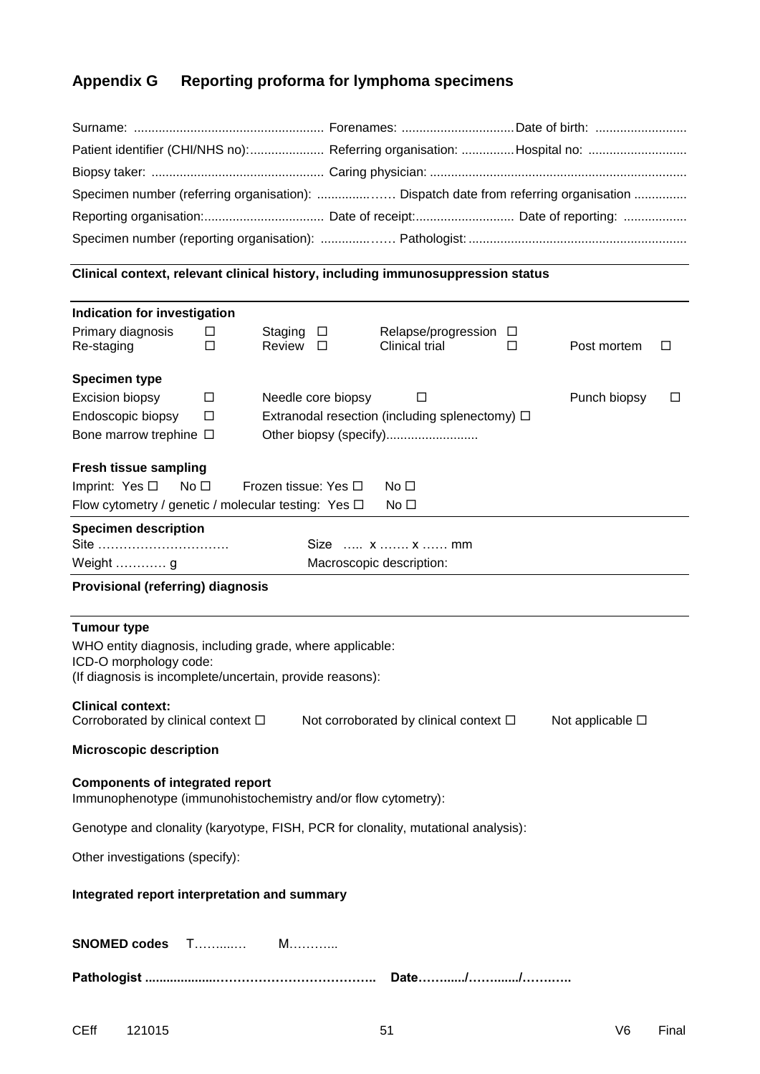# **Appendix G Reporting proforma for lymphoma specimens**

| Specimen number (referring organisation):  Dispatch date from referring organisation |  |
|--------------------------------------------------------------------------------------|--|
|                                                                                      |  |
|                                                                                      |  |

## **Clinical context, relevant clinical history, including immunosuppression status**

| Indication for investigation                                                                                                                                                                                                                                                                                                 |        |                   |                      |                                                     |   |              |   |
|------------------------------------------------------------------------------------------------------------------------------------------------------------------------------------------------------------------------------------------------------------------------------------------------------------------------------|--------|-------------------|----------------------|-----------------------------------------------------|---|--------------|---|
| Primary diagnosis<br>Re-staging                                                                                                                                                                                                                                                                                              | □<br>□ | Staging<br>Review | □<br>$\Box$          | Relapse/progression □<br>Clinical trial             | □ | Post mortem  | ப |
| <b>Specimen type</b>                                                                                                                                                                                                                                                                                                         |        |                   |                      |                                                     |   |              |   |
| Excision biopsy                                                                                                                                                                                                                                                                                                              | □      |                   | Needle core biopsy   | □                                                   |   | Punch biopsy | □ |
| Endoscopic biopsy                                                                                                                                                                                                                                                                                                            | $\Box$ |                   |                      | Extranodal resection (including splenectomy) $\Box$ |   |              |   |
| Bone marrow trephine □                                                                                                                                                                                                                                                                                                       |        |                   |                      | Other biopsy (specify)                              |   |              |   |
| <b>Fresh tissue sampling</b>                                                                                                                                                                                                                                                                                                 |        |                   |                      |                                                     |   |              |   |
| Imprint: Yes $\square$<br>No <sub>1</sub>                                                                                                                                                                                                                                                                                    |        |                   | Frozen tissue: Yes □ | No $\square$                                        |   |              |   |
| Flow cytometry / genetic / molecular testing: Yes $\Box$                                                                                                                                                                                                                                                                     |        |                   |                      | No <sub>1</sub>                                     |   |              |   |
| <b>Specimen description</b>                                                                                                                                                                                                                                                                                                  |        |                   |                      |                                                     |   |              |   |
| Site                                                                                                                                                                                                                                                                                                                         |        |                   |                      | Size  x  x  mm                                      |   |              |   |
| Weight  g                                                                                                                                                                                                                                                                                                                    |        |                   |                      | Macroscopic description:                            |   |              |   |
| <b>Provisional (referring) diagnosis</b>                                                                                                                                                                                                                                                                                     |        |                   |                      |                                                     |   |              |   |
| <b>Tumour type</b><br>WHO entity diagnosis, including grade, where applicable:<br>ICD-O morphology code:<br>(If diagnosis is incomplete/uncertain, provide reasons):<br><b>Clinical context:</b><br>Corroborated by clinical context $\square$<br>Not corroborated by clinical context $\square$<br>Not applicable $\square$ |        |                   |                      |                                                     |   |              |   |
| <b>Microscopic description</b><br><b>Components of integrated report</b><br>Immunophenotype (immunohistochemistry and/or flow cytometry):                                                                                                                                                                                    |        |                   |                      |                                                     |   |              |   |
| Genotype and clonality (karyotype, FISH, PCR for clonality, mutational analysis):                                                                                                                                                                                                                                            |        |                   |                      |                                                     |   |              |   |
| Other investigations (specify):                                                                                                                                                                                                                                                                                              |        |                   |                      |                                                     |   |              |   |
| Integrated report interpretation and summary                                                                                                                                                                                                                                                                                 |        |                   |                      |                                                     |   |              |   |
|                                                                                                                                                                                                                                                                                                                              |        |                   |                      |                                                     |   |              |   |
|                                                                                                                                                                                                                                                                                                                              |        |                   |                      |                                                     |   |              |   |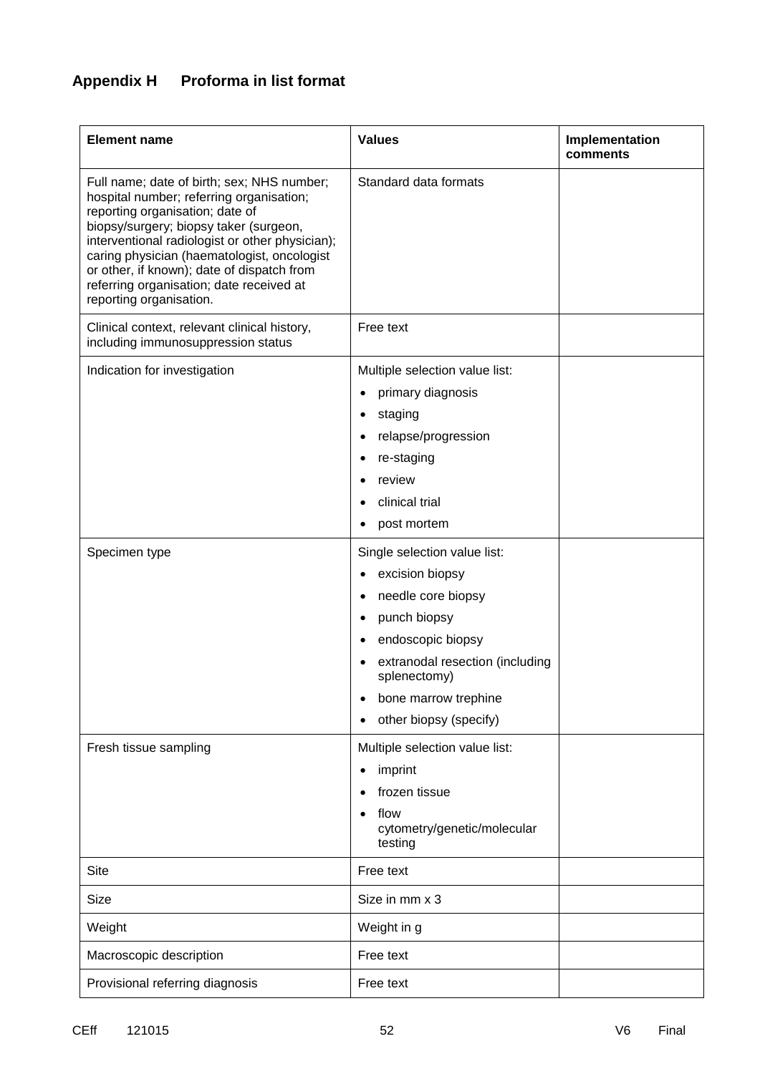# **Appendix H Proforma in list format**

| <b>Element name</b>                                                                                                                                                                                                                                                                                                                                                                        | <b>Values</b>                                                                                                                                                                                                   | Implementation<br>comments |
|--------------------------------------------------------------------------------------------------------------------------------------------------------------------------------------------------------------------------------------------------------------------------------------------------------------------------------------------------------------------------------------------|-----------------------------------------------------------------------------------------------------------------------------------------------------------------------------------------------------------------|----------------------------|
| Full name; date of birth; sex; NHS number;<br>hospital number; referring organisation;<br>reporting organisation; date of<br>biopsy/surgery; biopsy taker (surgeon,<br>interventional radiologist or other physician);<br>caring physician (haematologist, oncologist<br>or other, if known); date of dispatch from<br>referring organisation; date received at<br>reporting organisation. | Standard data formats                                                                                                                                                                                           |                            |
| Clinical context, relevant clinical history,<br>including immunosuppression status                                                                                                                                                                                                                                                                                                         | Free text                                                                                                                                                                                                       |                            |
| Indication for investigation                                                                                                                                                                                                                                                                                                                                                               | Multiple selection value list:<br>primary diagnosis<br>staging<br>relapse/progression<br>re-staging<br>review<br>clinical trial<br>post mortem                                                                  |                            |
| Specimen type                                                                                                                                                                                                                                                                                                                                                                              | Single selection value list:<br>excision biopsy<br>needle core biopsy<br>punch biopsy<br>endoscopic biopsy<br>extranodal resection (including<br>splenectomy)<br>bone marrow trephine<br>other biopsy (specify) |                            |
| Fresh tissue sampling                                                                                                                                                                                                                                                                                                                                                                      | Multiple selection value list:<br>imprint<br>٠<br>frozen tissue<br>flow<br>cytometry/genetic/molecular<br>testing                                                                                               |                            |
| <b>Site</b>                                                                                                                                                                                                                                                                                                                                                                                | Free text                                                                                                                                                                                                       |                            |
| <b>Size</b>                                                                                                                                                                                                                                                                                                                                                                                | Size in mm x 3                                                                                                                                                                                                  |                            |
| Weight                                                                                                                                                                                                                                                                                                                                                                                     | Weight in g                                                                                                                                                                                                     |                            |
| Macroscopic description                                                                                                                                                                                                                                                                                                                                                                    | Free text                                                                                                                                                                                                       |                            |
| Provisional referring diagnosis                                                                                                                                                                                                                                                                                                                                                            | Free text                                                                                                                                                                                                       |                            |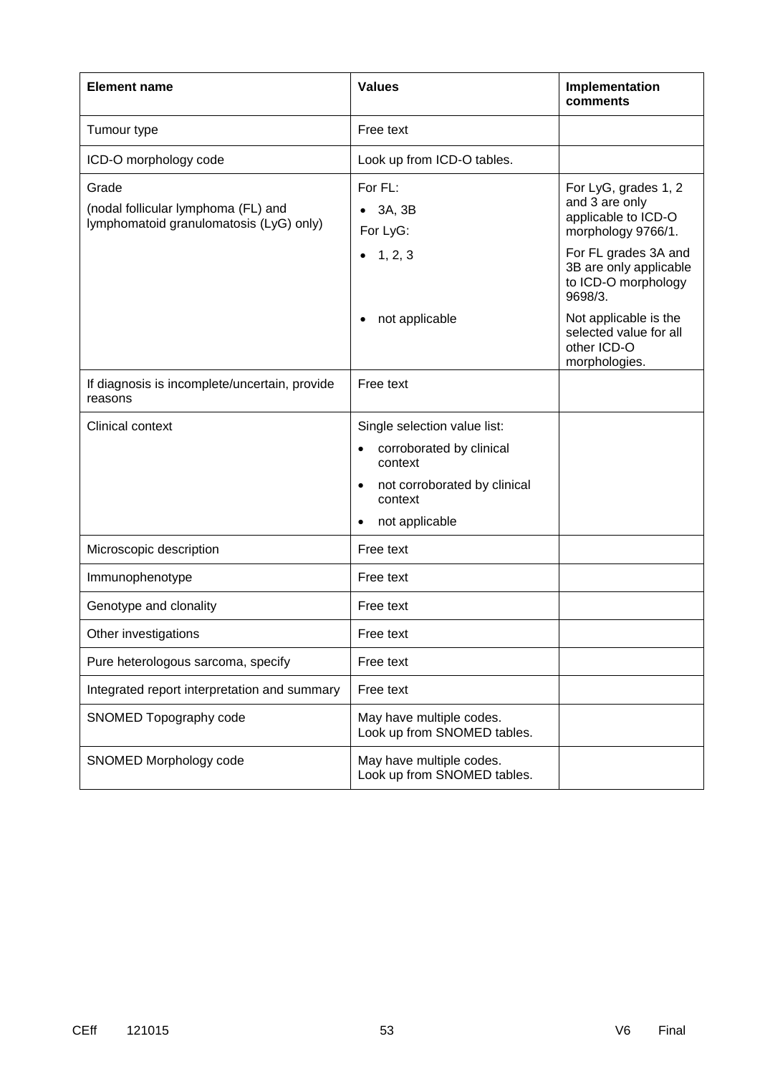| <b>Element name</b>                                                                     | <b>Values</b>                                                                                                                                              | Implementation<br>comments                                                          |
|-----------------------------------------------------------------------------------------|------------------------------------------------------------------------------------------------------------------------------------------------------------|-------------------------------------------------------------------------------------|
| Tumour type                                                                             | Free text                                                                                                                                                  |                                                                                     |
| ICD-O morphology code                                                                   | Look up from ICD-O tables.                                                                                                                                 |                                                                                     |
| Grade<br>(nodal follicular lymphoma (FL) and<br>lymphomatoid granulomatosis (LyG) only) | For FL:<br>3A, 3B<br>For LyG:                                                                                                                              | For LyG, grades 1, 2<br>and 3 are only<br>applicable to ICD-O<br>morphology 9766/1. |
|                                                                                         | 1, 2, 3                                                                                                                                                    | For FL grades 3A and<br>3B are only applicable<br>to ICD-O morphology<br>9698/3.    |
|                                                                                         | not applicable                                                                                                                                             | Not applicable is the<br>selected value for all<br>other ICD-O<br>morphologies.     |
| If diagnosis is incomplete/uncertain, provide<br>reasons                                | Free text                                                                                                                                                  |                                                                                     |
| Clinical context                                                                        | Single selection value list:<br>corroborated by clinical<br>$\bullet$<br>context<br>not corroborated by clinical<br>$\bullet$<br>context<br>not applicable |                                                                                     |
| Microscopic description                                                                 | Free text                                                                                                                                                  |                                                                                     |
| Immunophenotype                                                                         | Free text                                                                                                                                                  |                                                                                     |
| Genotype and clonality                                                                  | Free text                                                                                                                                                  |                                                                                     |
| Other investigations                                                                    | Free text                                                                                                                                                  |                                                                                     |
| Pure heterologous sarcoma, specify                                                      | Free text                                                                                                                                                  |                                                                                     |
| Integrated report interpretation and summary                                            | Free text                                                                                                                                                  |                                                                                     |
| SNOMED Topography code                                                                  | May have multiple codes.<br>Look up from SNOMED tables.                                                                                                    |                                                                                     |
| SNOMED Morphology code                                                                  | May have multiple codes.<br>Look up from SNOMED tables.                                                                                                    |                                                                                     |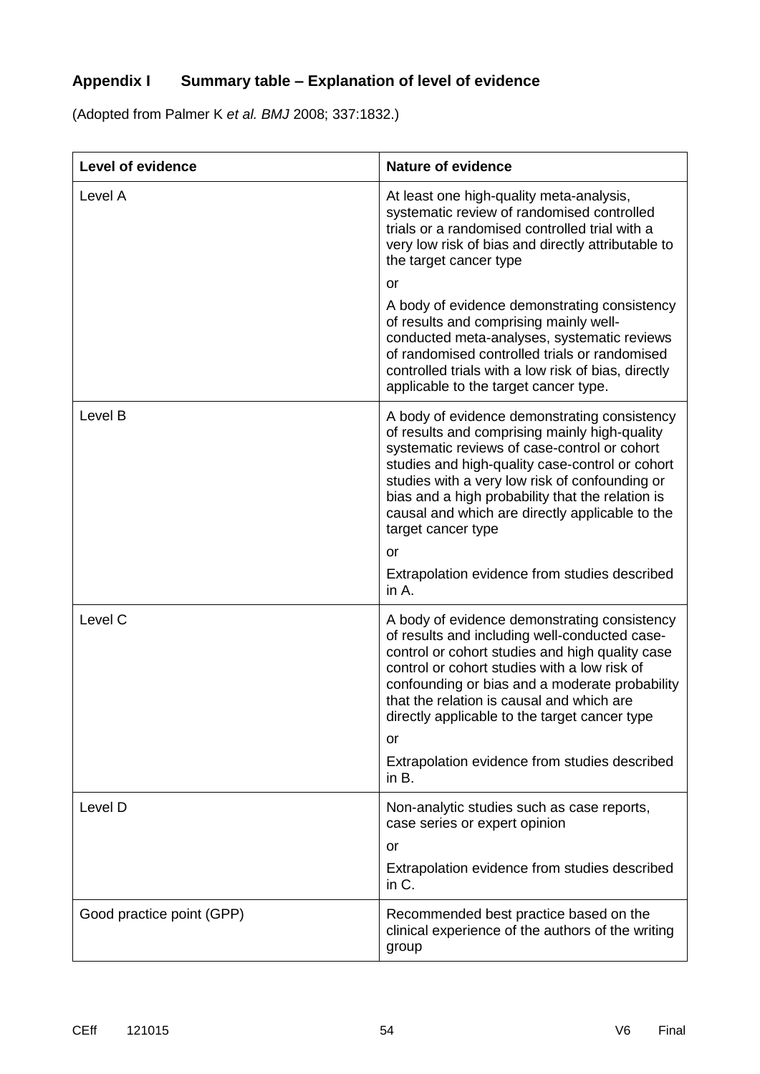# **Appendix I Summary table – Explanation of level of evidence**

(Adopted from Palmer K *et al. BMJ* 2008; 337:1832.)

| Level of evidence         | <b>Nature of evidence</b>                                                                                                                                                                                                                                                                                                                                                       |
|---------------------------|---------------------------------------------------------------------------------------------------------------------------------------------------------------------------------------------------------------------------------------------------------------------------------------------------------------------------------------------------------------------------------|
| Level A                   | At least one high-quality meta-analysis,<br>systematic review of randomised controlled<br>trials or a randomised controlled trial with a<br>very low risk of bias and directly attributable to<br>the target cancer type                                                                                                                                                        |
|                           | <b>or</b>                                                                                                                                                                                                                                                                                                                                                                       |
|                           | A body of evidence demonstrating consistency<br>of results and comprising mainly well-<br>conducted meta-analyses, systematic reviews<br>of randomised controlled trials or randomised<br>controlled trials with a low risk of bias, directly<br>applicable to the target cancer type.                                                                                          |
| Level B                   | A body of evidence demonstrating consistency<br>of results and comprising mainly high-quality<br>systematic reviews of case-control or cohort<br>studies and high-quality case-control or cohort<br>studies with a very low risk of confounding or<br>bias and a high probability that the relation is<br>causal and which are directly applicable to the<br>target cancer type |
|                           | <b>or</b>                                                                                                                                                                                                                                                                                                                                                                       |
|                           | Extrapolation evidence from studies described<br>in $A$ .                                                                                                                                                                                                                                                                                                                       |
| Level C                   | A body of evidence demonstrating consistency<br>of results and including well-conducted case-<br>control or cohort studies and high quality case<br>control or cohort studies with a low risk of<br>confounding or bias and a moderate probability<br>that the relation is causal and which are<br>directly applicable to the target cancer type                                |
|                           | or                                                                                                                                                                                                                                                                                                                                                                              |
|                           | Extrapolation evidence from studies described<br>in $B$ .                                                                                                                                                                                                                                                                                                                       |
| Level D                   | Non-analytic studies such as case reports,<br>case series or expert opinion                                                                                                                                                                                                                                                                                                     |
|                           | or                                                                                                                                                                                                                                                                                                                                                                              |
|                           | Extrapolation evidence from studies described<br>in C.                                                                                                                                                                                                                                                                                                                          |
| Good practice point (GPP) | Recommended best practice based on the<br>clinical experience of the authors of the writing<br>group                                                                                                                                                                                                                                                                            |